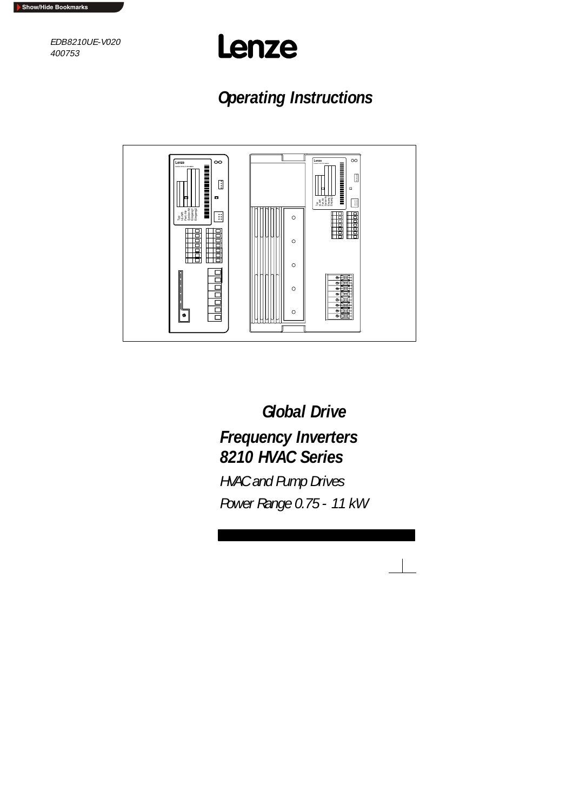EDB8210UE-V020 400753



# *Operating Instructions*



*Global Drive Frequency Inverters 8210 HVAC Series*

*HVAC and Pump Drives Power Range 0.75 - 11 kW*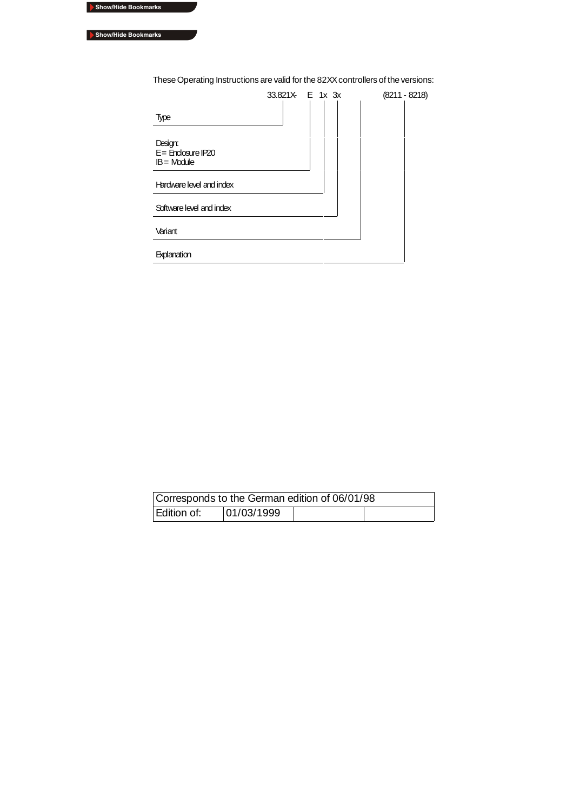These Operating Instructions are valid for the 82XX controllers of the versions:

|                                                  | 33.821X- E 1x 3x | $(8211 - 8218)$ |
|--------------------------------------------------|------------------|-----------------|
| <b>Type</b>                                      |                  |                 |
| Design:<br>$E =$ Enclosure IP20<br>$IB = Module$ |                  |                 |
| Hardware level and index                         |                  |                 |
| Software level and index                         |                  |                 |
| Variant                                          |                  |                 |
| Explanation                                      |                  |                 |

| Corresponds to the German edition of 06/01/98 |            |  |  |
|-----------------------------------------------|------------|--|--|
| Edition of:                                   | 01/03/1999 |  |  |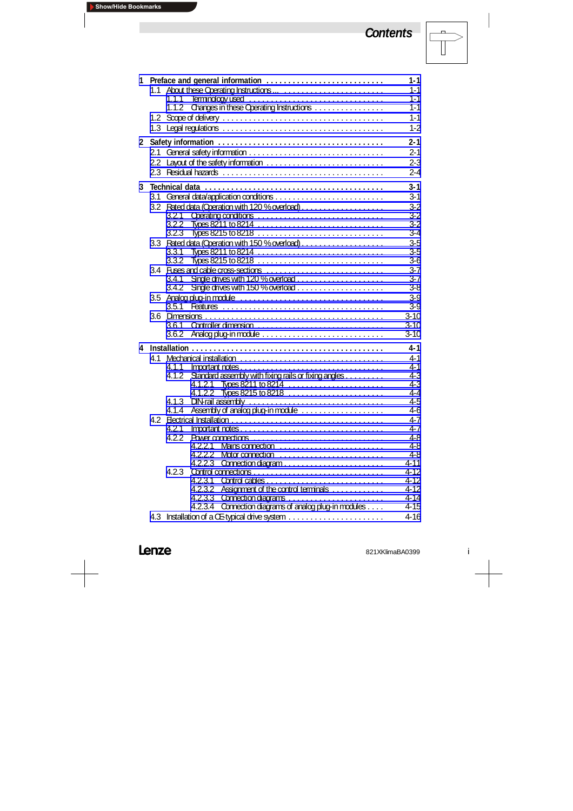### *Contents*

| 1 |         | Preface and general information                                                                     | $1 - 1$<br>$1 - 1$ |  |  |  |
|---|---------|-----------------------------------------------------------------------------------------------------|--------------------|--|--|--|
|   |         |                                                                                                     |                    |  |  |  |
|   |         | 1.1.1                                                                                               | $1 - 1$            |  |  |  |
|   |         | Changes in these Operating Instructions<br>1.1.2                                                    | 1-1                |  |  |  |
|   |         |                                                                                                     | $1 - 1$            |  |  |  |
|   |         |                                                                                                     | $1 - 2$            |  |  |  |
| 2 |         |                                                                                                     | $2 - 1$            |  |  |  |
|   |         |                                                                                                     | $2 - 1$            |  |  |  |
|   | 2.1     |                                                                                                     |                    |  |  |  |
|   | $2.2\,$ |                                                                                                     | $2 - 3$            |  |  |  |
|   | 2.3     |                                                                                                     | $2 - 4$            |  |  |  |
| 3 |         |                                                                                                     | $3 - 1$            |  |  |  |
|   |         |                                                                                                     | $3-1$              |  |  |  |
|   | 3.2     |                                                                                                     | $3-2$              |  |  |  |
|   |         | 3.2.1                                                                                               | $3 - 2$            |  |  |  |
|   |         | 3.2.2<br>Types 8211 to 8214 $\ldots \ldots \ldots \ldots \ldots \ldots \ldots \ldots \ldots \ldots$ | $3 - 2$            |  |  |  |
|   |         | 3.2.3<br>Types 8215 to 8218 $\ldots \ldots \ldots \ldots \ldots \ldots \ldots \ldots \ldots \ldots$ | $3 - 4$            |  |  |  |
|   | 3.3     |                                                                                                     | $3 - 5$            |  |  |  |
|   |         | 3.3.1                                                                                               | $3 - 5$            |  |  |  |
|   |         | 3.3.2<br>Types 8215 to 8218 $\ldots \ldots \ldots \ldots \ldots \ldots \ldots \ldots \ldots \ldots$ | $3-6$              |  |  |  |
|   |         |                                                                                                     | $3 - 7$            |  |  |  |
|   |         | 3.4.1                                                                                               | $3 - 7$            |  |  |  |
|   |         | 3.4.2                                                                                               | $3 - 8$            |  |  |  |
|   | 3.5     |                                                                                                     | $3-9$              |  |  |  |
|   |         | 3.5.1                                                                                               | $3-9$              |  |  |  |
|   | 3.6     |                                                                                                     | $3 - 10$           |  |  |  |
|   |         | 3.6.1                                                                                               | $3 - 10$           |  |  |  |
|   |         | 3.6.2                                                                                               | $3 - 10$           |  |  |  |
|   |         |                                                                                                     |                    |  |  |  |
| 4 |         |                                                                                                     | $4 - 1$            |  |  |  |
|   | 4.1     |                                                                                                     | $4-1$              |  |  |  |
|   |         | 4.1.1                                                                                               | 4-1                |  |  |  |
|   |         | Standard assembly with fixing rails or fixing angles<br>4.1.2                                       | $4 - 3$            |  |  |  |
|   |         |                                                                                                     | $4 - 3$            |  |  |  |
|   |         | 4.1.2.2<br>Types 8215 to 8218 $\ldots \ldots \ldots \ldots \ldots \ldots \ldots$                    | $4 - 4$            |  |  |  |
|   |         | 4.1.3                                                                                               | $4 - 5$            |  |  |  |
|   |         | Assembly of analog plug-in module<br>4.1.4                                                          | $4-6$              |  |  |  |
|   | 4.2     |                                                                                                     | $4 - 7$            |  |  |  |
|   |         | 4.2.1                                                                                               | $4 - 7$            |  |  |  |
|   |         | 4.2.2                                                                                               | $4 - 8$            |  |  |  |
|   |         | 4.2.2.1                                                                                             | $4 - 8$            |  |  |  |
|   |         | 4.2.2.2<br>Motor connection $\ldots \ldots \ldots \ldots \ldots \ldots \ldots$<br>4.2.2.3           | 4-8<br>$4 - 11$    |  |  |  |
|   |         | 4.2.3                                                                                               | $4 - 12$           |  |  |  |
|   |         | 4.2.3.1                                                                                             | $4 - 12$           |  |  |  |
|   |         | Assignment of the control terminals<br>4.2.3.2                                                      | $4 - 12$           |  |  |  |
|   |         | 4.2.3.3                                                                                             | 4-14               |  |  |  |
|   |         | Connection diagrams of analog plug-in modules<br>4.2.3.4                                            | 4-15               |  |  |  |
|   |         |                                                                                                     | $4 - 16$           |  |  |  |
|   |         |                                                                                                     |                    |  |  |  |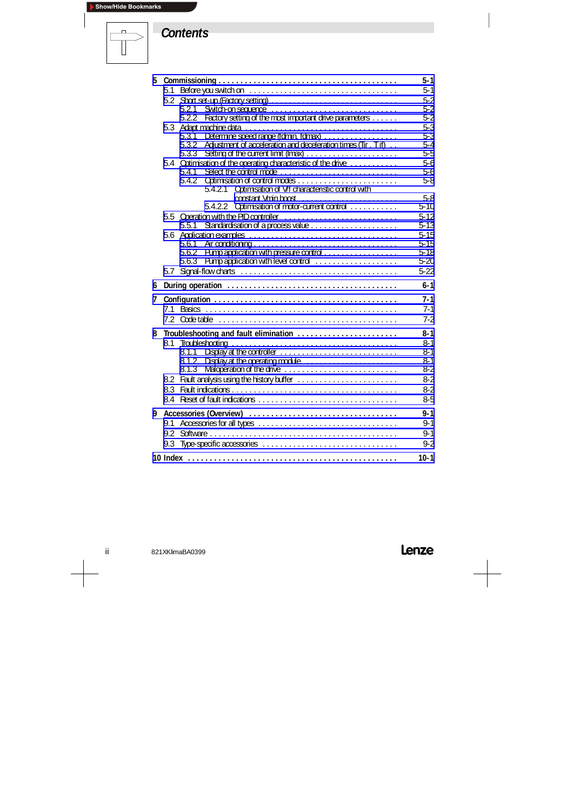

## *Contents*

| 5 |     |                                                                         | $5 - 1$          |
|---|-----|-------------------------------------------------------------------------|------------------|
|   | 5.1 |                                                                         | $5-1$            |
|   |     |                                                                         | $5-2$            |
|   |     | 5.2.1<br>Switch-on sequence                                             | $5 - 2$          |
|   |     | Factory setting of the most important drive parameters<br>5.2.2         | $5 - 2$          |
|   | 5.3 |                                                                         | $5 - 3$          |
|   |     | Determine speed range (fdmin, fdmax)<br>5.3.1                           | $5 - 3$          |
|   |     | 5.3.2<br>Adjustment of acceleration and deceleration times (Tir, T if). | $5 - 4$          |
|   |     | 5.3.3                                                                   | $5 - 5$          |
|   |     | 5.4 Optimisation of the operating characteristic of the drive           | $5-6$            |
|   |     | 5.4.1<br>5.4.2                                                          | $5-6$<br>$5 - 8$ |
|   |     | Optimisation of V/f characteristic control with<br>5.4.2.1              |                  |
|   |     |                                                                         | $5 - 8$          |
|   |     | Optimisation of motor-current control<br>5.4.2.2                        | $5-10$           |
|   |     | 5.5 Operation with the PID controller                                   | $5 - 12$         |
|   |     | 5.5.1                                                                   | $5 - 13$         |
|   | 5.6 |                                                                         | $5 - 15$         |
|   |     | 5.6.1                                                                   | $5 - 15$         |
|   |     | Pump application with pressure control<br>5.6.2                         | $5 - 18$         |
|   |     | Pump application with level control<br>5.6.3                            | $5 - 20$         |
|   | 5.7 |                                                                         | $5 - 22$         |
| 6 |     |                                                                         | $6 - 1$          |
| 7 |     |                                                                         | 7-1              |
|   | 7.1 |                                                                         | $7 - 1$          |
|   |     |                                                                         | $7-2$            |
|   |     |                                                                         |                  |
| 8 |     | Troubleshooting and fault elimination                                   | $8 - 1$          |
|   | 8.1 |                                                                         | $8 - 1$          |
|   |     | 8.1.1                                                                   | $8 - 1$          |
|   |     | 8.1.2<br>Display at the operating module                                | $8 - 1$          |
|   |     | Maloperation of the drive<br>8.1.3                                      | $8-2$            |
|   |     |                                                                         | $8 - 2$          |
|   | 8.3 |                                                                         | $8 - 2$          |
|   | 8.4 |                                                                         | $8 - 5$          |
| 9 |     |                                                                         | $9 - 1$          |
|   | 9.1 |                                                                         | $9 - 1$          |
|   | 9.2 |                                                                         | $9 - 1$          |
|   |     |                                                                         | $9 - 2$          |
|   |     |                                                                         | $10 - 1$         |

Lenze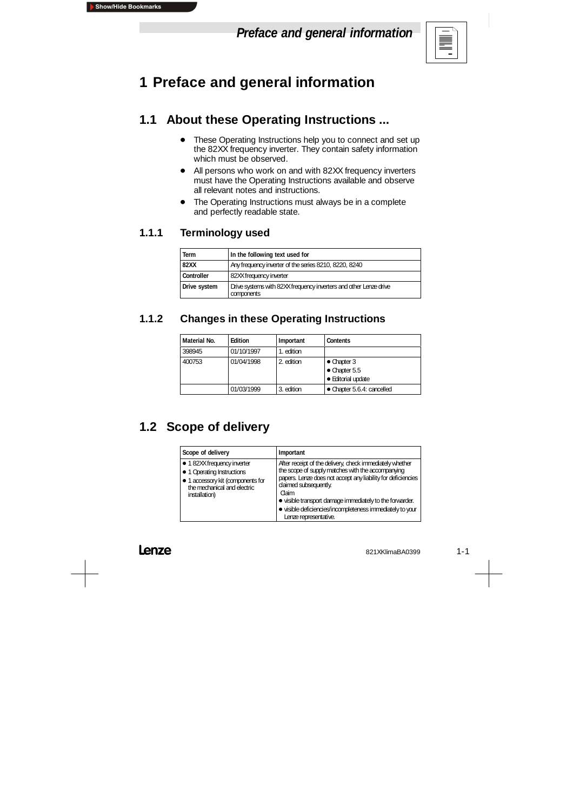### *Preface and general information*



## <span id="page-4-0"></span>**1 Preface and general information**

### **1.1 About these Operating Instructions ...**

- These Operating Instructions help you to connect and set up the 82XX frequency inverter. They contain safety information which must be observed.
- All persons who work on and with 82XX frequency inverters must have the Operating Instructions available and observe all relevant notes and instructions.
- The Operating Instructions must always be in a complete and perfectly readable state.

#### **1.1.1 Terminology used**

| Term         | In the following text used for                                                  |  |  |
|--------------|---------------------------------------------------------------------------------|--|--|
| 82XX         | Any frequency inverter of the series 8210, 8220, 8240                           |  |  |
| Controller   | 82XX frequency inverter                                                         |  |  |
| Drive system | Drive systems with 82XX frequency inverters and other Lenze drive<br>components |  |  |

### **1.1.2 Changes in these Operating Instructions**

| Material No. | Edition    | Important  | Contents                                                   |
|--------------|------------|------------|------------------------------------------------------------|
| 398945       | 01/10/1997 | 1. edition |                                                            |
| 400753       | 01/04/1998 | 2. edition | • Chapter 3<br>$\bullet$ Chapter 5.5<br>• Editorial update |
|              | 01/03/1999 | 3. edition | • Chapter 5.6.4: cancelled                                 |

### **1.2 Scope of delivery**

| Scope of delivery                                                                                                                               | Important                                                                                                                                                                                                                                                                                                                                                         |
|-------------------------------------------------------------------------------------------------------------------------------------------------|-------------------------------------------------------------------------------------------------------------------------------------------------------------------------------------------------------------------------------------------------------------------------------------------------------------------------------------------------------------------|
| • 1 82XX frequency inverter<br>• 1 Operating Instructions<br>• 1 accessory kit (components for<br>the mechanical and electric.<br>installation) | After receipt of the delivery, check immediately whether<br>the scope of supply matches with the accompanying<br>papers. Lenze does not accept any liability for deficiencies<br>claimed subsequently.<br>Claim<br>• visible transport damage immediately to the forwarder.<br>· visible deficiencies/incompleteness immediately to your<br>Lenze representative. |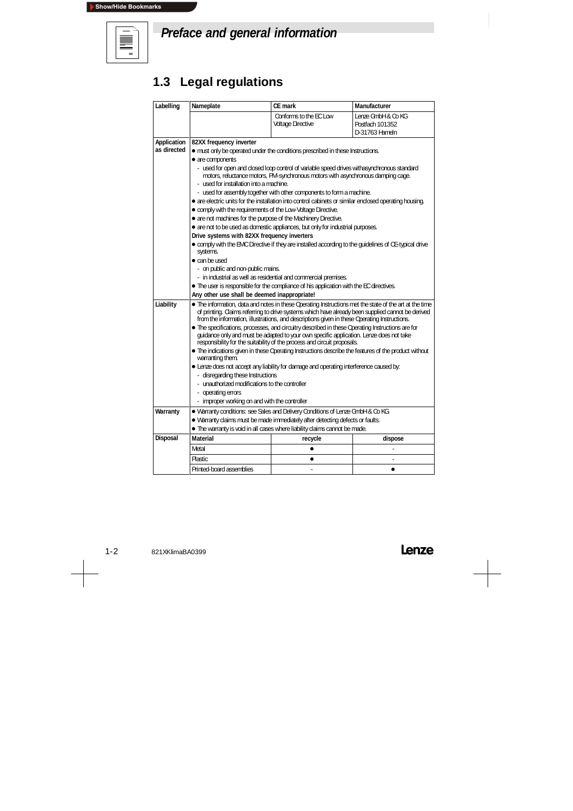<span id="page-5-0"></span>

# *Preface and general information*

## **1.3 Legal regulations**

| Labelling   | Nameplate                                                                                                                                                                                                                                                                                                   | CE mark                                                                                                                                                                                     | Manufacturer       |  |  |  |
|-------------|-------------------------------------------------------------------------------------------------------------------------------------------------------------------------------------------------------------------------------------------------------------------------------------------------------------|---------------------------------------------------------------------------------------------------------------------------------------------------------------------------------------------|--------------------|--|--|--|
|             |                                                                                                                                                                                                                                                                                                             | Conforms to the EC Low                                                                                                                                                                      | Lenze GmbH & Co KG |  |  |  |
|             |                                                                                                                                                                                                                                                                                                             | Voltage Directive                                                                                                                                                                           | Postfach 101352    |  |  |  |
|             |                                                                                                                                                                                                                                                                                                             |                                                                                                                                                                                             | D-31763 Hameln     |  |  |  |
| Application | 82XX frequency inverter                                                                                                                                                                                                                                                                                     |                                                                                                                                                                                             |                    |  |  |  |
| as directed | • must only be operated under the conditions prescribed in these Instructions.                                                                                                                                                                                                                              |                                                                                                                                                                                             |                    |  |  |  |
|             | • are components<br>- used for open and closed loop control of variable speed drives withasynchronous standard                                                                                                                                                                                              |                                                                                                                                                                                             |                    |  |  |  |
|             |                                                                                                                                                                                                                                                                                                             |                                                                                                                                                                                             |                    |  |  |  |
|             | motors, reluctance motors, PM-synchronous motors with asynchronous damping cage.                                                                                                                                                                                                                            |                                                                                                                                                                                             |                    |  |  |  |
|             | - used for installation into a machine.                                                                                                                                                                                                                                                                     |                                                                                                                                                                                             |                    |  |  |  |
|             |                                                                                                                                                                                                                                                                                                             | - used for assembly together with other components to form a machine.                                                                                                                       |                    |  |  |  |
|             |                                                                                                                                                                                                                                                                                                             | • are electric units for the installation into control cabinets or similar enclosed operating housing.                                                                                      |                    |  |  |  |
|             | • comply with the requirements of the Low-Voltage Directive.                                                                                                                                                                                                                                                |                                                                                                                                                                                             |                    |  |  |  |
|             | • are not machines for the purpose of the Machinery Directive.                                                                                                                                                                                                                                              |                                                                                                                                                                                             |                    |  |  |  |
|             |                                                                                                                                                                                                                                                                                                             | • are not to be used as domestic appliances, but only for industrial purposes.                                                                                                              |                    |  |  |  |
|             | Drive systems with 82XX frequency inverters                                                                                                                                                                                                                                                                 |                                                                                                                                                                                             |                    |  |  |  |
|             | systems.                                                                                                                                                                                                                                                                                                    | • comply with the EMC Directive if they are installed according to the quidelines of CE-typical drive                                                                                       |                    |  |  |  |
|             | • can be used                                                                                                                                                                                                                                                                                               |                                                                                                                                                                                             |                    |  |  |  |
|             | - on public and non-public mains.                                                                                                                                                                                                                                                                           |                                                                                                                                                                                             |                    |  |  |  |
|             |                                                                                                                                                                                                                                                                                                             | - in industrial as well as residential and commercial premises.                                                                                                                             |                    |  |  |  |
|             |                                                                                                                                                                                                                                                                                                             | • The user is responsible for the compliance of his application with the EC directives.                                                                                                     |                    |  |  |  |
|             | Any other use shall be deemed inappropriate!                                                                                                                                                                                                                                                                |                                                                                                                                                                                             |                    |  |  |  |
| Liability   | • The information, data and notes in these Operating Instructions met the state of the art at the time<br>of printing. Claims referring to drive systems which have already been supplied cannot be derived<br>from the information, illustrations, and descriptions given in these Operating Instructions. |                                                                                                                                                                                             |                    |  |  |  |
|             |                                                                                                                                                                                                                                                                                                             |                                                                                                                                                                                             |                    |  |  |  |
|             |                                                                                                                                                                                                                                                                                                             | • The specifications, processes, and circuitry described in these Operating Instructions are for<br>guidance only and must be adapted to your own specific application. Lenze does not take |                    |  |  |  |
|             |                                                                                                                                                                                                                                                                                                             | responsibility for the suitability of the process and circuit proposals.                                                                                                                    |                    |  |  |  |
|             | warranting them.                                                                                                                                                                                                                                                                                            | . The indications given in these Operating Instructions describe the features of the product without                                                                                        |                    |  |  |  |
|             |                                                                                                                                                                                                                                                                                                             | . Lenze does not accept any liability for damage and operating interference caused by:                                                                                                      |                    |  |  |  |
|             | - disregarding these Instructions                                                                                                                                                                                                                                                                           |                                                                                                                                                                                             |                    |  |  |  |
|             | - unauthorized modifications to the controller                                                                                                                                                                                                                                                              |                                                                                                                                                                                             |                    |  |  |  |
|             | - operating errors                                                                                                                                                                                                                                                                                          |                                                                                                                                                                                             |                    |  |  |  |
|             | - improper working on and with the controller                                                                                                                                                                                                                                                               |                                                                                                                                                                                             |                    |  |  |  |
| Warranty    |                                                                                                                                                                                                                                                                                                             | . Warranty conditions: see Sales and Delivery Conditions of Lenze GmbH & Co KG.                                                                                                             |                    |  |  |  |
|             |                                                                                                                                                                                                                                                                                                             | . Warranty claims must be made immediately after detecting defects or faults.                                                                                                               |                    |  |  |  |
|             |                                                                                                                                                                                                                                                                                                             | . The warranty is void in all cases where liability claims cannot be made.                                                                                                                  |                    |  |  |  |
| Disposal    | Material                                                                                                                                                                                                                                                                                                    | recycle                                                                                                                                                                                     | dispose            |  |  |  |
|             | Metal                                                                                                                                                                                                                                                                                                       |                                                                                                                                                                                             |                    |  |  |  |
|             | Plastic.                                                                                                                                                                                                                                                                                                    |                                                                                                                                                                                             |                    |  |  |  |
|             | Printed-board assemblies                                                                                                                                                                                                                                                                                    |                                                                                                                                                                                             |                    |  |  |  |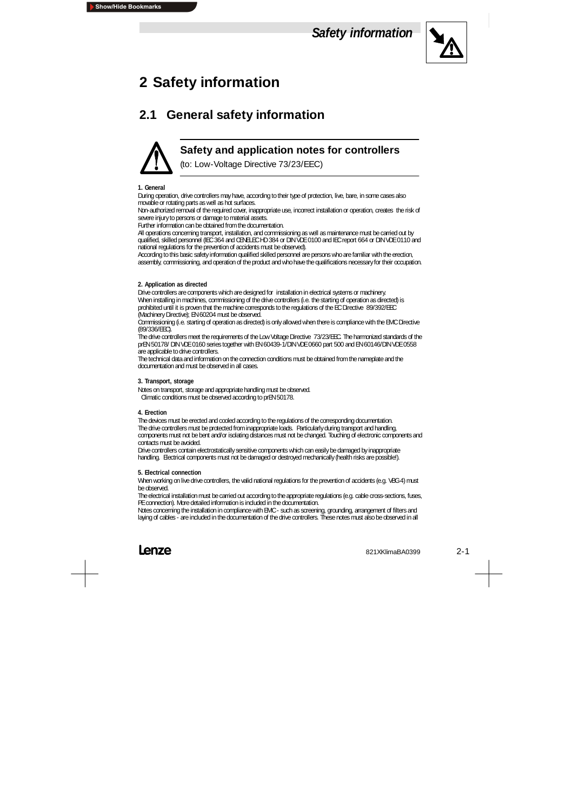

### <span id="page-6-0"></span>**2 Safety information**

### **2.1 General safety information**



#### **Safety and application notes for controllers**

(to: Low-Voltage Directive 73/23/EEC)

#### **1. General**

During operation, drive controllers may have, according to their type of protection, live, bare, in some cases also movable or rotating parts as well as hot surfaces.

Non-authorized removal of the required cover, inappropriate use, incorrect installation or operation, creates the risk of severe injury to persons or damage to material assets.

Further information can be obtained from the documentation.

All operations concerning transport, installation, and commissioning as well as maintenance must be carried out by qualified, skilled personnel (IEC 364 and CENELEC HD 384 or DIN VDE 0100 and IEC report 664 or DIN VDE 0110 and national regulations for the prevention of accidents must be observed).

According to this basic safety information qualified skilled personnel are persons who are familiar with the erection, assembly, commissioning, and operation of the product and who have the qualifications necessary for their occupation.

#### **2. Application as directed**

Drive controllers are components which are designed for installation in electrical systems or machinery. When installing in machines, commissioning of the drive controllers (i.e. the starting of operation as directed) is prohibited until it is proven that the machine corresponds to the regulations of the EC Directive 89/392/EEC (Machinery Directive); EN 60204 must be observed.

Commissioning (i.e. starting of operation as directed) is only allowed when there is compliance with the EMC Directive (89/336/EEC).

The drive controllers meet the requirements of the Low Voltage Directive 73/23/EEC. The harmonized standards of the prEN 50178/ DIN VDE 0160 series together with EN 60439-1/DIN VDE 0660 part 500 and EN 60146/DIN VDE 0558 are applicable to drive controllers.

The technical data and information on the connection conditions must be obtained from the nameplate and the documentation and must be observed in all cases.

#### **3. Transport, storage**

Notes on transport, storage and appropriate handling must be observed. Climatic conditions must be observed according to prEN 50178.

#### **4. Erection**

The devices must be erected and cooled according to the regulations of the corresponding documentation. The drive controllers must be protected from inappropriate loads. Particularly during transport and handling, components must not be bent and/or isolating distances must not be changed. Touching of electronic components and contacts must be avoided.

Drive controllers contain electrostatically sensitive components which can easily be damaged by inappropriate handling. Electrical components must not be damaged or destroyed mechanically (health risks are possible!).

#### **5. Electrical connection**

When working on live drive controllers, the valid national regulations for the prevention of accidents (e.g. VBG 4) must be observed.

The electrical installation must be carried out according to the appropriate regulations (e.g. cable cross-sections, fuses, PE connection). More detailed information is included in the documentation.

Notes concerning the installation in compliance with EMC - such as screening, grounding, arrangement of filters and laying of cables - are included in the documentation of the drive controllers. These notes must also be observed in all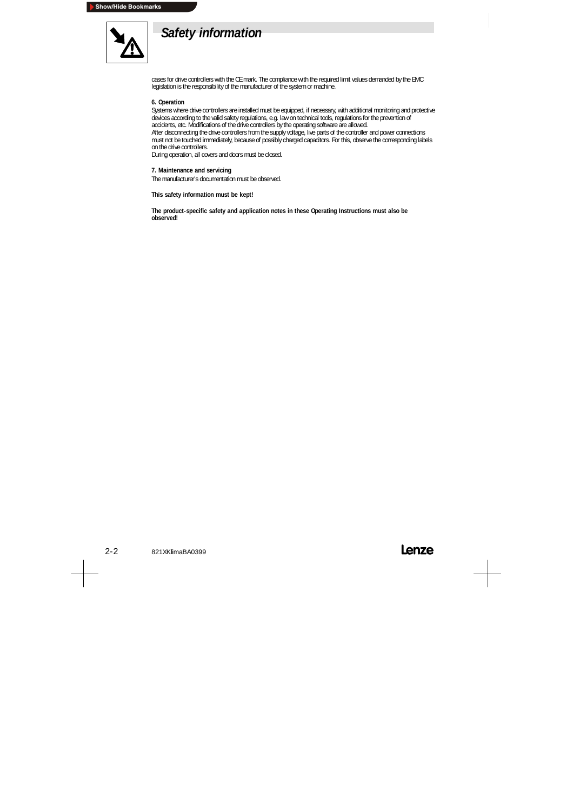

cases for drive controllers with the CE mark. The compliance with the required limit values demanded by the EMC legislation is the responsibility of the manufacturer of the system or machine.

#### **6. Operation**

Systems where drive controllers are installed must be equipped, if necessary, with additional monitoring and protective devices according to the valid safety regulations, e.g. law on technical tools, regulations for the prevention of accidents, etc. Modifications of the drive controllers by the operating software are allowed.

After disconnecting the drive controllers from the supply voltage, live parts of the controller and power connections must not be touched immediately, because of possibly charged capacitors. For this, observe the corresponding labels on the drive controllers.

During operation, all covers and doors must be closed.

#### **7. Maintenance and servicing**

The manufacturer's documentation must be observed.

**This safety information must be kept!**

**The product-specific safety and application notes in these Operating Instructions must also be observed!**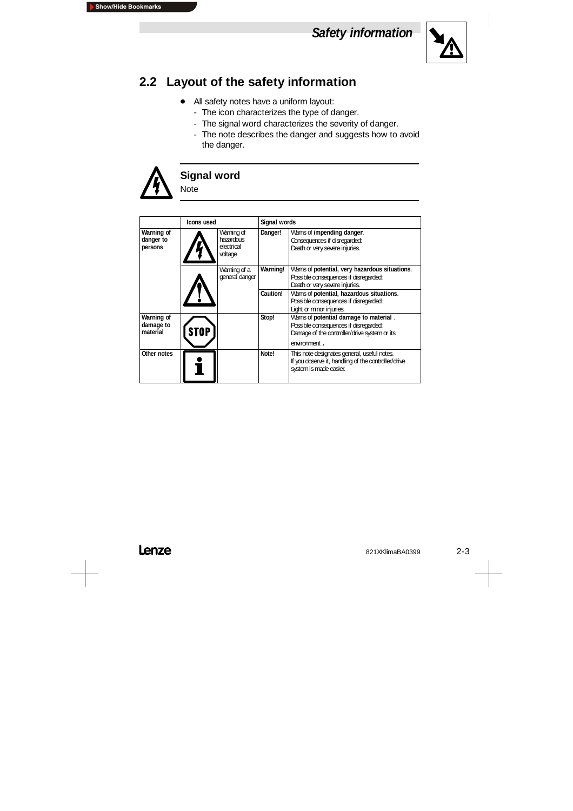

### <span id="page-8-0"></span>**2.2 Layout of the safety information**

- All safety notes have a uniform layout:
	- The icon characterizes the type of danger.
	- The signal word characterizes the severity of danger.
	- The note describes the danger and suggests how to avoid the danger.



### **Signal word**

Note

|                                     | Icons used |                                                                                                           | Signal words |                                                                                                                                                 |  |
|-------------------------------------|------------|-----------------------------------------------------------------------------------------------------------|--------------|-------------------------------------------------------------------------------------------------------------------------------------------------|--|
| Warning of<br>danger to<br>persons  |            | Warning of<br>Danger!<br>hazardous<br>electrical<br>voltage<br>Warning of a<br>Warning!<br>general danger |              | Warns of impending danger.<br>Consequences if disregarded:<br>Death or very severe injuries.                                                    |  |
|                                     |            |                                                                                                           |              | Warns of potential, very hazardous situations.<br>Possible consequences if disregarded:<br>Death or very severe injuries.                       |  |
|                                     |            |                                                                                                           | Caution!     | Warns of potential, hazardous situations.<br>Possible consequences if disregarded:<br>Light or minor injuries.                                  |  |
| Warning of<br>damage to<br>material | STOP       |                                                                                                           | Stop!        | Warns of potential damage to material.<br>Possible consequences if disregarded:<br>Damage of the controller/drive system or its<br>environment. |  |
| Other notes                         |            |                                                                                                           | Note!        | This note designates general, useful notes.<br>If you observe it, handling of the controller/drive<br>system is made easier.                    |  |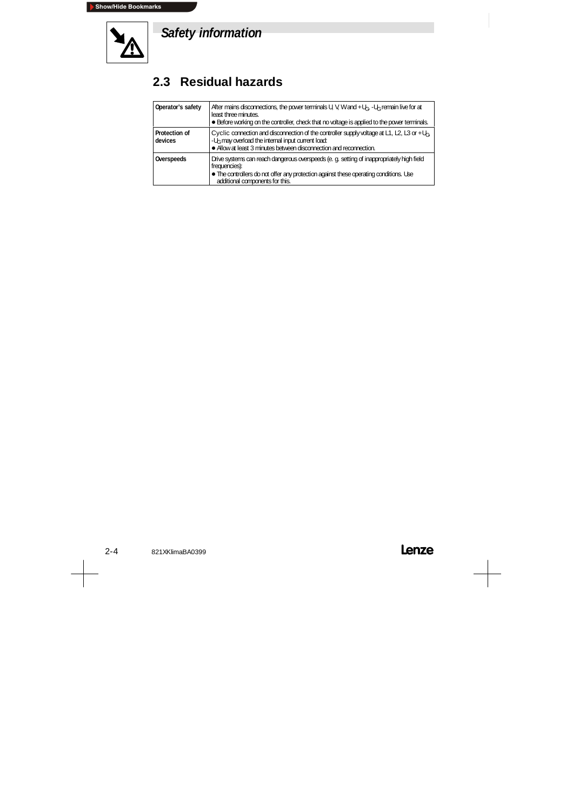<span id="page-9-0"></span>

### **2.3 Residual hazards**

| Operator's safety                                                                                                                                                                                                                                                    | After mains disconnections, the power terminals U, V, W and $+U_C$ , $-U_C$ remain live for at<br>least three minutes.<br>• Before working on the controller, check that no voltage is applied to the power terminals.                 |  |
|----------------------------------------------------------------------------------------------------------------------------------------------------------------------------------------------------------------------------------------------------------------------|----------------------------------------------------------------------------------------------------------------------------------------------------------------------------------------------------------------------------------------|--|
| Protection of<br>Cyclic connection and disconnection of the controller supply voltage at L1, L2, L3 or + $U_{G}$ ,<br>-U <sub>C</sub> may overload the internal input current load:<br>devices<br>• Allow at least 3 minutes between disconnection and reconnection. |                                                                                                                                                                                                                                        |  |
| Overspeeds                                                                                                                                                                                                                                                           | Drive systems can reach dangerous overspeeds (e. g. setting of inappropriately high field<br>frequencies):<br>• The controllers do not offer any protection against these operating conditions. Use<br>additional components for this. |  |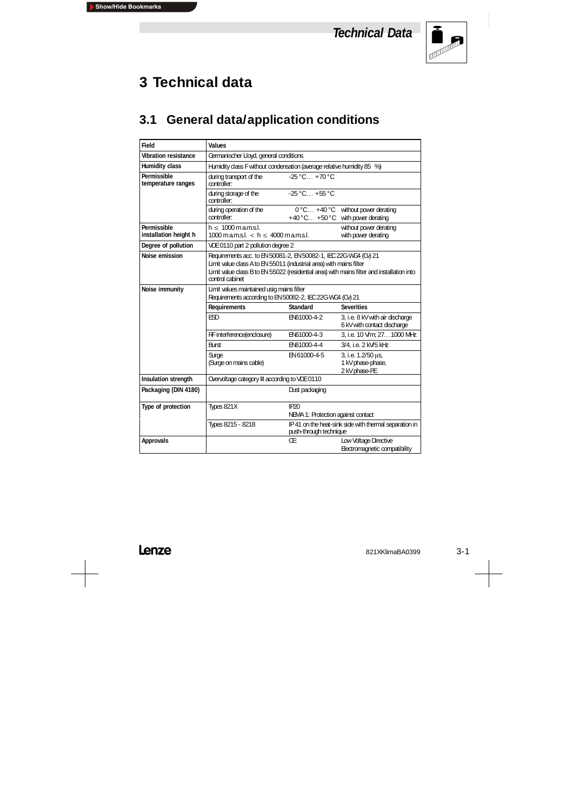

### <span id="page-10-0"></span>**3.1 General data/application conditions**

| Field                                | Values                                                                                                                                                                                                                                                   |                                                                                  |                                                                                      |  |
|--------------------------------------|----------------------------------------------------------------------------------------------------------------------------------------------------------------------------------------------------------------------------------------------------------|----------------------------------------------------------------------------------|--------------------------------------------------------------------------------------|--|
| <b>Vibration resistance</b>          | Germanischer Lloyd, general conditions                                                                                                                                                                                                                   |                                                                                  |                                                                                      |  |
| <b>Humidity class</b>                | Humidity class F without condensation (average relative humidity 85 %)                                                                                                                                                                                   |                                                                                  |                                                                                      |  |
| Permissible<br>temperature ranges    | $-25 °C  + 70 °C$<br>during transport of the<br>controller:                                                                                                                                                                                              |                                                                                  |                                                                                      |  |
|                                      | during storage of the<br>controller:                                                                                                                                                                                                                     | $-25 °C  + 55 °C$                                                                |                                                                                      |  |
|                                      | during operation of the<br>controller:                                                                                                                                                                                                                   |                                                                                  | $0^{\circ}$ C  +40 °C without power derating<br>$+40 °C  +50 °C$ with power derating |  |
| Permissible<br>installation height h | $h \leq 1000$ ma.m.s.l.<br>$1000 \text{ m}$ a.m.s.l. $\lt h \leq 4000 \text{ m}$ a.m.s.l.                                                                                                                                                                |                                                                                  | without power derating<br>with power derating                                        |  |
| Degree of pollution                  | VDE 0110 part 2 pollution degree 2                                                                                                                                                                                                                       |                                                                                  |                                                                                      |  |
| Noise emission                       | Requirements acc. to EN 50081-2, EN 50082-1, IEC 22G-WG4 (Cv) 21<br>Limit value class A to EN 55011 (industrial area) with mains filter<br>Limit value class B to EN 55022 (residential area) with mains filter and installation into<br>control cabinet |                                                                                  |                                                                                      |  |
| Noise immunity                       | Limit values maintained usig mains filter<br>Requirements according to EN 50082-2, IEC 22G-WG4 (Cv) 21                                                                                                                                                   |                                                                                  |                                                                                      |  |
|                                      | Requirements                                                                                                                                                                                                                                             | Standard                                                                         | <b>Severities</b>                                                                    |  |
|                                      | <b>FSD</b>                                                                                                                                                                                                                                               | FN61000-4-2                                                                      | 3, i.e. 8 kV with air discharge<br>6 kV with contact discharge                       |  |
|                                      | RF interference (enclosure)                                                                                                                                                                                                                              | FN61000-4-3                                                                      | 3. i.e. 10 V/m: 271000 MHz                                                           |  |
|                                      | <b>Burst</b>                                                                                                                                                                                                                                             | FN61000-4-4                                                                      | 3/4. i.e. 2 kV/5 kHz                                                                 |  |
|                                      | Surge<br>(Surge on mains cable)                                                                                                                                                                                                                          | EN 61000-4-5                                                                     | 3, i.e. 1.2/50 µs,<br>1 kV phase-phase,<br>2 kV phase-PE                             |  |
| Insulation strength                  | Overvoltage category III according to VDE 0110                                                                                                                                                                                                           |                                                                                  |                                                                                      |  |
| Packaging (DIN 4180)                 |                                                                                                                                                                                                                                                          | Dust packaging                                                                   |                                                                                      |  |
| Type of protection                   | Types 821X                                                                                                                                                                                                                                               | IP20<br>NEMA 1: Protection against contact                                       |                                                                                      |  |
|                                      | Types 8215 - 8218                                                                                                                                                                                                                                        | IP 41 on the heat-sink side with thermal separation in<br>push-through technique |                                                                                      |  |
| <b>Approvals</b>                     |                                                                                                                                                                                                                                                          | CE:                                                                              | Low Voltage Directive<br>Electromagnetic compatibility                               |  |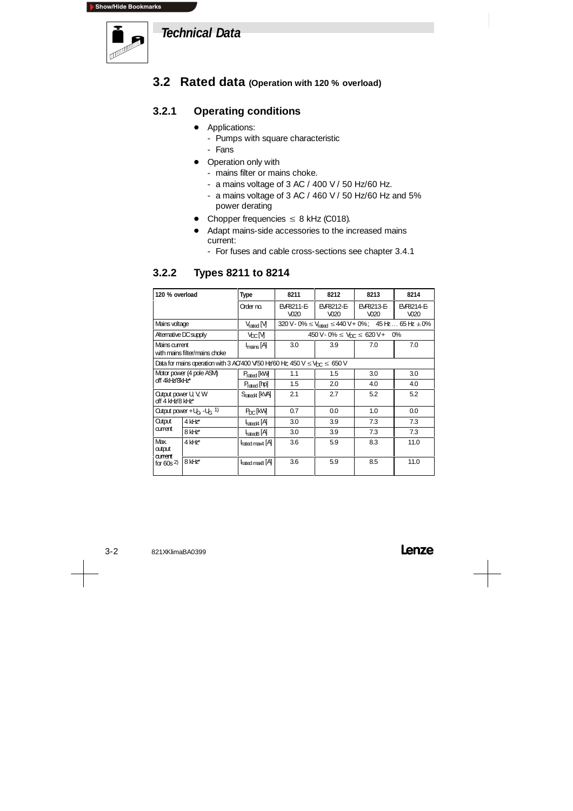<span id="page-11-0"></span>

### **3.2 Rated data (Operation with 120 % overload)**

#### **3.2.1 Operating conditions**

- Applications:
	- Pumps with square characteristic
	- Fans
- Operation only with
	- mains filter or mains choke.
	- a mains voltage of 3 AC / 400 V / 50 Hz/60 Hz.
	- a mains voltage of 3 AC / 460 V / 50 Hz/60 Hz and 5% power derating
- Chopper frequencies  $\leq 8$  kHz (C018).
- Adapt mains-side accessories to the increased mains current:
	- For fuses and cable cross-sections see chapter 3.4.1

### **3.2.2 Types 8211 to 8214**

| 120 % overload                                                                                  |                                                | Type                                  | 8211                                                                          | 8212                                          | 8213               | 8214               |  |  |  |
|-------------------------------------------------------------------------------------------------|------------------------------------------------|---------------------------------------|-------------------------------------------------------------------------------|-----------------------------------------------|--------------------|--------------------|--|--|--|
|                                                                                                 |                                                | Order no.                             | EVF8211-E-<br>V020                                                            | FVF8212-F-<br>V020                            | EVF8213-E-<br>V020 | EVF8214-E-<br>V020 |  |  |  |
| Mains voltage                                                                                   |                                                | $V_{\text{rated}}[V]$                 | 320 V - 0% $\leq$ V <sub>rated</sub> $\leq$ 440 V + 0%; 45 Hz  65 Hz $\pm$ 0% |                                               |                    |                    |  |  |  |
| Alternative DC supply                                                                           |                                                | $V_{DC}$ M                            |                                                                               | $450 V - 0\% \leq V_{\text{DC}} \leq 620 V +$ |                    | 0%                 |  |  |  |
| Mains current                                                                                   | with mains filter/mains choke                  | $I_{\text{mains}}[A]$                 | 3.0                                                                           | 3.9                                           | 7.0                | 7.0                |  |  |  |
| Data for mains operation with 3 AC/400 V/50 Hz/60 Hz; 450 V $\leq$ V <sub>DC</sub> $\leq$ 650 V |                                                |                                       |                                                                               |                                               |                    |                    |  |  |  |
|                                                                                                 | Motor power (4 pole ASM)                       | P <sub>rated</sub> [kW]               | 1.1                                                                           | 1.5                                           | 3.0                | 3.0                |  |  |  |
| off 4kHz/8kHz*                                                                                  |                                                | $P_{\text{rated}}$ [hp]               | 1.5                                                                           | 2.0                                           | 4.0                | 4.0                |  |  |  |
| Output power U, V, W<br>off 4 kHz/8 kHz*                                                        |                                                | S <sub>rated</sub> <sub>4</sub> [kVA] | 2.1                                                                           | 2.7                                           | 5.2                | 5.2                |  |  |  |
|                                                                                                 | Output power + $U_G$ , - $U_G$ , <sup>1)</sup> | $P_{DC}$ [kW]                         | 0.7                                                                           | 0.0                                           | 1.0                | 0.0                |  |  |  |
| Output                                                                                          | $4$ kHz <sup>*</sup>                           | $I_{\text{rated4}}$ [A]               | 3.0                                                                           | 3.9                                           | 7.3                | 7.3                |  |  |  |
| current                                                                                         | 8 kHz*                                         | $I_{\text{rated8}}$ [A]               | 3.0                                                                           | 3.9                                           | 7.3                | 7.3                |  |  |  |
| Max.<br>output<br>current<br>for $60s$ <sup>2)</sup>                                            | $4$ kHz <sup>*</sup>                           | rated max4 [A]                        | 3.6                                                                           | 5.9                                           | 8.3                | 11.0               |  |  |  |
|                                                                                                 | 8 kHz*                                         | <b>I</b> rated max <sub>8</sub> [A]   | 3.6                                                                           | 5.9                                           | 8.5                | 11.0               |  |  |  |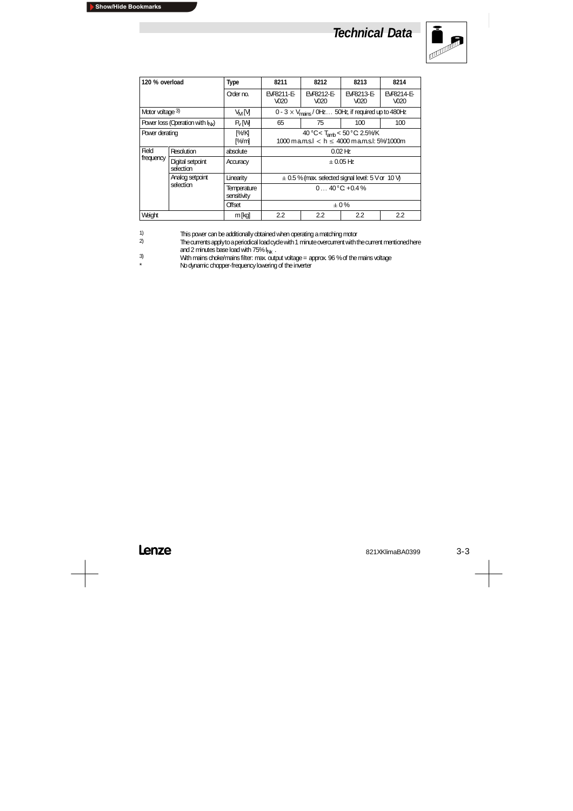

| 120 % overload                               |                               | <b>Type</b>                | 8211                                                                                             | 8212               | 8213                                                                | 8214               |  |  |
|----------------------------------------------|-------------------------------|----------------------------|--------------------------------------------------------------------------------------------------|--------------------|---------------------------------------------------------------------|--------------------|--|--|
|                                              |                               | Order no.                  | FVF8211-F-<br>V020                                                                               | FVF8212-F-<br>V020 | FVF8213-F-<br>V020                                                  | FVF8214-F-<br>V020 |  |  |
| Motor voltage 3)                             |                               | V <sub>M</sub> M           |                                                                                                  |                    | $0 - 3 \times V_{\text{main}}$ / OHz  50Hz, if required up to 480Hz |                    |  |  |
| Power loss (Operation with l <sub>Nx</sub> ) |                               | $P_v$ M                    | 65                                                                                               | 75                 | 100                                                                 | 100                |  |  |
| Power derating                               |                               | MK<br>$\sqrt{M}$           | 40 °C < T <sub>amb</sub> < 50 °C: 2.5%/K<br>1000 m a.m.s.l $\lt h \leq 4000$ m a.m.s.l: 5%/1000m |                    |                                                                     |                    |  |  |
| Field                                        | <b>Resolution</b>             | absolute                   |                                                                                                  |                    | 0.02 H <sub>7</sub>                                                 |                    |  |  |
| frequency                                    | Digital setpoint<br>selection | Accuracy                   | $+0.05$ Hz                                                                                       |                    |                                                                     |                    |  |  |
|                                              | Analog setpoint               | Linearity                  |                                                                                                  |                    | $\pm$ 0.5 % (max. selected signal level: 5 V or 10 V)               |                    |  |  |
|                                              | selection                     | Temperature<br>sensitivity |                                                                                                  | $040 °C: +0.4 %$   |                                                                     |                    |  |  |
|                                              |                               | Offset                     | $+0\%$                                                                                           |                    |                                                                     |                    |  |  |
| Weight                                       |                               | m [kq]                     | 2.2                                                                                              | 2.2                | 2.2                                                                 | 2.2                |  |  |

1) This power can be additionally obtained when operating a matching motor<br>2) The currents annivito a periodical load cycle with 1 minute overcurrent with t

The currents apply to a periodical load cycle with 1 minute overcurrent with the current mentioned here and 2 minutes base load with 75% I<sub>Nx</sub> .<br>
and 2 minutes base load with 75% I<sub>Nx</sub> .<br>
3) With mains choke/mains filter: max. output voltage = approx. 96 % of the mains voltage<br>
<sup>\*</sup> No donamic chonner-frequency lowering of th

No dynamic chopper-frequency lowering of the inverter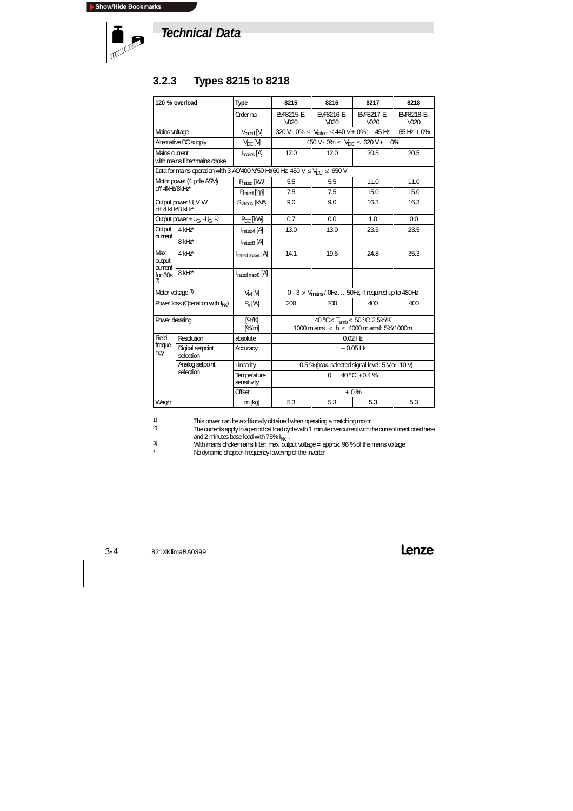<span id="page-13-0"></span>

### **3.2.3 Types 8215 to 8218**

|                                                        | 120 % overload                        | Type                        | 8215                                                                                            | 8216               | 8217                                                                                       | 8218               |  |  |  |
|--------------------------------------------------------|---------------------------------------|-----------------------------|-------------------------------------------------------------------------------------------------|--------------------|--------------------------------------------------------------------------------------------|--------------------|--|--|--|
|                                                        |                                       | Order no.                   | FVF8215-F-<br>V020                                                                              | FVF8216-F-<br>V020 | FVF8217-F-<br>V020                                                                         | FVF8218-F-<br>V020 |  |  |  |
| Mains voltage                                          |                                       | $V_{\text{rated}}$ $[M]$    |                                                                                                 |                    | 320 V - 0% $\leq$ V <sub>rated</sub> $\leq$ 440 V + 0%; 45 Hz  65 Hz $\pm$ 0%              |                    |  |  |  |
|                                                        | Alternative DC supply                 | $V_{DC}$ M                  | $450 V - 0\% \leq V_{DC} \leq 620 V +$<br>$0\%$                                                 |                    |                                                                                            |                    |  |  |  |
| Mains current                                          | with mains filter/mains choke         | $Imains$ [A]                | 12.0                                                                                            | 12.0               | 20.5                                                                                       | 20.5               |  |  |  |
|                                                        |                                       |                             | Data for mains operation with 3 AC/400 V/50 Hz/60 Hz; 450 V $\leq$ V <sub>DC</sub> $\leq$ 650 V |                    |                                                                                            |                    |  |  |  |
|                                                        | Motor power (4 pole ASM)              | Prated [kW]                 | 5.5                                                                                             | 5.5                | 11.0                                                                                       | 11.0               |  |  |  |
| off 4kHz/8kHz*                                         |                                       | $P_{\text{rated}}$ [hp]     | 7.5                                                                                             | 7.5                | 15.0                                                                                       | 15.0               |  |  |  |
| Output power U, V, W<br>off $4$ kHz/8 kHz <sup>*</sup> |                                       | Srated <sub>4</sub> [kVA]   | 9.0                                                                                             | 9.0                | 16.3                                                                                       | 16.3               |  |  |  |
| Output power + $U_G$ , - $U_G$ , 1)                    |                                       | $P_{DC}$ [kW]               | 0.7                                                                                             | 0.0                | 1.0                                                                                        | 0.0                |  |  |  |
| Output                                                 | $4$ kHz <sup>*</sup>                  | rated4 [A]                  | 13.0                                                                                            | 13.0               | 23.5                                                                                       | 23.5               |  |  |  |
| current                                                | 8 kHz*                                | $I_{\text{rated8}}$ [A]     |                                                                                                 |                    |                                                                                            |                    |  |  |  |
| Max.<br>output                                         | $4$ kHz <sup>*</sup>                  | $I_{\text{rated max4}}$ [A] | 14.1                                                                                            | 19.5               | 24.8                                                                                       | 35.3               |  |  |  |
| current<br>for $60s$<br>2)                             | 8 kHz*                                | rated max8 [A]              |                                                                                                 |                    |                                                                                            |                    |  |  |  |
| Motor voltage 3)                                       |                                       | $V_M$ $M$                   |                                                                                                 |                    | 0 - 3 × V <sub>mains</sub> / OHz  50Hz, if required up to 480Hz                            |                    |  |  |  |
|                                                        | Power loss (Operation with $I_{Nx}$ ) | $P_v$ M                     | 200                                                                                             | 200                | 400                                                                                        | 400                |  |  |  |
| Power derating                                         |                                       | [%K]<br>[%m]                |                                                                                                 |                    | 40 °C < T <sub>amb</sub> < 50 °C: 2.5%/K<br>1000 m amsl $\lt h \leq 4000$ m amsl: 5%/1000m |                    |  |  |  |
| Field                                                  | <b>Resolution</b>                     | absolute                    |                                                                                                 |                    | $0.02$ Hz                                                                                  |                    |  |  |  |
| freque<br>ncy                                          | Digital setpoint<br>selection         | Accuracy                    | $+0.05$ Hz                                                                                      |                    |                                                                                            |                    |  |  |  |
|                                                        | Analog setpoint                       | Linearity                   |                                                                                                 |                    | $\pm$ 0.5 % (max. selected signal level: 5 V or 10 V)                                      |                    |  |  |  |
|                                                        | selection                             | Temperature<br>sensitivity  |                                                                                                 |                    | $040 °C$ : +0.4 %                                                                          |                    |  |  |  |
|                                                        |                                       | <b>Offset</b>               |                                                                                                 |                    | $\pm 0\%$                                                                                  |                    |  |  |  |
| Weight                                                 |                                       | m [kq]                      | 5.3                                                                                             | 5.3                | 5.3                                                                                        | 5.3                |  |  |  |

1) This power can be additionally obtained when operating a matching motor<br>2) The currents anniv to a periodical load cycle with 1 minute overcurrent with the

The currents apply to a periodical load cycle with 1 minute overcurrent with the current mentioned here and 2 minutes base load with 75%  $h_{N}$ .

3) With mains choke/mains filter: max. output voltage = approx.  $96\%$  of the mains voltage  $*$ No dynamic chopper-frequency lowering of the inverter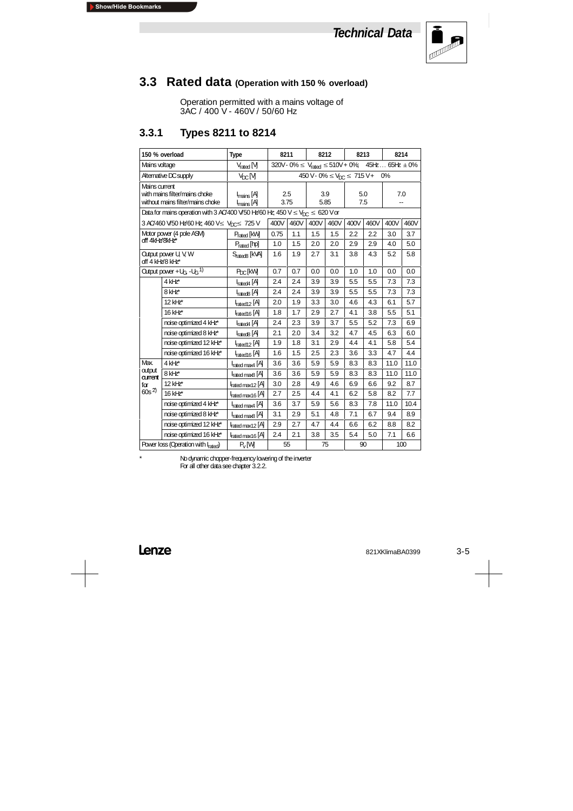

### <span id="page-14-0"></span>**3.3 Rated data (Operation with 150 % overload)**

Operation permitted with a mains voltage of 3AC / 400 V - 460V / 50/60 Hz

### **3.3.1 Types 8211 to 8214**

|                                                                                    | 150 % overload                                                                                     | <b>Type</b>                            | 8211        |                                                                           | 8212                                         |      |            | 8213 | 8214                  |      |
|------------------------------------------------------------------------------------|----------------------------------------------------------------------------------------------------|----------------------------------------|-------------|---------------------------------------------------------------------------|----------------------------------------------|------|------------|------|-----------------------|------|
| Mains voltage                                                                      |                                                                                                    | V <sub>rated</sub> [V]                 |             | 320V - 0% $\leq$ V <sub>rated</sub> $\leq$ 510V + 0%; 45Hz  65Hz $\pm$ 0% |                                              |      |            |      |                       |      |
| Alternative DC supply                                                              |                                                                                                    | $V_{DC}$ [V]                           |             |                                                                           | $450 V - 0\% \leq V_{DC} \leq 715 V +$<br>0% |      |            |      |                       |      |
| Mains current<br>with mains filter/mains choke<br>without mains filter/mains choke |                                                                                                    | $Imains$ [A]<br>$I_{\text{mains}}[A]$  | 2.5<br>3.75 |                                                                           | 3.9<br>5.85                                  |      | 5.0<br>7.5 |      | 7.0<br>$\overline{a}$ |      |
|                                                                                    | Data for mains operation with 3 AC/400 V/50 Hz/60 Hz; 450 V $\leq$ V <sub>DC</sub> $\leq$ 620 V or |                                        |             |                                                                           |                                              |      |            |      |                       |      |
|                                                                                    | 3 AC/460 V/50 Hz/60 Hz; 460 V ≤ V <sub>DC</sub> ≤ 725 V                                            |                                        | 400V        | 460V                                                                      | 400V                                         | 460V | 400V       | 460V | 400V                  | 460V |
|                                                                                    | Motor power (4 pole ASM)                                                                           | P <sub>rated</sub> [kW]                | 0.75        | 1.1                                                                       | 1.5                                          | 1.5  | 2.2        | 2.2  | 3.0                   | 3.7  |
| off 4kHz/8kHz*                                                                     |                                                                                                    | P <sub>rated</sub> [hp]                | 1.0         | 1.5                                                                       | 2.0                                          | 2.0  | 2.9        | 2.9  | 4.0                   | 5.0  |
| off 4 kHz/8 kHz*                                                                   | Output power U, V, W                                                                               | Srated <sub>8</sub> [kVA]              | 1.6         | 1.9                                                                       | 2.7                                          | 3.1  | 3.8        | 4.3  | 5.2                   | 5.8  |
| Output power + $U_{G_1}$ - $U_G$ <sup>1)</sup>                                     |                                                                                                    | $P_{DC}$ [kW]                          | 0.7         | 0.7                                                                       | 0.0                                          | 0.0  | 1.0        | 1.0  | 0.0                   | 0.0  |
|                                                                                    | 4 kHz*                                                                                             | $I_{\text{rated4}}$ [A]                | 2.4         | 2.4                                                                       | 3.9                                          | 3.9  | 5.5        | 5.5  | 7.3                   | 7.3  |
|                                                                                    | 8 kHz*                                                                                             | $I_{\text{rated8}}$ [A]                | 2.4         | 2.4                                                                       | 3.9                                          | 3.9  | 5.5        | 5.5  | 7.3                   | 7.3  |
|                                                                                    | 12 kHz*                                                                                            | rated12 [A]                            | 2.0         | 1.9                                                                       | 3.3                                          | 3.0  | 4.6        | 4.3  | 6.1                   | 5.7  |
|                                                                                    | 16 kHz*                                                                                            | rated16 [A]                            | 1.8         | 1.7                                                                       | 2.9                                          | 2.7  | 4.1        | 3.8  | 5.5                   | 5.1  |
|                                                                                    | noise optimized 4 kHz*                                                                             | $I_{\text{rated4}}$ [A]                | 2.4         | 2.3                                                                       | 3.9                                          | 3.7  | 5.5        | 5.2  | 7.3                   | 6.9  |
|                                                                                    | noise optimized 8 kHz*                                                                             | $I_{\text{rated8}}$ [A]                | 2.1         | 2.0                                                                       | 3.4                                          | 3.2  | 4.7        | 4.5  | 6.3                   | 6.0  |
|                                                                                    | noise optimized 12 kHz*                                                                            | rated12 [A]                            | 1.9         | 1.8                                                                       | 3.1                                          | 2.9  | 4.4        | 4.1  | 5.8                   | 5.4  |
|                                                                                    | noise optimized 16 kHz*                                                                            | rated16 [A]                            | 1.6         | 1.5                                                                       | 2.5                                          | 2.3  | 3.6        | 3.3  | 4.7                   | 4.4  |
| Max.                                                                               | $4$ kHz <sup>*</sup>                                                                               | Irated max4 [A]                        | 3.6         | 3.6                                                                       | 5.9                                          | 5.9  | 8.3        | 8.3  | 11.0                  | 11.0 |
| output<br>current                                                                  | 8 kHz*                                                                                             | I <sub>rated max8</sub> [A]            | 3.6         | 3.6                                                                       | 5.9                                          | 5.9  | 8.3        | 8.3  | 11.0                  | 11.0 |
| for                                                                                | 12 kHz*                                                                                            | rated max12 [A]                        | 3.0         | 2.8                                                                       | 4.9                                          | 4.6  | 6.9        | 6.6  | 9.2                   | 8.7  |
| 60s <sup>2</sup>                                                                   | 16 kHz*                                                                                            | rated max16 [A]                        | 2.7         | 2.5                                                                       | 4.4                                          | 4.1  | 6.2        | 5.8  | 8.2                   | 7.7  |
|                                                                                    | noise optimized 4 kHz*                                                                             | I <sub>rated max4</sub> [A]            | 3.6         | 3.7                                                                       | 5.9                                          | 5.6  | 8.3        | 7.8  | 11.0                  | 10.4 |
|                                                                                    | noise optimized 8 kHz*                                                                             | I <sub>rated</sub> <sub>max8</sub> [A] | 3.1         | 2.9                                                                       | 5.1                                          | 4.8  | 7.1        | 6.7  | 9.4                   | 8.9  |
|                                                                                    | noise optimized 12 kHz*                                                                            | rated max12 [A]                        | 2.9         | 2.7                                                                       | 4.7                                          | 4.4  | 6.6        | 6.2  | 8.8                   | 8.2  |
| noise optimized 16 kHz*                                                            |                                                                                                    | $I_{\text{rated max16}}$ [A]           | 2.4         | 2.1                                                                       | 3.8                                          | 3.5  | 5.4        | 5.0  | 7.1                   | 6.6  |
|                                                                                    | Power loss (Operation with Irated)                                                                 | $P_V$ [W]                              | 55          |                                                                           | 75                                           |      |            | 90   | 100                   |      |

\* No dynamic chopper-frequency lowering of the inverter For all other data see chapter 3.2.2.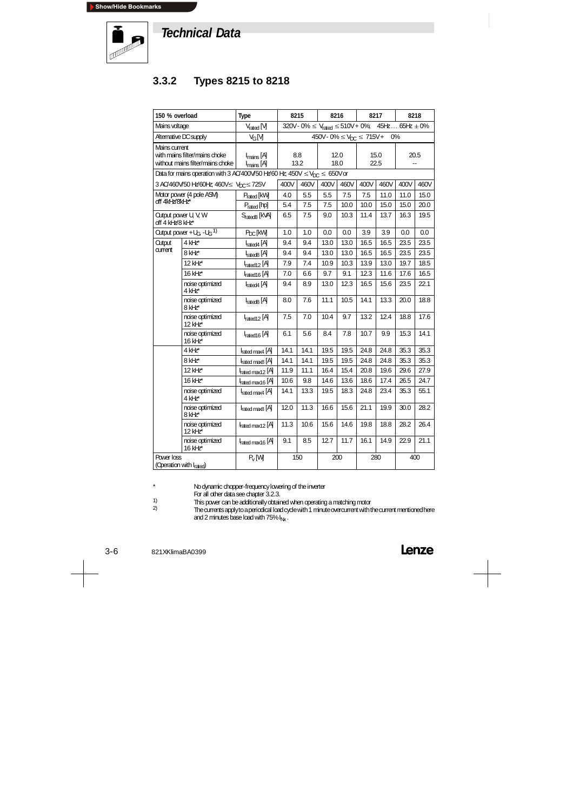<span id="page-15-0"></span>

### **3.3.2 Types 8215 to 8218**

| 150 % overload                                                                                  |                                                     | <b>Type</b>                  |             | 8215                                               |                                      | 8216 | 8217         |                        | 8218                             |      |
|-------------------------------------------------------------------------------------------------|-----------------------------------------------------|------------------------------|-------------|----------------------------------------------------|--------------------------------------|------|--------------|------------------------|----------------------------------|------|
| Mains voltage                                                                                   |                                                     | V <sub>rated</sub> [V]       |             | $320V - 0\% \leq V_{\text{rated}} \leq 510V + 0\%$ |                                      |      |              | 45Hz $65$ Hz $\pm 0\%$ |                                  |      |
| Alternative DC supply                                                                           |                                                     | $V_G M$                      |             |                                                    | $450V - 0\% \leq V_{DC} \leq 715V +$ |      |              | 0%                     |                                  |      |
| Mains current<br>with mains filter/mains choke<br>without mains filter/mains choke              |                                                     | $Imains$ [A]<br>$Imains$ [A] | 8.8<br>13.2 |                                                    | 12.0<br>18.0                         |      | 15.0<br>22.5 |                        | 20.5<br>$\overline{\phantom{a}}$ |      |
| Data for mains operation with 3 AC/400V/50 Hz/60 Hz; 450V $\leq$ V <sub>DC</sub> $\leq$ 650V or |                                                     |                              |             |                                                    |                                      |      |              |                        |                                  |      |
|                                                                                                 | 3 AC/460V/50 Hz/60Hz; 460V ≤ V <sub>DC</sub> ≤ 725V |                              | 400V        | 460V                                               | 400V                                 | 460V | 400V         | 460V                   | 400V                             | 460V |
| off 4kHz/8kHz*                                                                                  | Motor power (4 pole ASM)                            | Prated [kW]                  | 4.0         | 5.5                                                | 5.5                                  | 7.5  | 7.5          | 11.0                   | 11.0                             | 15.0 |
|                                                                                                 |                                                     | $P_{\text{rated}}$ [hp]      | 5.4         | 7.5                                                | 7.5                                  | 10.0 | 10.0         | 15.0                   | 15.0                             | 20.0 |
| Output power U, V, W<br>off 4 kHz/8 kHz*                                                        |                                                     | S <sub>rated8</sub> [kVA]    | 6.5         | 7.5                                                | 9.0                                  | 10.3 | 11.4         | 13.7                   | 16.3                             | 19.5 |
|                                                                                                 | Output power + $U_{G'}$ - $U_{G}$ <sup>1)</sup>     | $P_{DC}$ [kW]                | 1.0         | 1.0                                                | 0.0                                  | 0.0  | 3.9          | 3.9                    | 0.0                              | 0.0  |
| Output                                                                                          | 4 kHz*                                              | $I_{\text{rated4}}$ [A]      | 9.4         | 9.4                                                | 13.0                                 | 13.0 | 16.5         | 16.5                   | 23.5                             | 23.5 |
| current                                                                                         | 8 kHz*                                              | $I_{\text{rated8}}$ [A]      | 9.4         | 9.4                                                | 13.0                                 | 13.0 | 16.5         | 16.5                   | 23.5                             | 23.5 |
|                                                                                                 | 12 kHz*                                             | $I_{\text{rated12}}$ [A]     | 7.9         | 7.4                                                | 10.9                                 | 10.3 | 13.9         | 13.0                   | 19.7                             | 18.5 |
|                                                                                                 | $16$ kHz <sup>*</sup>                               | rated16 [A]                  | 7.0         | 6.6                                                | 9.7                                  | 9.1  | 12.3         | 11.6                   | 17.6                             | 16.5 |
|                                                                                                 | noise optimized<br>4 kHz*                           | $I_{\text{rated4}}$ [A]      | 9.4         | 8.9                                                | 13.0                                 | 12.3 | 16.5         | 15.6                   | 23.5                             | 22.1 |
|                                                                                                 | noise optimized<br>8 kHz*                           | Irated8 [A]                  | 8.0         | 7.6                                                | 11.1                                 | 10.5 | 14.1         | 13.3                   | 20.0                             | 18.8 |
|                                                                                                 | noise optimized<br>$12$ kHz <sup>*</sup>            | rated12 [A]                  | 7.5         | 7.0                                                | 10.4                                 | 9.7  | 13.2         | 12.4                   | 18.8                             | 17.6 |
|                                                                                                 | noise optimized<br>16 $kHz$ *                       | rated16 [A]                  | 6.1         | 5.6                                                | 8.4                                  | 7.8  | 10.7         | 9.9                    | 15.3                             | 14.1 |
|                                                                                                 | 4 kHz*                                              | rated max4 [A]               | 14.1        | 14.1                                               | 19.5                                 | 19.5 | 24.8         | 24.8                   | 35.3                             | 35.3 |
|                                                                                                 | 8 kHz*                                              | $I_{\text{rated max8}}$ [A]  | 14.1        | 14.1                                               | 19.5                                 | 19.5 | 24.8         | 24.8                   | 35.3                             | 35.3 |
|                                                                                                 | 12 kHz*                                             | rated max12 [A]              | 11.9        | 11.1                                               | 16.4                                 | 15.4 | 20.8         | 19.6                   | 29.6                             | 27.9 |
|                                                                                                 | $16$ kHz <sup>*</sup>                               | $I_{\text{rated max16}}$ [A] | 10.6        | 9.8                                                | 14.6                                 | 13.6 | 18.6         | 17.4                   | 26.5                             | 24.7 |
|                                                                                                 | noise optimized<br>$4$ kHz <sup>*</sup>             | rated max4 [A]               | 14.1        | 13.3                                               | 19.5                                 | 18.3 | 24.8         | 23.4                   | 35.3                             | 55.1 |
|                                                                                                 | noise optimized<br>8 kHz*                           | Irated max8 [A]              | 12.0        | 11.3                                               | 16.6                                 | 15.6 | 21.1         | 19.9                   | 30.0                             | 28.2 |
|                                                                                                 | noise optimized<br>$12$ kHz <sup>*</sup>            | rated max12 [A]              | 11.3        | 10.6                                               | 15.6                                 | 14.6 | 19.8         | 18.8                   | 28.2                             | 26.4 |
|                                                                                                 | noise optimized<br>16 $kHz^*$                       | $I_{\text{rated max16}}$ [A] | 9.1         | 8.5                                                | 12.7                                 | 11.7 | 16.1         | 14.9                   | 22.9                             | 21.1 |
| Power loss<br>(Operation with Irated)                                                           |                                                     | $P_V$ [W]                    |             | 150                                                |                                      | 200  |              | 280                    | 400                              |      |

\* No dynamic chopper-frequency lowering of the inverter

For all other data see chapter 3.2.3.

1) This power can be additionally obtained when operating a matching motor<br>
2) The currents anniv to a periodical load cycle with 1 minute overcurrent with the

The currents apply to a periodical load cycle with 1 minute overcurrent with the current mentioned here and 2 minutes base load with 75%  $I_{\text{Nx}}$ .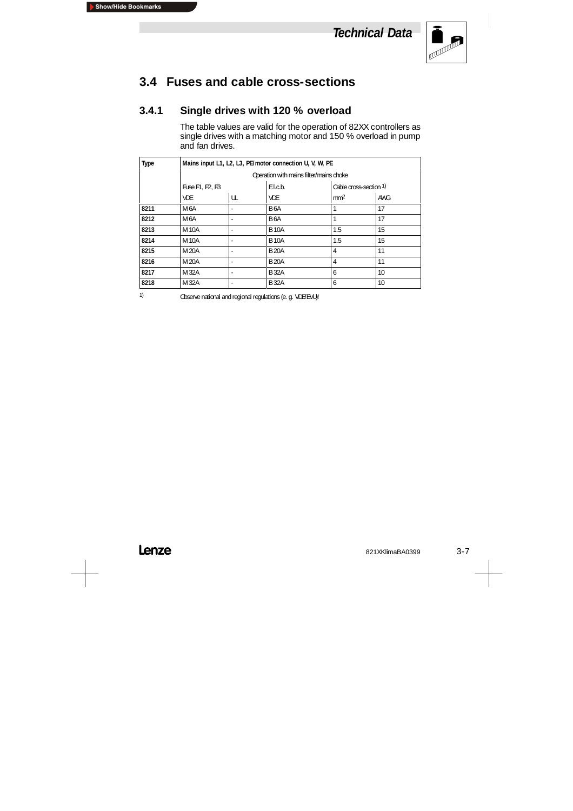

### <span id="page-16-0"></span>**3.4 Fuses and cable cross-sections**

#### **3.4.1 Single drives with 120 % overload**

The table values are valid for the operation of 82XX controllers as single drives with a matching motor and 150 % overload in pump and fan drives.

| <b>Type</b> |                  |                                         | Mains input L1, L2, L3, PE/motor connection U, V, W, PE |                        |            |  |  |
|-------------|------------------|-----------------------------------------|---------------------------------------------------------|------------------------|------------|--|--|
|             |                  | Operation with mains filter/mains choke |                                                         |                        |            |  |  |
|             | Fuse F1, F2, F3  |                                         | E.I.c.b.                                                | Cable cross-section 1) |            |  |  |
|             | <b>VDE</b>       | UL                                      | <b>VDF</b>                                              | mm <sup>2</sup>        | <b>AWG</b> |  |  |
| 8211        | M <sub>6</sub> A | ٠                                       | <b>B</b> 6A                                             |                        | 17         |  |  |
| 8212        | M <sub>6</sub> A | ٠                                       | <b>B</b> 6A                                             |                        | 17         |  |  |
| 8213        | M 10A            | ٠                                       | <b>B</b> 10A                                            | 1.5                    | 15         |  |  |
| 8214        | M 10A            | ٠                                       | <b>B</b> 10A                                            | 1.5                    | 15         |  |  |
| 8215        | M 20A            | ٠                                       | <b>B20A</b>                                             | 4                      | 11         |  |  |
| 8216        | M 20A            |                                         | <b>B20A</b>                                             | 4                      | 11         |  |  |
| 8217        | M 32A            |                                         | <b>B32A</b>                                             | 6                      | 10         |  |  |
| 8218        | M 32A            | ٠                                       | <b>B32A</b>                                             | 6                      | 10         |  |  |

1) Observe national and regional regulations (e. g. VDE/EVU)!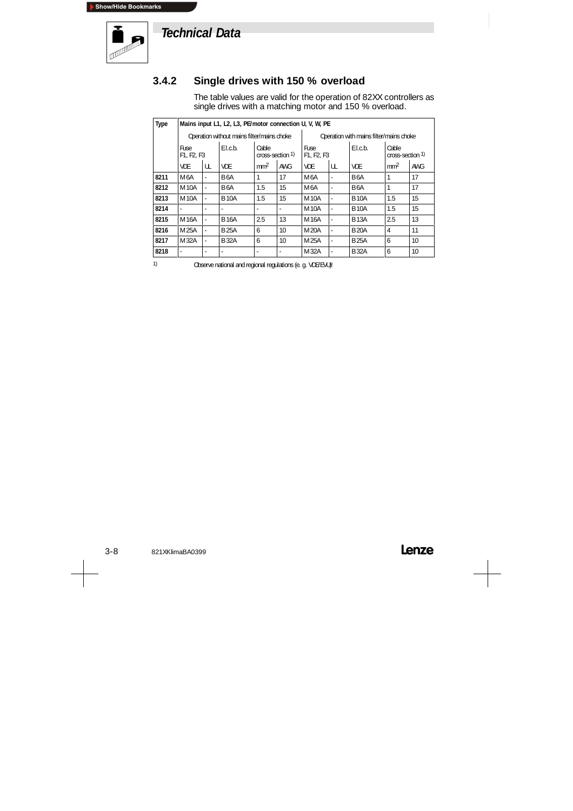<span id="page-17-0"></span>

### **3.4.2 Single drives with 150 % overload**

The table values are valid for the operation of 82XX controllers as single drives with a matching motor and 150 % overload.

| <b>Type</b> | Mains input L1, L2, L3, PE/motor connection U, V, W, PE |    |                                            |                           |            |                                         |                          |              |                           |            |
|-------------|---------------------------------------------------------|----|--------------------------------------------|---------------------------|------------|-----------------------------------------|--------------------------|--------------|---------------------------|------------|
|             |                                                         |    | Operation without mains filter/mains choke |                           |            | Operation with mains filter/mains choke |                          |              |                           |            |
|             | Fuse<br>F1, F2, F3                                      |    | F.I.c.b.                                   | Cable<br>cross-section 1) |            | Fuse<br>F1. F2. F3                      |                          | F.I.c.b.     | Cable<br>cross-section 1) |            |
|             | <b>VDF</b>                                              | u  | <b>VDF</b>                                 | mm <sup>2</sup>           | <b>AWG</b> | <b>VDF</b>                              | UL                       | VDF          | mm <sup>2</sup>           | <b>AWG</b> |
| 8211        | M 6A                                                    |    | <b>B</b> 6A                                | 1                         | 17         | M 6A                                    | $\overline{\phantom{a}}$ | <b>B</b> 6A  | 1                         | 17         |
| 8212        | M 10A                                                   | ÷, | <b>B</b> 6A                                | 1.5                       | 15         | M 6A                                    | ٠                        | <b>B6A</b>   | 1                         | 17         |
| 8213        | M 10A                                                   |    | <b>B</b> 10A                               | 1.5                       | 15         | M 10A                                   |                          | <b>B10A</b>  | 1.5                       | 15         |
| 8214        | ۰                                                       |    | $\overline{\phantom{a}}$                   | ٠                         | ٠          | M 10A                                   | $\overline{\phantom{a}}$ | <b>B</b> 10A | 1.5                       | 15         |
| 8215        | M 16A                                                   | ÷, | <b>B16A</b>                                | 2.5                       | 13         | M 16A                                   |                          | <b>B13A</b>  | 2.5                       | 13         |
| 8216        | M 25A                                                   |    | <b>B25A</b>                                | 6                         | 10         | M 20A                                   |                          | <b>B20A</b>  | $\overline{4}$            | 11         |
| 8217        | M 32A                                                   |    | <b>B32A</b>                                | 6                         | 10         | M 25A                                   |                          | <b>B25A</b>  | 6                         | 10         |
| 8218        | Ē,                                                      |    | ٠                                          |                           |            | M 32A                                   | $\overline{\phantom{a}}$ | <b>B32A</b>  | 6                         | 10         |

1) Observe national and regional regulations (e. g. VDE/EVU)!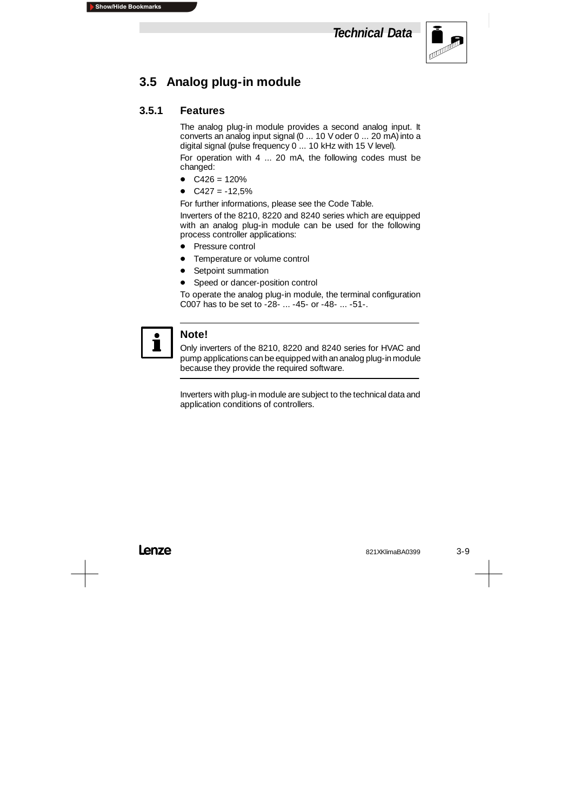

### <span id="page-18-0"></span>**3.5 Analog plug-in module**

#### **3.5.1 Features**

The analog plug-in module provides a second analog input. It converts an analog input signal (0 ... 10 V oder 0 ... 20 mA) into a digital signal (pulse frequency 0 ... 10 kHz with 15 V level).

For operation with 4 ... 20 mA, the following codes must be changed:

- $C426 = 120%$
- $\bullet$  C427 = -12.5%

For further informations, please see the Code Table.

Inverters of the 8210, 8220 and 8240 series which are equipped with an analog plug-in module can be used for the following process controller applications:

- Pressure control
- Temperature or volume control
- Setpoint summation
- Speed or dancer-position control

To operate the analog plug-in module, the terminal configuration C007 has to be set to -28- ... -45- or -48- ... -51-.



#### **Note!**

Only inverters of the 8210, 8220 and 8240 series for HVAC and pump applications can be equipped with an analog plug-in module because they provide the required software.

Inverters with plug-in module are subject to the technical data and application conditions of controllers.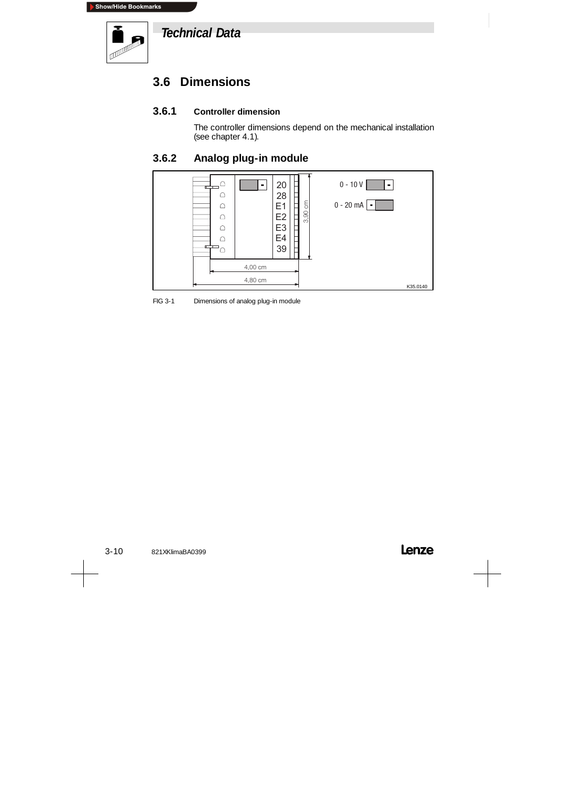<span id="page-19-0"></span>

### **3.6 Dimensions**

#### **3.6.1 Controller dimension**

The controller dimensions depend on the mechanical installation (see chapter 4.1).

### **3.6.2 Analog plug-in module**



FIG 3-1 Dimensions of analog plug-in module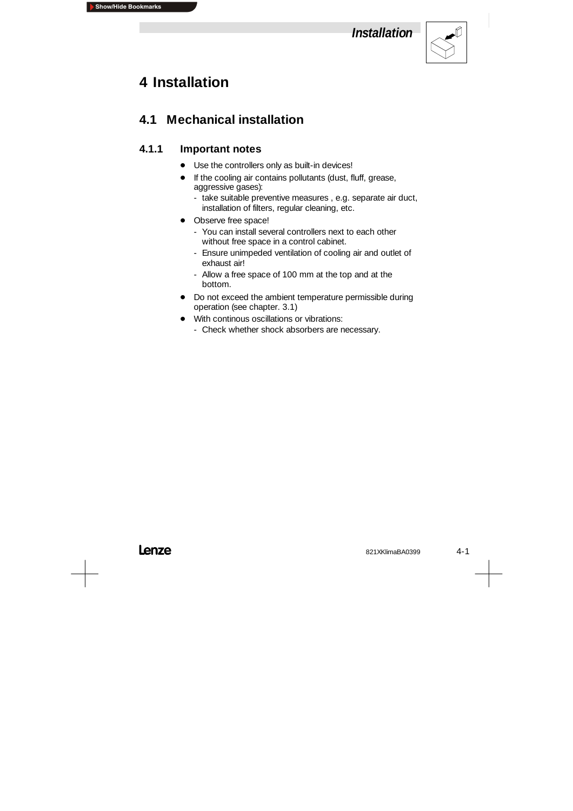

## <span id="page-20-0"></span>**4 Installation**

### **4.1 Mechanical installation**

#### **4.1.1 Important notes**

- Use the controllers only as built-in devices!
- If the cooling air contains pollutants (dust, fluff, grease, aggressive gases):
	- take suitable preventive measures , e.g. separate air duct, installation of filters, regular cleaning, etc.
- Observe free space!
	- You can install several controllers next to each other without free space in a control cabinet.
	- Ensure unimpeded ventilation of cooling air and outlet of exhaust air!
	- Allow a free space of 100 mm at the top and at the bottom.
- Do not exceed the ambient temperature permissible during operation (see chapter. 3.1)
- With continous oscillations or vibrations:
	- Check whether shock absorbers are necessary.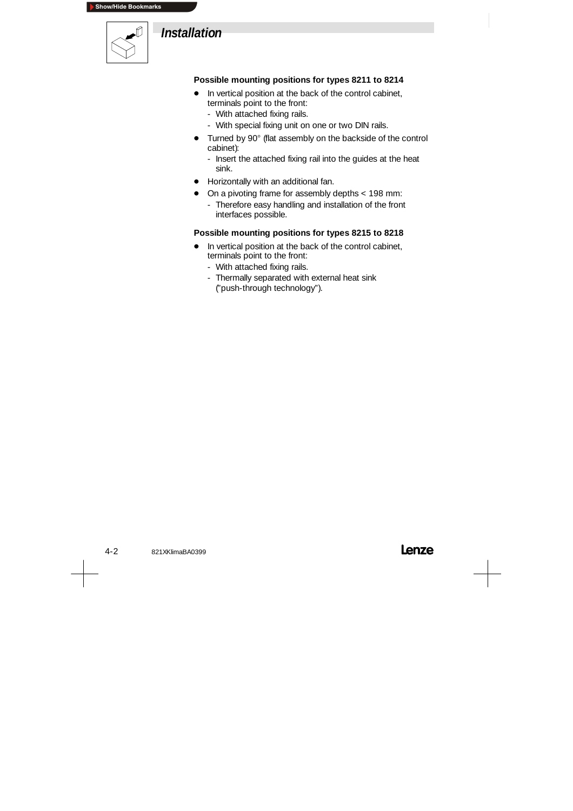

#### **Possible mounting positions for types 8211 to 8214**

- In vertical position at the back of the control cabinet, terminals point to the front:
	- With attached fixing rails.
	- With special fixing unit on one or two DIN rails.
- $\bullet$  Turned by 90 $\degree$  (flat assembly on the backside of the control cabinet):
	- Insert the attached fixing rail into the guides at the heat sink.
- Horizontally with an additional fan.
- On a pivoting frame for assembly depths < 198 mm:
	- Therefore easy handling and installation of the front interfaces possible.

#### **Possible mounting positions for types 8215 to 8218**

- In vertical position at the back of the control cabinet, terminals point to the front:
	- With attached fixing rails.
	- Thermally separated with external heat sink ("push-through technology").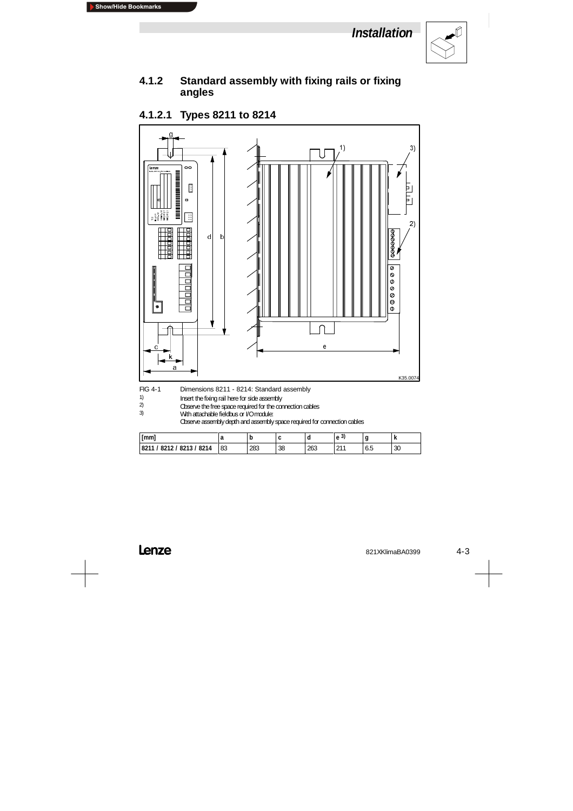

#### <span id="page-22-0"></span>**4.1.2 Standard assembly with fixing rails or fixing angles**

#### **4.1.2.1 Types 8211 to 8214**



FIG 4-1 Dimensions 8211 - 8214: Standard assembly<br>1) Insert the fixing rail here for side assembly

1) Insert the fixing rail here for side assembly<br>2) Observe the free space required for the con-

2) Observe the free space required for the connection cables<br>3) Mith attachable fieldburs or  $UO$  module:

With attachable fieldbus or I/O module:

Observe assembly depth and assembly space required for connection cables

| [mm]                        |    |     |    |     | $\sim$<br>. ت |     | n  |
|-----------------------------|----|-----|----|-----|---------------|-----|----|
| 8212 / 8213 / 8214<br>18211 | 83 | 283 | 38 | 263 | $\sim$ $\sim$ | U.J | 30 |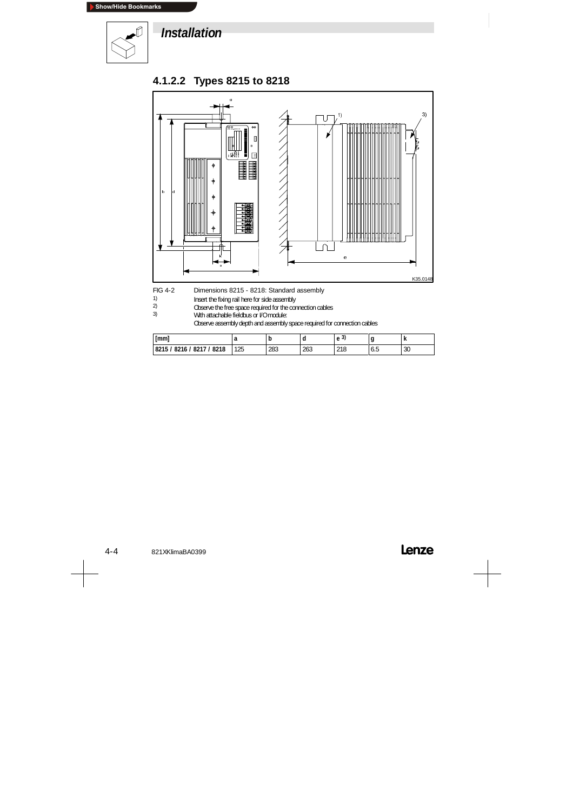<span id="page-23-0"></span>





|--|--|

FIG 4-2 Dimensions 8215 - 8218: Standard assembly<br>1) Insert the fiving rail here for side assembly

1) Insert the fixing rail here for side assembly<br>2) Observe the free space required for the cor 2) Observe the free space required for the connection cables<br>3) Mith attachable fieldburs or  *module:* 

With attachable fieldbus or I/O module:

Observe assembly depth and assembly space required for connection cables

| [mm]                             |     |     |     | $\sim$<br>اد م<br>≂ |     |    |
|----------------------------------|-----|-----|-----|---------------------|-----|----|
| 8215<br>8216<br>/ 8217 /<br>8218 | 125 | 283 | 263 | 210<br>210          | v.J | 30 |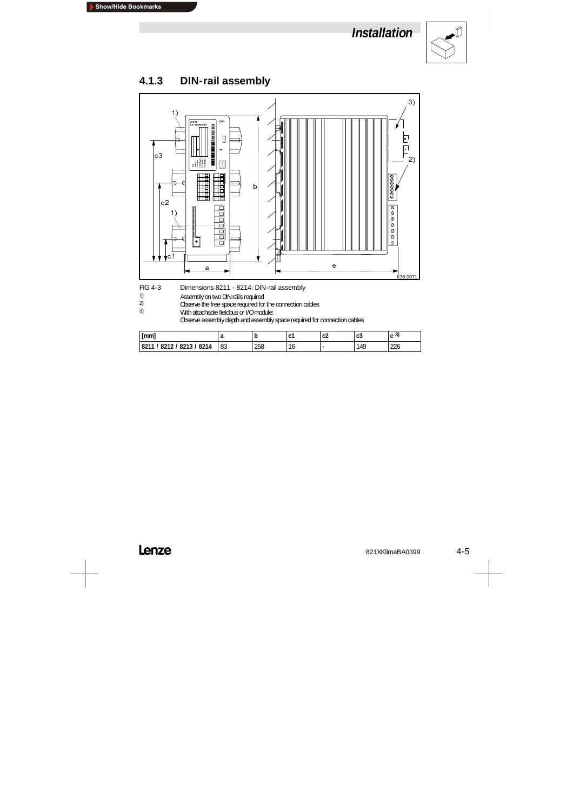



#### <span id="page-24-0"></span>**4.1.3 DIN-rail assembly**

FIG 4-3 Dimensions 8211 - 8214: DIN-rail assembly<br>1) Assembly on two DIN rails required

1) Assembly on two DIN rails required<br>2) Cheene the free space required for

2) Observe the free space required for the connection cables<br>3) With attachable fieldbus or *VO* module:

With attachable fieldbus or I/O module:

Observe assembly depth and assembly space required for connection cables

| [mm]                          | с  |     | $\sim$<br>u | $\sim$<br>◡▵ | c3  | $\sim$<br>e 3) |
|-------------------------------|----|-----|-------------|--------------|-----|----------------|
| ' 8212 / 8213 / 8214<br>8211/ | 83 | 258 | 16          |              | 149 | 226            |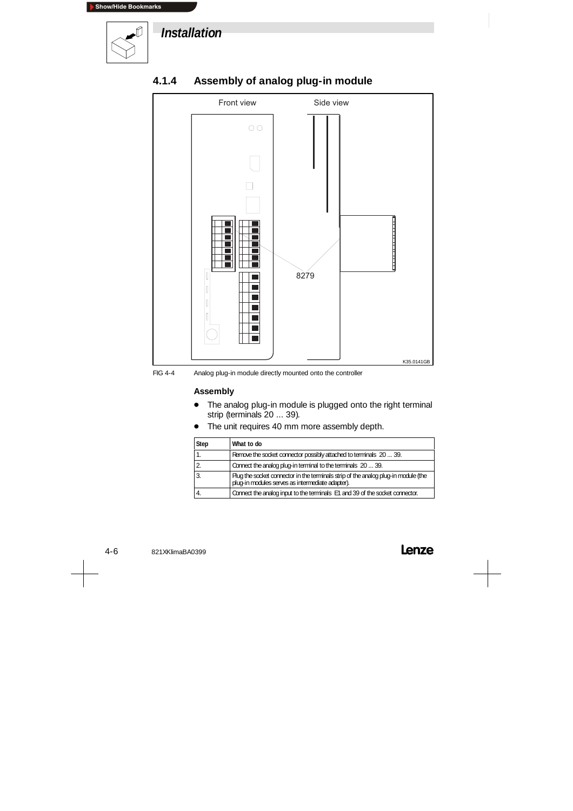<span id="page-25-0"></span>





FIG 4-4 Analog plug-in module directly mounted onto the controller

#### **Assembly**

- The analog plug-in module is plugged onto the right terminal strip (terminals 20 ... 39).
- The unit requires 40 mm more assembly depth.

| <b>Step</b> | What to do                                                                                                                             |
|-------------|----------------------------------------------------------------------------------------------------------------------------------------|
|             | Remove the socket connector possibly attached to terminals 20  39.                                                                     |
|             | Connect the analog plug-in terminal to the terminals 20  39.                                                                           |
|             | Plug the socket connector in the terminals strip of the analog plug-in module (the<br>plug-in modules serves as intermediate adapter). |
|             | Connect the analog input to the terminals E1 and 39 of the socket connector.                                                           |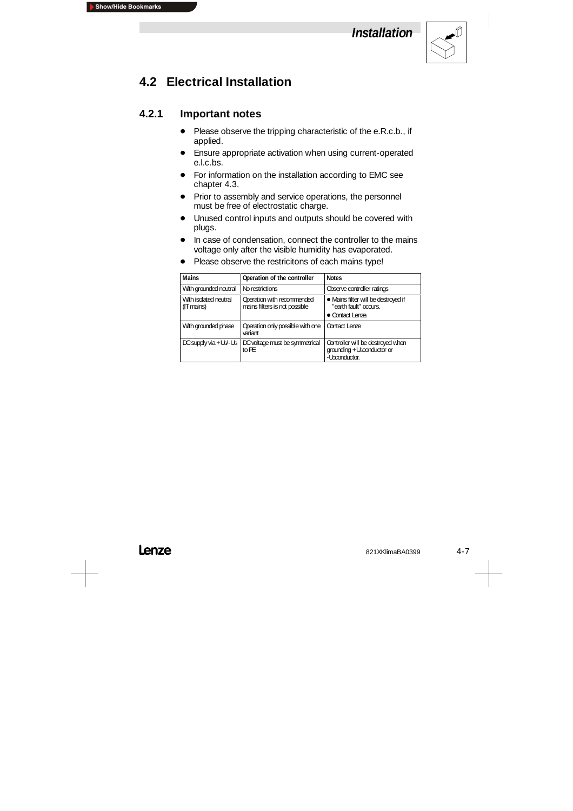

### <span id="page-26-0"></span>**4.2 Electrical Installation**

#### **4.2.1 Important notes**

- Please observe the tripping characteristic of the e.R.c.b., if applied.
- Ensure appropriate activation when using current-operated e.l.c.bs.
- For information on the installation according to EMC see chapter 4.3.
- Prior to assembly and service operations, the personnel must be free of electrostatic charge.
- Unused control inputs and outputs should be covered with plugs.
- In case of condensation, connect the controller to the mains voltage only after the visible humidity has evaporated.

| <b>Mains</b>                        | Operation of the controller                                 | <b>Notes</b>                                                                     |
|-------------------------------------|-------------------------------------------------------------|----------------------------------------------------------------------------------|
| With grounded neutral               | No restrictions                                             | Observe controller ratings                                                       |
| With isolated neutral<br>(IT mains) | Operation with recommended<br>mains filters is not possible | • Mains filter will be destroyed if<br>"earth fault" occurs.<br>• Contact Lenze. |
| With grounded phase                 | Operation only possible with one<br>variant                 | Contact Lenze                                                                    |
| DC supply via + UG/-UG              | DC voltage must be symmetrical<br>to PF                     | Controller will be destroyed when<br>grounding + Usconductor or<br>-Usconductor. |

• Please observe the restricitons of each mains type!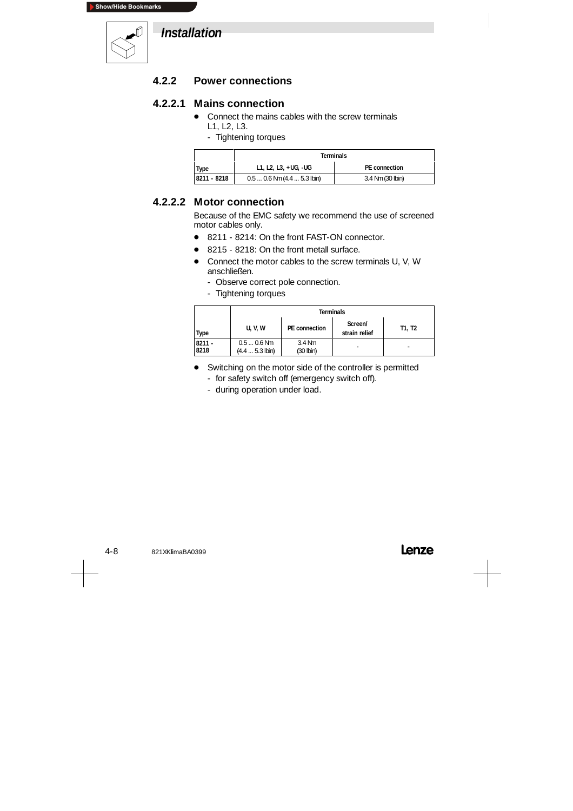<span id="page-27-0"></span>

#### **4.2.2 Power connections**

#### **4.2.2.1 Mains connection**

- Connect the mains cables with the screw terminals L1, L2, L3.
	- Tightening torques

|             | <b>Terminals</b>             |                      |  |
|-------------|------------------------------|----------------------|--|
| Type        | L1, L2, L3, $+$ UG, $-$ UG   | <b>PE</b> connection |  |
| 8211 - 8218 | $0.50.6$ Nm $(4.45.3)$ lbin) | 3.4 Nm (30 lbin)     |  |

#### **4.2.2.2 Motor connection**

Because of the EMC safety we recommend the use of screened motor cables only.

- 8211 8214: On the front FAST-ON connector.
- 8215 8218: On the front metall surface.
- Connect the motor cables to the screw terminals U, V, W anschließen.
	- Observe correct pole connection.
	- Tightening torques

|                  | <b>Terminals</b>                 |                       |                          |        |
|------------------|----------------------------------|-----------------------|--------------------------|--------|
| Type             | <b>U, V, W</b>                   | <b>PE</b> connection  | Screen/<br>strain relief | T1. T2 |
| $8211 -$<br>8218 | $0.50.6$ Nm<br>$(4.4 5.3)$ lbin) | 3.4 Nm<br>$(30$ lbin) |                          |        |

- Switching on the motor side of the controller is permitted
	- for safety switch off (emergency switch off).
	- during operation under load.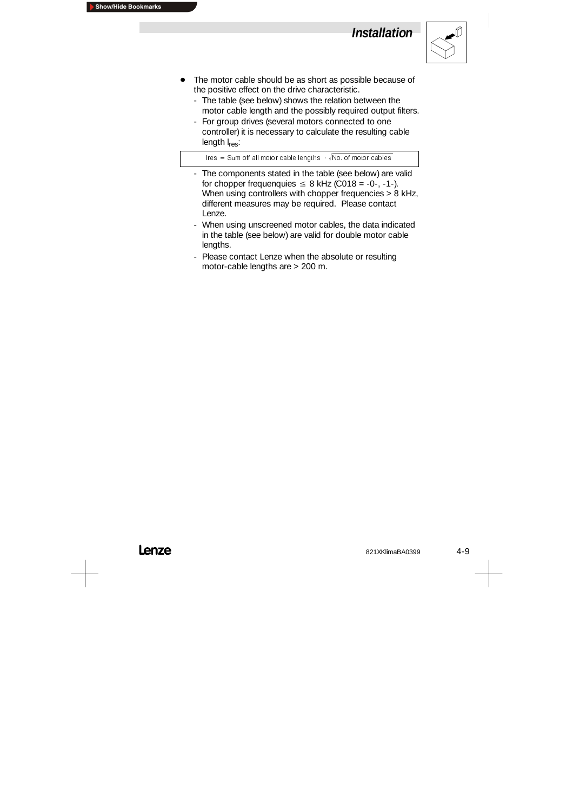

- The motor cable should be as short as possible because of the positive effect on the drive characteristic.
	- The table (see below) shows the relation between the motor cable length and the possibly required output filters.
	- For group drives (several motors connected to one controller) it is necessary to calculate the resulting cable length l<sub>res</sub>:

Ires = Sum off all motor cable lengths  $\cdot \sqrt{N}$ o. of motor cables

- The components stated in the table (see below) are valid for chopper frequenquies  $\leq 8$  kHz (C018 = -0-, -1-). When using controllers with chopper frequencies > 8 kHz, different measures may be required. Please contact Lenze.
- When using unscreened motor cables, the data indicated in the table (see below) are valid for double motor cable lengths.
- Please contact Lenze when the absolute or resulting motor-cable lengths are > 200 m.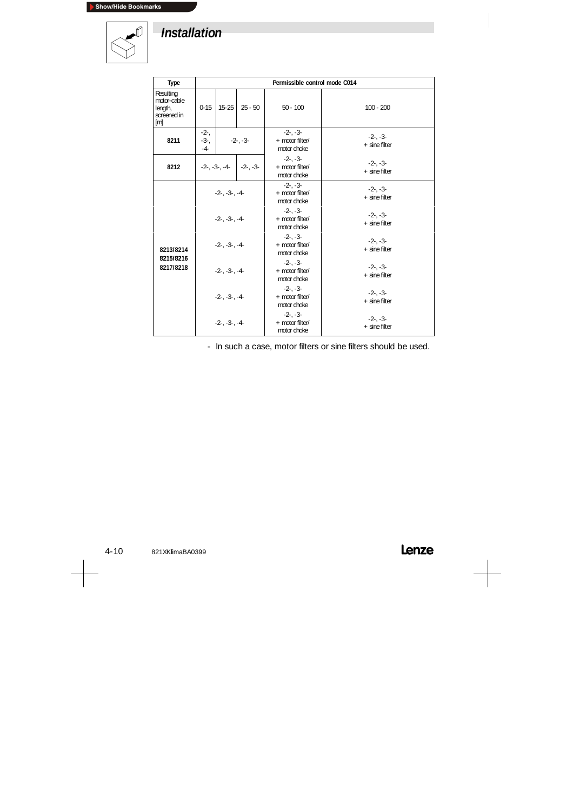

| <b>Type</b>                                               | Permissible control mode C014        |           |           |                                                 |                                |  |  |
|-----------------------------------------------------------|--------------------------------------|-----------|-----------|-------------------------------------------------|--------------------------------|--|--|
| Resulting<br>motor-cable<br>length,<br>screened in<br>[m] | $0 - 15$                             | $15 - 25$ | $25 - 50$ | $50 - 100$                                      | $100 - 200$                    |  |  |
| 8211                                                      | $-2-$<br>$-2-2-3-$<br>$-3-$<br>$-4-$ |           |           | $-2- -3-$<br>+ motor filter/<br>motor choke     | $-2- -3-$<br>+ sine filter     |  |  |
| 8212                                                      | $-2 - -3 - -4$<br>$-2-7-3-$          |           |           | $-2-$ , $-3-$<br>+ motor filter/<br>motor choke | $-2-$ , $-3-$<br>+ sine filter |  |  |
| 8213/8214<br>8215/8216<br>8217/8218                       | $-2-1-3-1-4-$                        |           |           | $-2- -3-$<br>+ motor filter/<br>motor choke     | $-2-$ , $-3-$<br>+ sine filter |  |  |
|                                                           | $-2-1-3-1-4-$                        |           |           | $-2-$ , $-3-$<br>+ motor filter/<br>motor choke | $-2-$ , $-3-$<br>+ sine filter |  |  |
|                                                           | $-2-1-3-1-4-$                        |           |           | $-2-$ , $-3-$<br>+ motor filter/<br>motor choke | $-2- -3-$<br>+ sine filter     |  |  |
|                                                           | $-2-1-3-1-4-$                        |           |           | $-2-$ , $-3-$<br>+ motor filter/<br>motor choke | $-2- -3-$<br>+ sine filter     |  |  |
|                                                           | $-2-$ , $-3-$ , $-4-$                |           |           | $-2-$ , $-3-$<br>+ motor filter/<br>motor choke | $-2- -3-$<br>+ sine filter     |  |  |
|                                                           | $-2-$ , $-3-$ , $-4-$                |           |           | $-2-$ , $-3-$<br>+ motor filter/<br>motor choke | $-2- -3-$<br>+ sine filter     |  |  |

- In such a case, motor filters or sine filters should be used.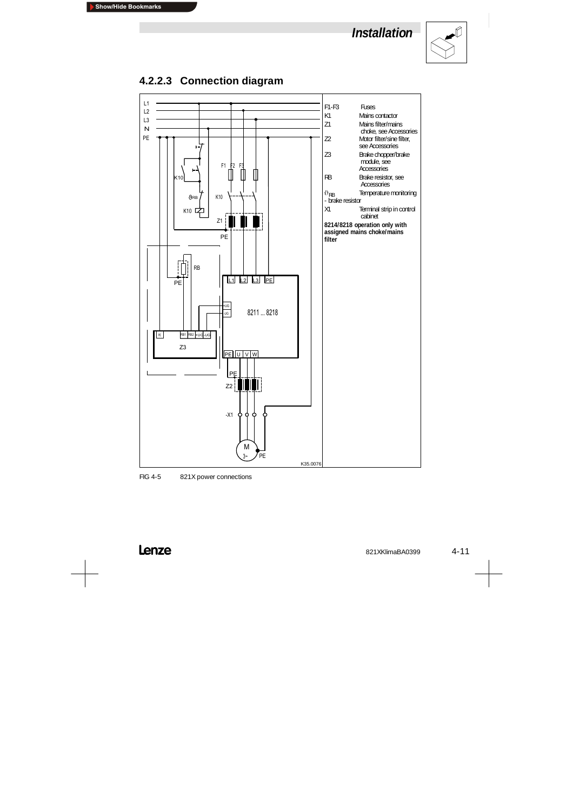



#### <span id="page-30-0"></span>**4.2.2.3 Connection diagram**

#### FIG 4-5 821X power connections

#### Lenze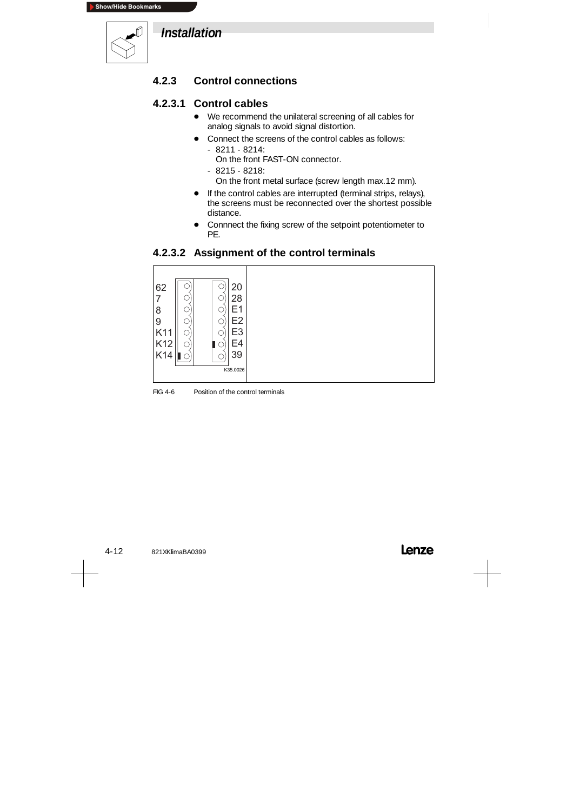<span id="page-31-0"></span>

### **4.2.3 Control connections**

#### **4.2.3.1 Control cables**

- We recommend the unilateral screening of all cables for analog signals to avoid signal distortion.
- Connect the screens of the control cables as follows:
	- $-$  8211 8214 On the front FAST-ON connector.
	- 8215 8218:
		- On the front metal surface (screw length max.12 mm).
- If the control cables are interrupted (terminal strips, relays), the screens must be reconnected over the shortest possible distance.
- Connnect the fixing screw of the setpoint potentiometer to PE.

#### **4.2.3.2 Assignment of the control terminals**



FIG 4-6 Position of the control terminals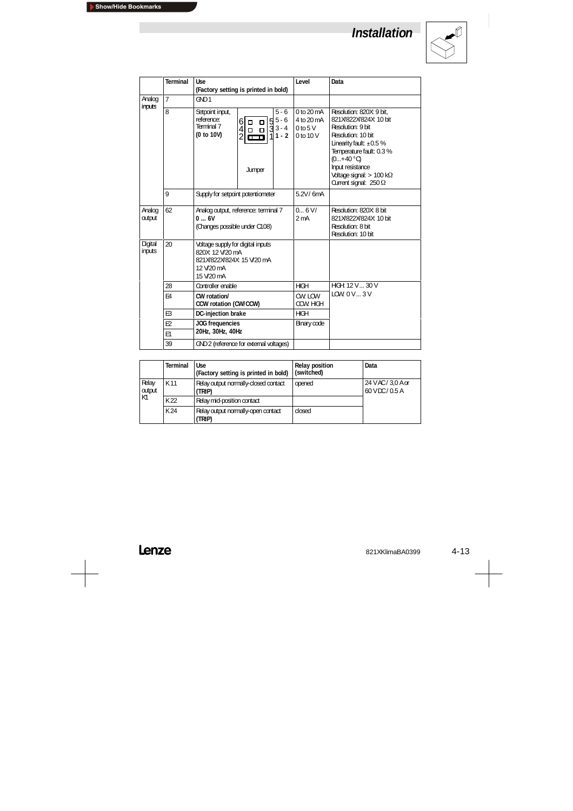

|                   | <b>Terminal</b>                                         | Use                                                                                                             |                                                                                            | Level                                    | Data                                                         |                                                                                                                                                                                                                                                                    |
|-------------------|---------------------------------------------------------|-----------------------------------------------------------------------------------------------------------------|--------------------------------------------------------------------------------------------|------------------------------------------|--------------------------------------------------------------|--------------------------------------------------------------------------------------------------------------------------------------------------------------------------------------------------------------------------------------------------------------------|
|                   |                                                         | (Factory setting is printed in bold)                                                                            |                                                                                            |                                          |                                                              |                                                                                                                                                                                                                                                                    |
| Analog<br>inputs  | $\overline{7}$                                          | GND <sub>1</sub>                                                                                                |                                                                                            |                                          |                                                              |                                                                                                                                                                                                                                                                    |
|                   | $\mathsf{R}$                                            | Setpoint input,<br>reference:<br>Terminal 7<br>(0 to 10V)                                                       | 5<br>6<br><b>.</b> .<br>$\frac{4}{2}$<br>3<br>$\Box$<br>$\Box$<br>$\overline{1}$<br>Jumper | $5 - 6$<br>$5 - 6$<br>$3 - 4$<br>$1 - 2$ | $0$ to $20$ mA<br>4 to 20 mA<br>$0$ to $5$ V<br>$0$ to $10V$ | Resolution: 820X: 9 bit,<br>821X/822X/824X: 10 bit<br>Resolution: 9 bit<br>Resolution: 10 bit<br>Linearity fault: ±0.5 %<br>Temperature fault: 0.3 %<br>$(0+40 °C)$<br>Input resistance<br>Voltage signal: $> 100 \text{ k}\Omega$<br>Current signal: 250 $\Omega$ |
|                   | 9                                                       | Supply for setpoint potentiometer                                                                               |                                                                                            |                                          | 5.2V/6mA                                                     |                                                                                                                                                                                                                                                                    |
| Analog<br>output  | 62                                                      | Analog output, reference: terminal 7<br>06V<br>(Changes possible under C108)                                    |                                                                                            |                                          | 06V/<br>2 <sub>m</sub> A                                     | Resolution: 820X: 8 bit<br>821X/822X/824X: 10 bit<br>Resolution: 8 bit<br>Resolution: 10 bit                                                                                                                                                                       |
| Digital<br>inputs | 20                                                      | Voltage supply for digital inputs<br>820X: 12 V/20 mA<br>821X/822X/824X: 15 V/20 mA<br>12 V/20 mA<br>15 V/20 mA |                                                                                            |                                          |                                                              |                                                                                                                                                                                                                                                                    |
|                   | 28                                                      | Controller enable                                                                                               |                                                                                            |                                          | <b>HIGH</b>                                                  | HIGH: 12 V  30 V                                                                                                                                                                                                                                                   |
|                   | F <sub>4</sub><br>CW rotation/<br>CCW rotation (CW/CCW) |                                                                                                                 | CW: LOW<br>CCW: HIGH                                                                       | LOW: 0 V 3 V                             |                                                              |                                                                                                                                                                                                                                                                    |
|                   | E <sub>3</sub>                                          | DC-injection brake                                                                                              |                                                                                            |                                          | <b>HIGH</b>                                                  |                                                                                                                                                                                                                                                                    |
|                   | F <sub>2</sub>                                          | <b>JOG</b> frequencies                                                                                          |                                                                                            |                                          | Binary code                                                  |                                                                                                                                                                                                                                                                    |
|                   | F <sub>1</sub>                                          | 20Hz, 30Hz, 40Hz                                                                                                |                                                                                            |                                          |                                                              |                                                                                                                                                                                                                                                                    |
|                   | 39                                                      | GND 2 (reference for external voltages)                                                                         |                                                                                            |                                          |                                                              |                                                                                                                                                                                                                                                                    |

|                 | <b>Terminal</b> | Use<br>(Factory setting is printed in bold)    | <b>Relay position</b><br>(switched) | Data                                  |
|-----------------|-----------------|------------------------------------------------|-------------------------------------|---------------------------------------|
| Relay<br>output | K 11            | Relay output normally-closed contact<br>(TRIP) | opened                              | 24 V AC / 3,0 A or<br>60 V DC / 0.5 A |
| K1              | K <sub>22</sub> | Relay mid-position contact                     |                                     |                                       |
|                 | K 24            | Relay output normally-open contact<br>(TRIP)   | closed                              |                                       |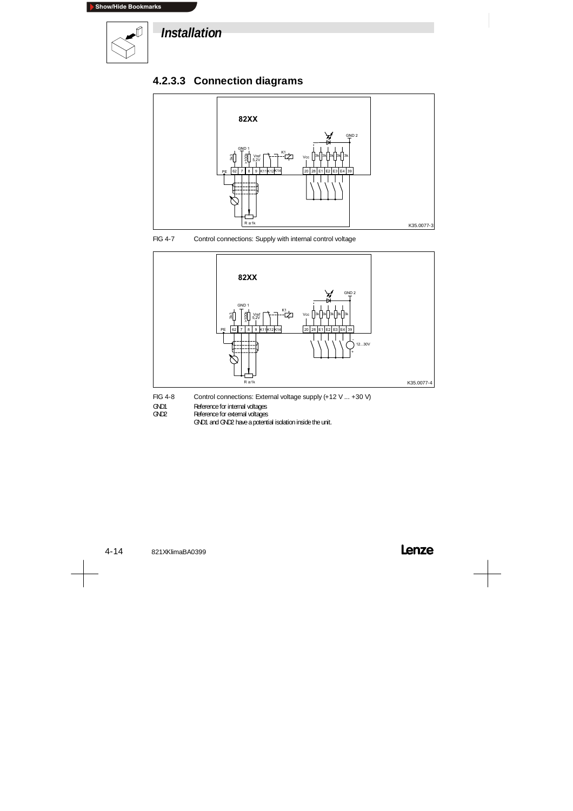<span id="page-33-0"></span>

### **4.2.3.3 Connection diagrams**



FIG 4-7 Control connections: Supply with internal control voltage



- FIG 4-8 Control connections: External voltage supply (+12 V ... +30 V)
- 
- GND1 Reference for internal voltages<br>GND2 Reference for external voltages Reference for external voltages

GND1 and GND2 have a potential isolation inside the unit.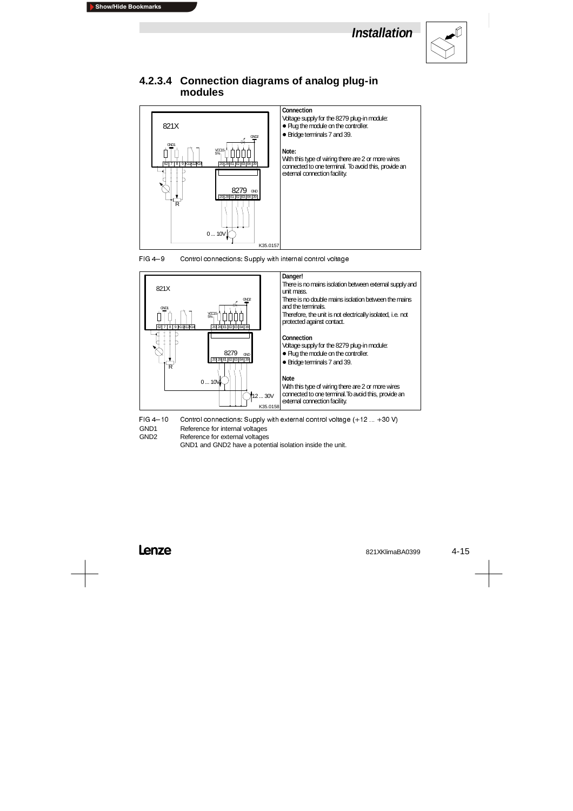

#### <span id="page-34-0"></span>**4.2.3.4 Connection diagrams of analog plug-in modules**



FIG 4-9 Control connections: Supply with internal control voltage



- FIG  $4-10$  Control connections: Supply with external control voltage  $(+12...+30V)$
- GND1 Reference for internal voltages<br>
GND2 Reference for external voltages
	- Reference for external voltages

GND1 and GND2 have a potential isolation inside the unit.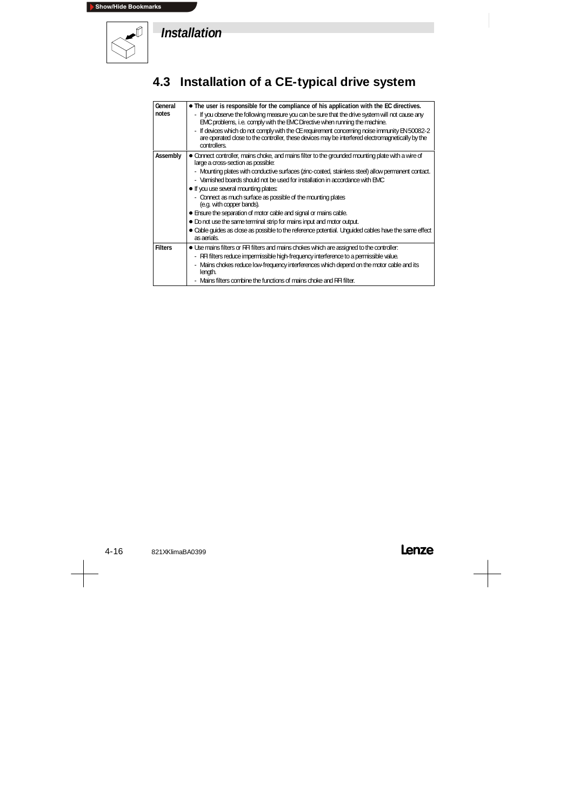<span id="page-35-0"></span>

## **4.3 Installation of a CE-typical drive system**

| General        | • The user is responsible for the compliance of his application with the EC directives.                                                                                                                           |
|----------------|-------------------------------------------------------------------------------------------------------------------------------------------------------------------------------------------------------------------|
| notes          | - If you observe the following measure you can be sure that the drive system will not cause any<br>EMC problems, i.e. comply with the EMC Directive when running the machine.                                     |
|                | - If devices which do not comply with the CE requirement concerning noise immunity EN 50082-2<br>are operated close to the controller, these devices may be interfered electromagnetically by the<br>controllers. |
| Assembly       | • Connect controller, mains choke, and mains filter to the grounded mounting plate with a wire of<br>large a cross-section as possible:                                                                           |
|                | - Mounting plates with conductive surfaces (zinc-coated, stainless steel) allow permanent contact.                                                                                                                |
|                | - Varnished boards should not be used for installation in accordance with EMC                                                                                                                                     |
|                | • If you use several mounting plates:                                                                                                                                                                             |
|                | - Connect as much surface as possible of the mounting plates<br>(e.g. with copper bands).                                                                                                                         |
|                | • Ensure the separation of motor cable and signal or mains cable.                                                                                                                                                 |
|                | • Do not use the same terminal strip for mains input and motor output.                                                                                                                                            |
|                | • Cable quides as close as possible to the reference potential. Unquided cables have the same effect<br>as aerials.                                                                                               |
| <b>Filters</b> | • Use mains filters or RFI filters and mains chokes which are assigned to the controller:                                                                                                                         |
|                | - RFI filters reduce impermissible high-frequency interference to a permissible value.                                                                                                                            |
|                | Mains chokes reduce low-frequency interferences which depend on the motor cable and its<br>$\frac{1}{2}$<br>length.                                                                                               |
|                | - Mains filters combine the functions of mains choke and RFI filter.                                                                                                                                              |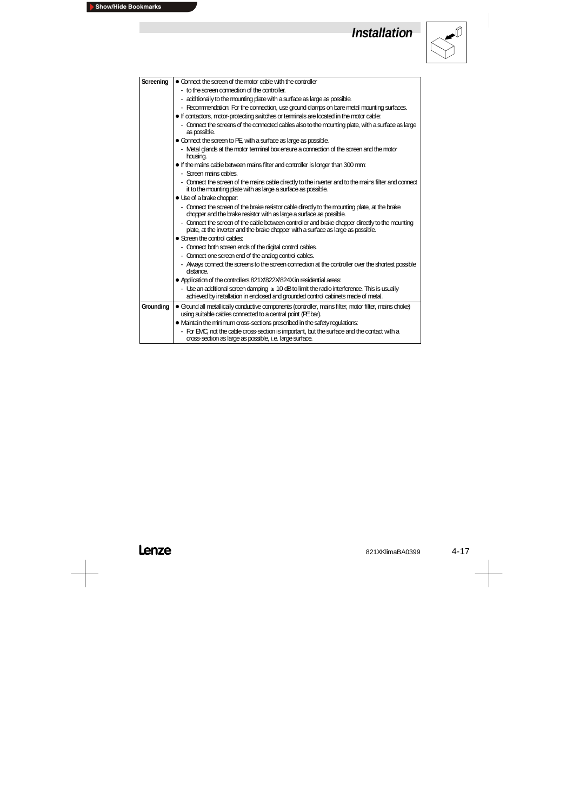## *Installation*



| Screening | • Connect the screen of the motor cable with the controller                                                                                                                           |
|-----------|---------------------------------------------------------------------------------------------------------------------------------------------------------------------------------------|
|           | - to the screen connection of the controller.                                                                                                                                         |
|           | - additionally to the mounting plate with a surface as large as possible.                                                                                                             |
|           | - Recommendation: For the connection, use ground clamps on bare metal mounting surfaces.                                                                                              |
|           | • If contactors, motor-protecting switches or terminals are located in the motor cable:                                                                                               |
|           | - Connect the screens of the connected cables also to the mounting plate, with a surface as large<br>as possible.                                                                     |
|           | • Connect the screen to PE, with a surface as large as possible.                                                                                                                      |
|           | - Metal glands at the motor terminal box ensure a connection of the screen and the motor<br>housing.                                                                                  |
|           | • If the mains cable between mains filter and controller is longer than 300 mm:                                                                                                       |
|           | - Screen mains cables.                                                                                                                                                                |
|           | - Connect the screen of the mains cable directly to the inverter and to the mains filter and connect<br>it to the mounting plate with as large a surface as possible.                 |
|           | • Use of a brake chopper:                                                                                                                                                             |
|           | - Connect the screen of the brake resistor cable directly to the mounting plate, at the brake<br>chopper and the brake resistor with as large a surface as possible.                  |
|           | - Connect the screen of the cable between controller and brake chopper directly to the mounting<br>plate, at the inverter and the brake chopper with a surface as large as possible.  |
|           | • Screen the control cables:                                                                                                                                                          |
|           | - Connect both screen ends of the digital control cables.                                                                                                                             |
|           | - Connect one screen end of the analog control cables.                                                                                                                                |
|           | - Always connect the screens to the screen connection at the controller over the shortest possible<br>distance                                                                        |
|           | • Application of the controllers 821X/822X/824X in residential areas:                                                                                                                 |
|           | - Use an additional screen damping $\geq 10$ dB to limit the radio interference. This is usually<br>achieved by installation in enclosed and grounded control cabinets made of metal. |
| Grounding | • Ground all metallically conductive components (controller, mains filter, motor filter, mains choke)<br>using suitable cables connected to a central point (PE bar).                 |
|           | • Maintain the minimum cross-sections prescribed in the safety regulations:                                                                                                           |
|           | - For EMC, not the cable cross-section is important, but the surface and the contact with a<br>cross-section as large as possible, i.e. large surface.                                |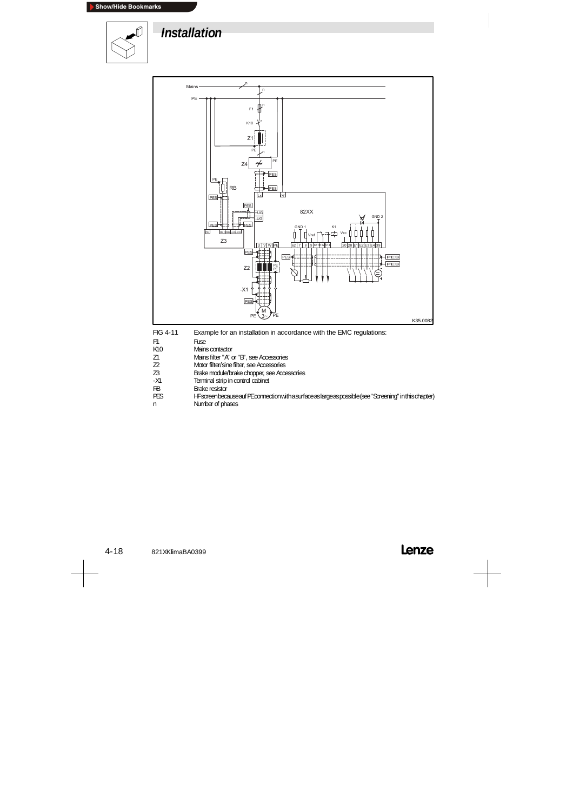

*Installation*



- FIG 4-11 Example for an installation in accordance with the EMC regulations:
- F1 Fuse<br>K10 Main
- K10 Mains contactor<br>
Z1 Mains filter "A" d
- Z1 Mains filter"A" or "B", see Accessories
- Z2 Motor filter/sine filter, see Accessories
- Z3 Brake module/brake chopper, see Accessories
- -X1 Terminal strip in control cabinet<br>RB Brake resistor
- RB Brake resistor<br>PFS HF screen beca
- HF screenbecause auf PE connection with a surface as large as possible (see "Screening" in this chapter)
- n Number of phases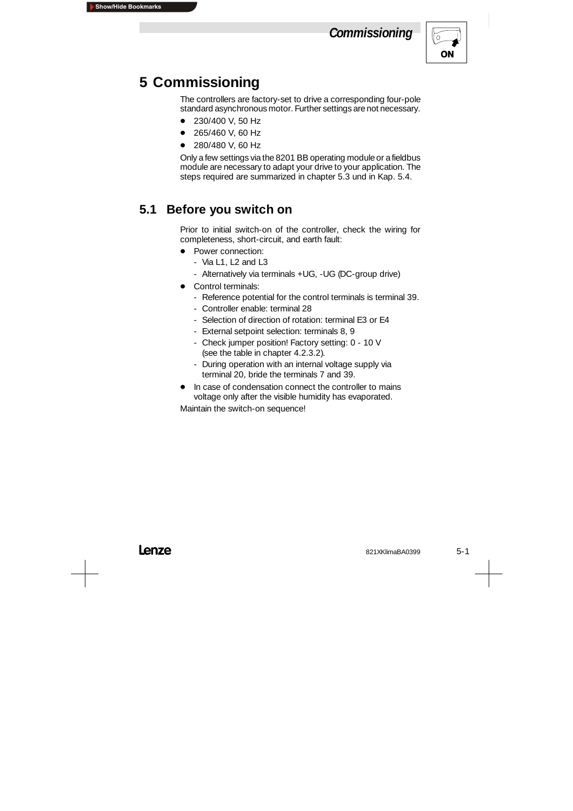

## **5 Commissioning**

The controllers are factory-set to drive a corresponding four-pole standard asynchronous motor. Further settings are not necessary.

- $-230/400$  V, 50 Hz
- 265/460 V, 60 Hz
- $280/480$  V, 60 Hz

Only a few settings via the 8201 BB operating module or a fieldbus module are necessary to adapt your drive to your application. The steps required are summarized in chapter 5.3 und in Kap. 5.4.

## **5.1 Before you switch on**

Prior to initial switch-on of the controller, check the wiring for completeness, short-circuit, and earth fault:

- Power connection:
	- Via L1, L2 and L3
	- Alternatively via terminals +UG, -UG (DC-group drive)
- Control terminals:
	- Reference potential for the control terminals is terminal 39.
	- Controller enable: terminal 28
	- Selection of direction of rotation: terminal E3 or E4
	- External setpoint selection: terminals 8, 9
	- Check jumper position! Factory setting: 0 10 V (see the table in chapter 4.2.3.2).
	- During operation with an internal voltage supply via terminal 20, bride the terminals 7 and 39.
- In case of condensation connect the controller to mains voltage only after the visible humidity has evaporated.

Maintain the switch-on sequence!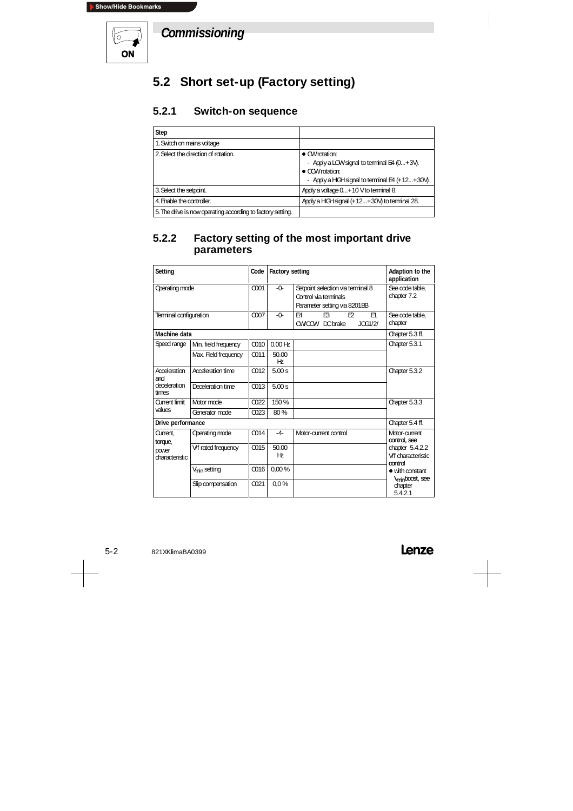

## **5.2 Short set-up (Factory setting)**

### **5.2.1 Switch-on sequence**

| Step                                                        |                                                                                                                                        |
|-------------------------------------------------------------|----------------------------------------------------------------------------------------------------------------------------------------|
| 1. Switch on mains voltage                                  |                                                                                                                                        |
| 2. Select the direction of rotation.                        | • CW rotation:<br>- Apply a LOW signal to terminal E4 $(0+3V)$ .<br>• CCW rotation:<br>- Apply a HIGH signal to terminal E4 (+12+30V). |
| 3. Select the setpoint.                                     | Apply a voltage 0+10 V to terminal 8.                                                                                                  |
| 4. Enable the controller.                                   | Apply a HIGH signal (+12+30V) to terminal 28.                                                                                          |
| 5. The drive is now operating according to factory setting. |                                                                                                                                        |

### **5.2.2 Factory setting of the most important drive parameters**

| Setting                 |                          | Code             | <b>Factory setting</b>  |                                                                                                    | Adaption to the<br>application                   |
|-------------------------|--------------------------|------------------|-------------------------|----------------------------------------------------------------------------------------------------|--------------------------------------------------|
| Operating mode          |                          | C <sub>001</sub> | $-()$ -                 | Setpoint selection via terminal 8<br>Control via terminals<br>Parameter setting via 8201BB         | See code table,<br>chapter 7.2                   |
| Terminal configuration  |                          | C <sub>007</sub> | $-()$ -                 | F <sub>4</sub><br>F <sub>3</sub><br>F <sub>2</sub><br>F <sub>1</sub><br>CW/CCW DC brake<br>JOG1/2/ | See code table.<br>chapter                       |
| Machine data            |                          |                  |                         |                                                                                                    | Chapter 5.3 ff.                                  |
| Speed range             | Min. field frequency     | C010             | $0.00$ Hz               |                                                                                                    | Chapter 5.3.1                                    |
|                         | Max. Field frequency     | C <sub>011</sub> | 50.00<br>H <sub>7</sub> |                                                                                                    |                                                  |
| Acceleration<br>and     | <b>Acceleration time</b> | C <sub>012</sub> | 5.00 s                  |                                                                                                    | Chapter 5.3.2                                    |
| deceleration<br>times   | Deceleration time        | CO13             | 5.00 s                  |                                                                                                    |                                                  |
| Current limit           | Motor mode               | CO <sub>22</sub> | 150 %                   |                                                                                                    | Chapter 5.3.3                                    |
| values                  | Generator mode           | C023             | 80 %                    |                                                                                                    |                                                  |
| Drive performance       |                          |                  |                         |                                                                                                    | Chapter 5.4 ff.                                  |
| Current.<br>torque,     | Operating mode           | C <sub>014</sub> | $-4-$                   | Motor-current control                                                                              | Motor-current<br>control. see                    |
| power<br>characteristic | Wf rated frequency       | C015             | 50.00<br>H <sub>z</sub> |                                                                                                    | chapter 5.4.2.2<br>V/f characteristic<br>control |
|                         | V <sub>min</sub> setting | C <sub>016</sub> | 0.00%                   |                                                                                                    | • with constant<br>V <sub>min</sub> boost, see   |
|                         | Slip compensation        | C <sub>021</sub> | 0.0%                    |                                                                                                    | chapter<br>5.4.2.1                               |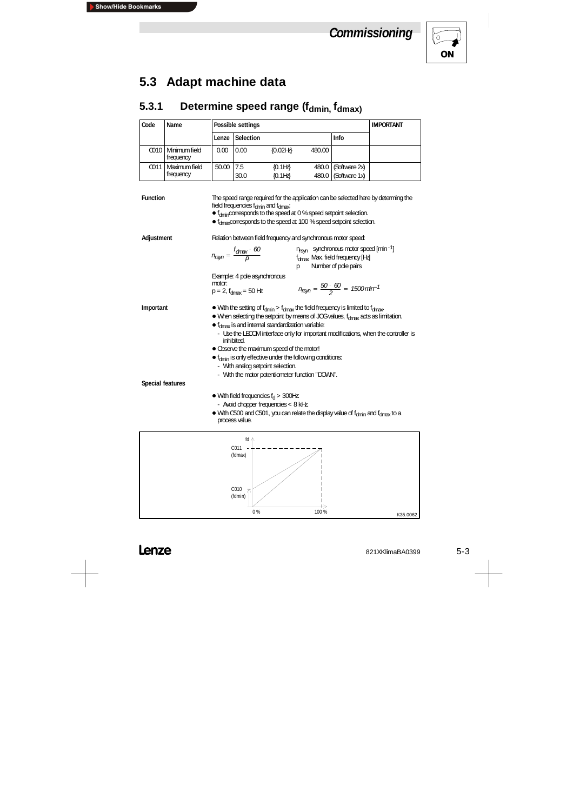

## **5.3 Adapt machine data**

### **5.3.1** Determine speed range (f<sub>dmin,</sub> f<sub>dmax)</sub>

| Code | Name                              |       | Possible settings | <b>IMPORTANT</b>       |        |                                            |  |
|------|-----------------------------------|-------|-------------------|------------------------|--------|--------------------------------------------|--|
|      |                                   | Lenze | Selection         |                        |        | Info                                       |  |
|      | C010   Minimum field<br>frequency | 0.00  | 0.00              | ${0.02Hz}$             | 480.00 |                                            |  |
|      | C011   Maximum field<br>frequency | 50.00 | 7.5<br>30.0       | ${0.1Hz}$<br>${0.1Hz}$ |        | 480.0 (Software 2x)<br>480.0 (Software 1x) |  |

**Function** The speed range required for the application can be selected here by determing the field frequencies f<sub>dmin</sub> and f<sub>dmax</sub>:

- f<sub>dmin</sub>corresponds to the speed at 0 % speed setpoint selection.
- fdmaxcorresponds to the speed at 100 % speed setpoint selection.

**Adjustment** Relation between field frequency and synchronous motor speed:

$$
n_{rsyn} = \frac{f_{dmax} \cdot 60}{p}
$$

 $p = 2$ ,  $f_{\text{draw}} = 50 \text{ Hz}$ 

n<sub>rsyn</sub> synchronous motor speed [min -1] f<sub>dmax</sub> Max. field frequency [Hz] p Number of pole pairs

Example: 4 pole asynchronous motor:

$$
n_{rsyn} = \frac{50 \cdot 60}{2} = 1500 \text{ min}^{-1}
$$

- **Important**  $\bullet$  With the setting of  $f_{dmin}$  >  $f_{dmax}$  the field frequency is limited to  $f_{dmax}$ .
	- $\bullet$  When selecting the setpoint by means of JOG values,  $f_{\text{dmax}}$  acts as limitation.
	- $\bullet$   $f_{\text{dmax}}$  is and internal standardization variable: - Use the LECOM interface only for important modifications, when the controller is inhibited.
	- Observe the maximum speed of the motor!
	- $\bullet$   $f_{dmin}$  is only effective under the following conditions: - With analog setpoint selection.
	- With the motor potentiometer function "DOWN".

**Special features**

- $\bullet$  With field frequencies  $f_d > 300$ Hz:
- Avoid chopper frequencies < 8 kHz.
- . With C500 and C501, you can relate the display value of f<sub>dmin</sub> and f<sub>dmax</sub> to a process value.

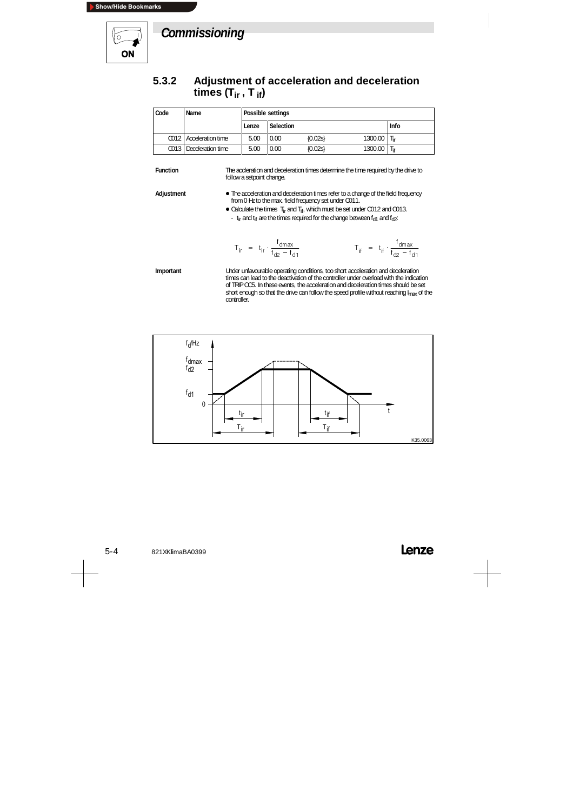

### **5.3.2 Adjustment of acceleration and deceleration times (Tir , T if)**

| Code | Name                     | Possible settings |           |           |                  |             |
|------|--------------------------|-------------------|-----------|-----------|------------------|-------------|
|      |                          | Lenze             | Selection |           |                  | <b>Info</b> |
|      | C012 Acceleration time   | 5.00              | 0.00      | ${0.02s}$ | 1300.00 $T_{ir}$ |             |
|      | C013   Deceleration time | 5.00              | 0.00      | ${0.02s}$ | 1300.00          | Tif         |

**Function** The accleration and deceleration times determine the time required by the drive to follow a setpoint change.

- Adjustment The acceleration and deceleration times refer to a change of the field frequency from 0 Hz to the max. field frequency set under C011.
	- $\bullet$  Calculate the times T<sub>ir</sub> and T<sub>if</sub>, which must be set under C012 and C013.
		- $t_{ir}$  and  $t_{if}$  are the times required for the change between  $f_{d1}$  and  $f_{d2}$ :

$$
T_{ir} = t_{ir} \cdot \frac{f_{dmax}}{f_{d2} - f_{d1}}
$$
  $T_{if} = t_{if} \cdot \frac{f_{dmax}}{f_{d2} - f_{d1}}$ 

**Important** Under unfavourable operating conditions, too short acceleration and deceleration times can lead to the deactivation of the controller under overload with the indication of TRIP OC5. In these events, the acceleration and deceleration times should be set short enough so that the drive can follow the speed profile without reaching I<sub>max</sub> of the controller.

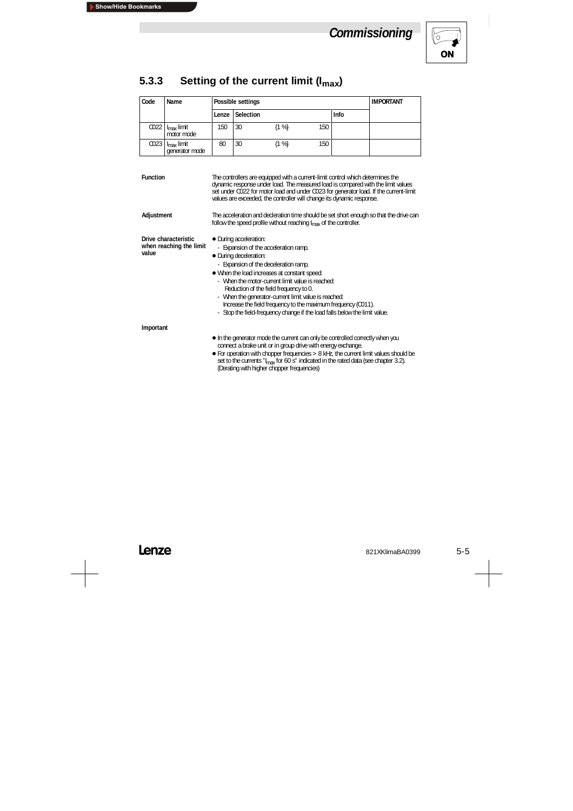

### **5.3.3 Setting of the current limit (Imax)**

| Code             | Name                                     |       | Possible settings | <b>IMPORTANT</b> |     |             |  |
|------------------|------------------------------------------|-------|-------------------|------------------|-----|-------------|--|
|                  |                                          | Lenze | Selection         |                  |     | <b>Info</b> |  |
| CO <sub>22</sub> | I <sub>max</sub> limit<br>motor mode     | 150   | 30                | ${1%}$           | 150 |             |  |
| CO <sub>23</sub> | $I_{\text{max}}$ limit<br>generator mode | 80    | 30                | ${1%}$           | 150 |             |  |

| The controllers are equipped with a current-limit control which determines the<br>dynamic response under load. The measured load is compared with the limit values<br>set under C022 for motor load and under C023 for generator load. If the current-limit<br>values are exceeded, the controller will change its dynamic response.                                                                                                                                                    |
|-----------------------------------------------------------------------------------------------------------------------------------------------------------------------------------------------------------------------------------------------------------------------------------------------------------------------------------------------------------------------------------------------------------------------------------------------------------------------------------------|
| The acceleration and decleration time should be set short enough so that the drive can<br>follow the speed profile without reaching I <sub>max</sub> of the controller.                                                                                                                                                                                                                                                                                                                 |
| • During acceleration:<br>- Expansion of the acceleration ramp.<br>• During deceleration:<br>- Expansion of the deceleration ramp.<br>• When the load increases at constant speed:<br>- When the motor-current limit value is reached:<br>Reduction of the field frequency to 0.<br>- When the generator-current limit value is reached:<br>Increase the field frequency to the maximum frequency (C011).<br>- Stop the field-frequency change if the load falls below the limit value. |
|                                                                                                                                                                                                                                                                                                                                                                                                                                                                                         |
|                                                                                                                                                                                                                                                                                                                                                                                                                                                                                         |

- In the generator mode the current can only be controlled correctly when you connect a brake unit or in group drive with energy exchange.
- For operation with chopper frequencies > 8 kHz, the current limit values should be set to the currents "I<sub>max</sub> for 60 s" indicated in the rated data (see chapter 3.2). (Derating with higher chopper frequencies)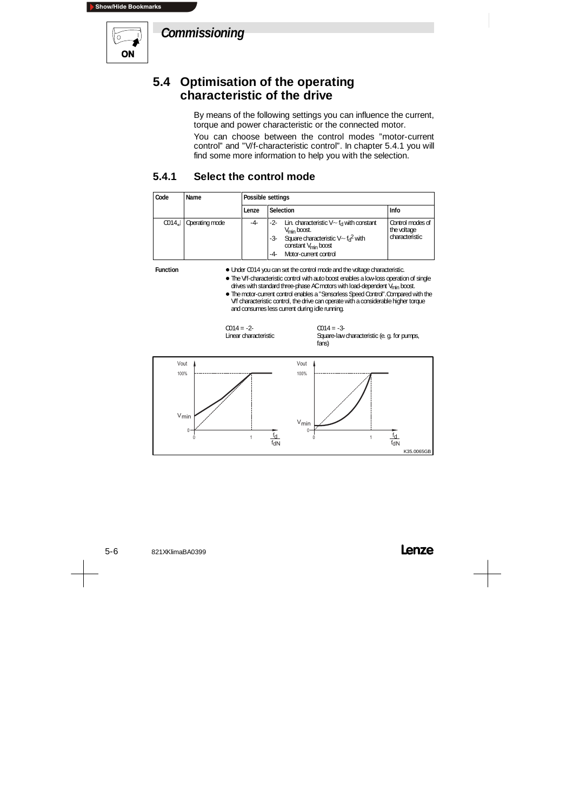

## **5.4 Optimisation of the operating characteristic of the drive**

By means of the following settings you can influence the current, torque and power characteristic or the connected motor.

You can choose between the control modes "motor-current control" and "V/f-characteristic control". In chapter 5.4.1 you will find some more information to help you with the selection.

### **5.4.1 Select the control mode**

| Code | Name                 | Possible settings |                                                                                                                                                                                                 |                                                   |  |  |
|------|----------------------|-------------------|-------------------------------------------------------------------------------------------------------------------------------------------------------------------------------------------------|---------------------------------------------------|--|--|
|      |                      | Lenze             | Selection                                                                                                                                                                                       | Info                                              |  |  |
|      | C014. Operating mode | -4-               | -2- Lin. characteristic $V \sim f_d$ with constant<br>$V_{\text{min}}$ boost.<br>Square characteristic $V \sim f_d^2$ with<br>$-3-$<br>constant V <sub>min</sub> boost<br>Motor-current control | Control modes of<br>the voltage<br>characteristic |  |  |

**Function •** Under C014 you can set the control mode and the voltage characteristic.

. The V/f-characteristic control with auto boost enables a low-loss operation of single drives with standard three-phase AC motors with load-dependent V<sub>min</sub> boost.

- The motor-current control enables a "Sensorless Speed Control".Compared with the V/f characteristic control, the drive can operate with a considerable higher torque and consumes less current during idle running.



 $CO14 = -3$ -Square-law characteristic (e. g. for pumps, fans)

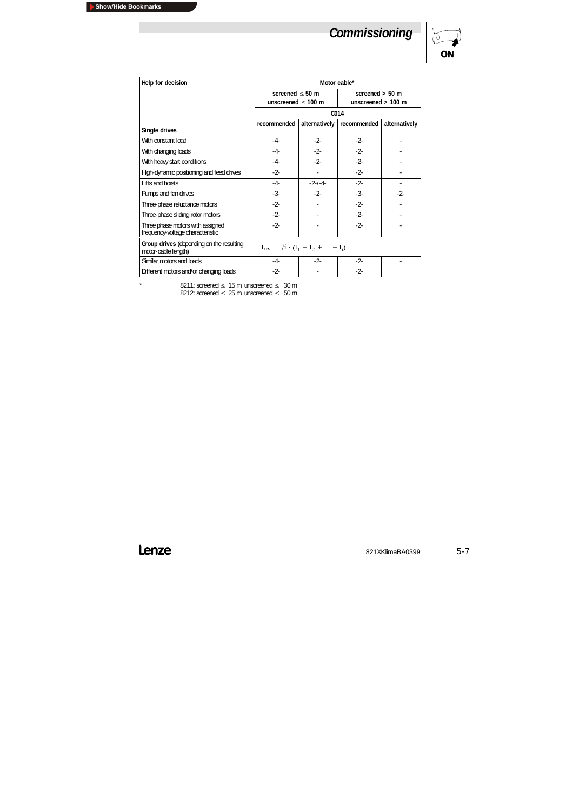

| Help for decision                                                    | Motor cable*                                    |                                                 |                                           |               |  |
|----------------------------------------------------------------------|-------------------------------------------------|-------------------------------------------------|-------------------------------------------|---------------|--|
|                                                                      | screened $\leq$ 50 m<br>unscreened $\leq 100$ m |                                                 | screened $> 50$ m<br>unscreened $> 100$ m |               |  |
|                                                                      |                                                 |                                                 | C014                                      |               |  |
| Single drives                                                        | recommended                                     |                                                 | alternatively recommended                 | alternatively |  |
| With constant load                                                   | $-4-$                                           | $-2-$                                           | $-2-$                                     |               |  |
| With changing loads                                                  | $-4-$                                           | $-2-$                                           | $-2-$                                     |               |  |
| With heavy start conditions                                          | $-4-$                                           | $-2-$                                           | $-2-$                                     |               |  |
| High-dynamic positioning and feed drives                             | $-2-$                                           |                                                 | $-2-$                                     |               |  |
| Lifts and hoists                                                     | $-4-$                                           | $-2$ -/-4-                                      | $-2-$                                     |               |  |
| Pumps and fan drives                                                 | $-3-$                                           | $-2-$                                           | $-3-$                                     | $-2-$         |  |
| Three-phase reluctance motors                                        | $-2-$                                           |                                                 | $-2-$                                     |               |  |
| Three-phase sliding rotor motors                                     | $-2-$                                           |                                                 | $-2-$                                     |               |  |
| Three phase motors with assigned<br>frequency-voltage characteristic | $-2-$                                           |                                                 | $-2-$                                     |               |  |
| Group drives (depending on the resulting<br>motor-cable length)      |                                                 | $l_{res} = \sqrt{i} \cdot (l_1 + l_2 +  + l_i)$ |                                           |               |  |
| Similar motors and loads                                             | $-4-$                                           | $-2-$                                           | $-2-$                                     |               |  |
| Different motors and/or changing loads                               | $-2-$                                           |                                                 | $-2-$                                     |               |  |

\* 8211: screened  $\leq 15$  m, unscreened  $\leq 30$  m<br>8212: screened  $\leq 25$  m, unscreened  $\leq 50$  m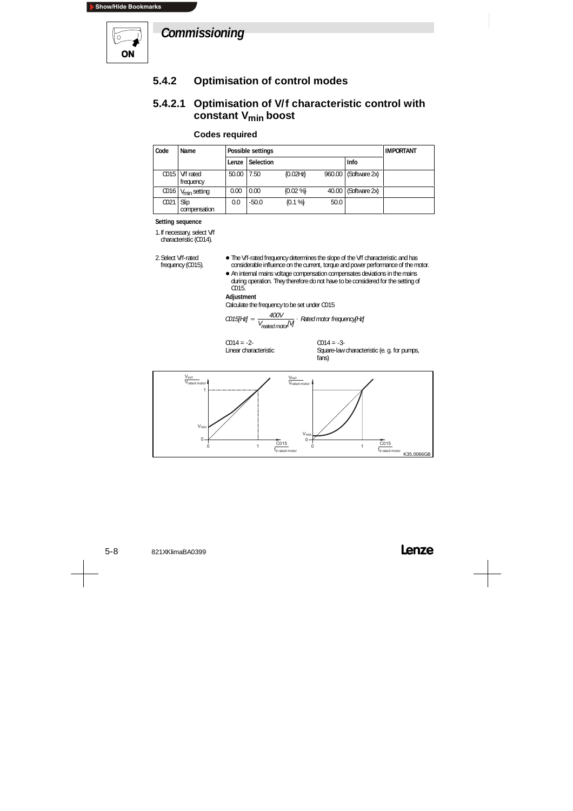

### **5.4.2 Optimisation of control modes**

### **5.4.2.1 Optimisation of V/f characteristic control with constant Vmin boost**

#### **Codes required**

| Code | Name                         |            | Possible settings | <b>IMPORTANT</b> |      |                       |  |
|------|------------------------------|------------|-------------------|------------------|------|-----------------------|--|
|      |                              | Lenze      | Selection         |                  |      | Info                  |  |
|      | C015   Wf rated<br>frequency | 50.00 7.50 |                   | ${0.02Hz}$       |      | 960.00 (Software 2x)  |  |
| CO16 | V <sub>min</sub> setting     | 0.00       | 0.00              | ${0.02%}$        |      | $40.00$ (Software 2x) |  |
| C021 | Slip<br>compensation         | 0.0        | $-50.0$           | ${0.1%}$         | 50.0 |                       |  |

#### **Setting sequence**

1.If necessary, select V/f characteristic (C014).

2.Select V/f-rated frequency (C015).

- The V/f-rated frequency determines the slope of the V/f characteristic and has considerable influence on the current, torque and power performance of the motor.
- An internal mains voltage compensation compensates deviations in the mains during operation. They therefore do not have to be considered for the setting of  $C<sub>015</sub>$

#### **Adjustment**

Calculate the frequency to be set under C015

$$
CO15[Hz] = \frac{400V}{V_{reated\,motor}[N]} \cdot \text{Rated motor frequency[Hz]}
$$

 $C<sub>014</sub> = -2$ Linear characteristic  $CO14 = -3$ Square-law characteristic (e. g. for pumps, fans)

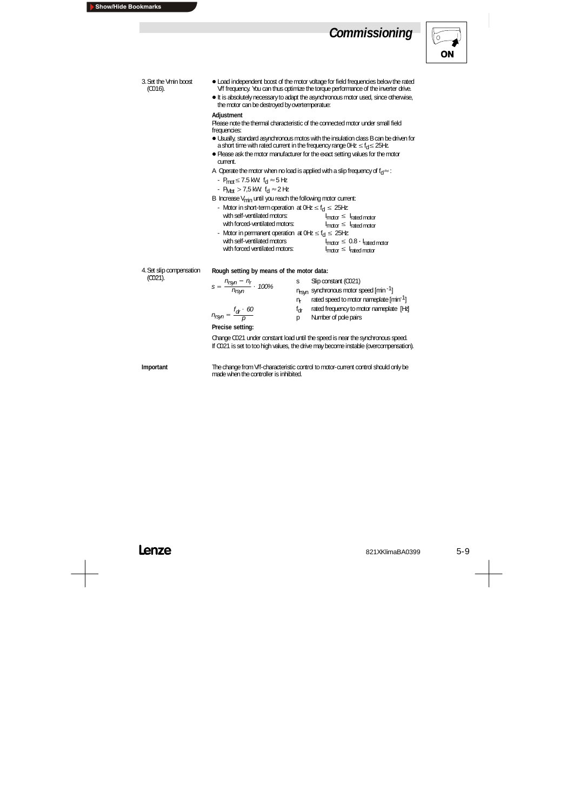

| 3. Set the Vmin boost<br>$(C016)$ .    | • Load independent boost of the motor voltage for field frequencies below the rated<br>V/f frequency. You can thus optimize the torque performance of the inverter drive.<br>• It is absolutely necessary to adapt the asynchronous motor used, since otherwise,<br>the motor can be destroyed by overtemperatue:                                                                                                                                                                                                               |                                                                                                                                                                                                                                                                                                                                                                                                                                                                                                                                                                                                                                                          |  |  |  |
|----------------------------------------|---------------------------------------------------------------------------------------------------------------------------------------------------------------------------------------------------------------------------------------------------------------------------------------------------------------------------------------------------------------------------------------------------------------------------------------------------------------------------------------------------------------------------------|----------------------------------------------------------------------------------------------------------------------------------------------------------------------------------------------------------------------------------------------------------------------------------------------------------------------------------------------------------------------------------------------------------------------------------------------------------------------------------------------------------------------------------------------------------------------------------------------------------------------------------------------------------|--|--|--|
|                                        | Adjustment<br>frequencies:<br>current.<br>- P <sub>mot</sub> $\leq$ 7.5 kW: f <sub>d</sub> $\approx$ 5 Hz<br>- P <sub>Mnt</sub> > 7,5 kW: $f_d \approx 2$ Hz<br>B Increase V <sub>min</sub> until you reach the following motor current:<br>- Motor in short-term operation at OHz $\leq f_d \leq 25$ Hz:<br>with self-ventilated motors:<br>with forced-ventilated motors:<br>- Motor in permanent operation at $0 \forall z \leq f_{cl} \leq 25 \forall z$ :<br>with self-ventilated motors<br>with forced ventilated motors: | Please note the thermal characteristic of the connected motor under small field<br>. Usually, standard asynchronous motos with the insulation class B can be driven for<br>a short time with rated current in the frequency range OHz $\leq f_d \leq 25$ Hz.<br>• Please ask the motor manufacturer for the exact setting values for the motor<br>A Operate the motor when no load is applied with a slip frequency of $f_d \approx$ :<br>$I_{\text{motor}} \leq I_{\text{rated motor}}$<br>$I_{\text{motor}} \leq I_{\text{rated motor}}$<br>$I_{\text{motor}} \leq 0.8 \cdot I_{\text{rated motor}}$<br>$I_{\text{motor}} \leq I_{\text{rated motor}}$ |  |  |  |
| 4. Set slip compensation<br>$(C021)$ . | Rough setting by means of the motor data:<br>$s = \frac{n_{rsyn} - n_r}{n_{rsyn}} \cdot 100\%$<br>$n_{rsyn} = \frac{f_{dr} \cdot 60}{p}$<br>Precise setting:                                                                                                                                                                                                                                                                                                                                                                    | Slip constant (C021)<br>S.<br>n <sub>rsyn</sub> synchronous motor speed [min <sup>-1</sup> ]<br>rated speed to motor nameplate [min-1]<br>$n_r$<br>rated frequency to motor nameplate [Hz]<br>$f_{\text{dr}}$<br>Number of pole pairs<br>D.<br>Change C021 under constant load until the speed is near the synchronous speed.<br>If C021 is set to too high values, the drive may become instable (overcompensation).                                                                                                                                                                                                                                    |  |  |  |

**Important** The change from V/f-characteristic control to motor-current control should only be<br>made when the controller is inhibited.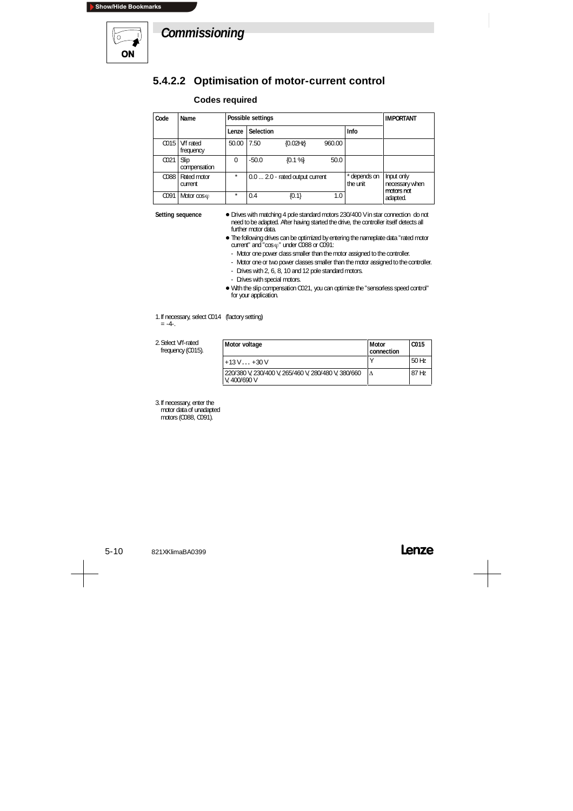

### **5.4.2.2 Optimisation of motor-current control**

| Code | Name                         | Possible settings |           |                                      |        |                          | <b>IMPORTANT</b>                           |
|------|------------------------------|-------------------|-----------|--------------------------------------|--------|--------------------------|--------------------------------------------|
|      |                              | Lenze             | Selection |                                      |        | Info                     |                                            |
| C015 | <b>Wf</b> rated<br>frequency | 50.00             | 7.50      | ${0.02Hz}$                           | 960.00 |                          |                                            |
| C021 | Slip<br>compensation         | $\Omega$          | $-50.0$   | ${0.1%}$                             | 50.0   |                          |                                            |
| C088 | Rated motor<br>current       | $\star$           |           | $0.0 2.0 \cdot$ rated output current |        | * depends on<br>the unit | Input only<br>necessary when<br>motors not |
| C091 | Motor cos $\varphi$          | $\star$           | 0.4       | ${0.1}$                              | 1.0    |                          | adapted.                                   |

#### **Codes required**

Setting sequence • Drives with matching 4 pole standard motors 230/400 V in star connection do not need to be adapted. After having started the drive, the controller itself detects all further motor data.

- The following drives can be optimized by entering the nameplate data "rated motor current" and "cos  $\varphi$ " under C088 or C091:

- Motor one power class smaller than the motor assigned to the controller.
- Motor one or two power classes smaller than the motor assigned to the controller.
- Drives with 2, 6, 8, 10 and 12 pole standard motors.
- Drives with special motors.
- With the slip compensation C021, you can optimize the "sensorless speed control" for your application.
- 1.If necessary, select C014 (factory setting)

 $= -4-$ .

2.Select V/f-rated

| Select Wf-rated<br>frequency (C015). | Motor voltage                                                       | <b>Motor</b><br>connection | C <sub>015</sub>  |
|--------------------------------------|---------------------------------------------------------------------|----------------------------|-------------------|
|                                      | $+13V+30V$                                                          |                            | 50 H <sub>z</sub> |
|                                      | 220/380 V, 230/400 V, 265/460 V, 280/480 V, 380/660<br>V. 400/690 V |                            | 87 Hz             |

3.If necessary, enter the motor data of unadapted motors (C088, C091).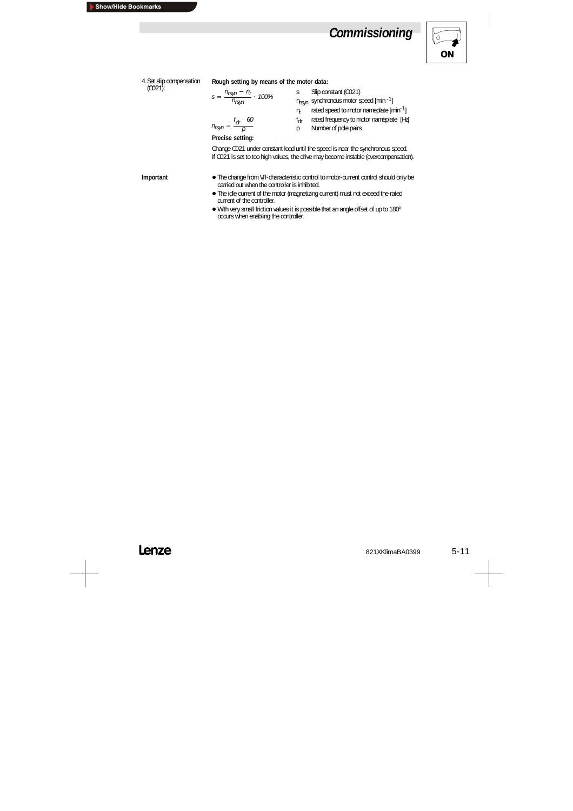

4.Set slip compensation (C021):

4. Set slip compensation  
\n4. Set slip compensation  
\n(a) 
$$
S = \frac{n_{rsyn} - n_r}{n_{rsyn}} \cdot 100\%
$$
\n5. Slip co  
\n100%

s Slip constant (C021) n<sub>rsyn</sub> synchronous motor speed [min -1]  $n_r$  rated speed to motor nameplate  $\lceil \text{min-1} \rceil$  $f_{\text{dr}}$  rated frequency to motor nameplate  $[Hz]$ <br>p Number of pole pairs

 $n_{rsyn} = \frac{f_{dr} \cdot \omega}{p}$ 

Number of pole pairs

**Precise setting:**

Change C021 under constant load until the speed is near the synchronous speed. If C021 is set to too high values, the drive may become instable (overcompensation).

- **Important**  $\bullet$  The change from V/f-characteristic control to motor-current control should only be carried out when the controller is inhibited.
	- The idle current of the motor (magnetizing current) must not exceed the rated current of the controller.
	- . With very small friction values it is possible that an angle offset of up to 180° occurs when enabling the controller.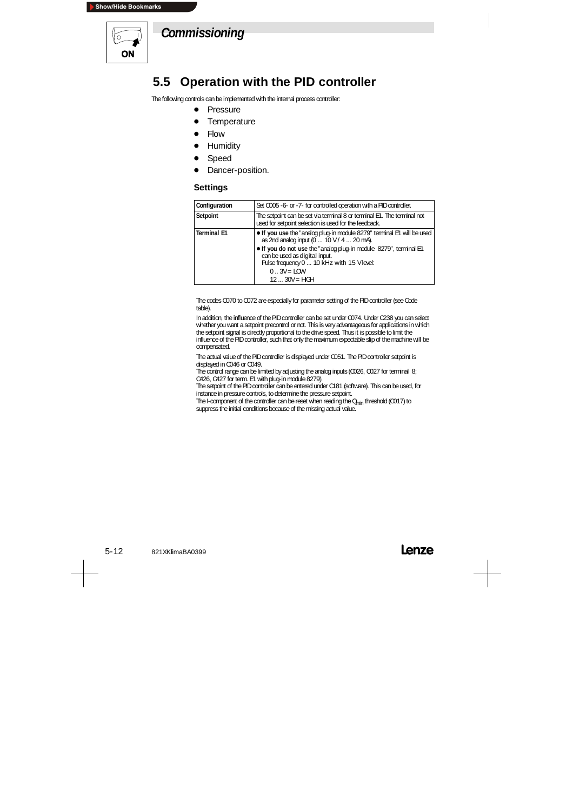

## **5.5 Operation with the PID controller**

The following controls can be implemented with the internal process controller:

- **•** Pressure
- **Temperature**
- **Flow**
- **Humidity**
- **Speed**
- Dancer-position.

#### **Settings**

| Configuration      | Set C005 -6- or -7- for controlled operation with a PID controller.                                                                                                                                                                                                                                       |  |  |  |  |
|--------------------|-----------------------------------------------------------------------------------------------------------------------------------------------------------------------------------------------------------------------------------------------------------------------------------------------------------|--|--|--|--|
| Setpoint           | The setpoint can be set via terminal 8 or terminal E1. The terminal not<br>used for setpoint selection is used for the feedback.                                                                                                                                                                          |  |  |  |  |
| <b>Terminal E1</b> | • If you use the "analog plug-in module 8279" terminal E1 will be used<br>as 2nd analog input (0  10 V / 4  20 mA).<br>• If you do not use the "analog plug-in module 8279", terminal E1<br>can be used as digital input.<br>Pulse frequency 0  10 kHz with 15 V level:<br>$0.3V = LOW$<br>$1230V = HIGH$ |  |  |  |  |

The codes C070 to C072 are especially for parameter setting of the PID controller (see Code table).

In addition, the influence of the PID controller can be set under C074. Under C238 you can select whether you want a setpoint precontrol or not. This is very advantageous for applications in which the setpoint signal is directly proportional to the drive speed. Thus it is possible to limit the influence of the PID controller, such that only the maximum expectable slip of the machine will be compensated.

The actual value of the PID controller is displayed under C051. The PID controller setpoint is displayed in C046 or C049.

The control range can be limited by adjusting the analog inputs (C026, C027 for terminal 8; C426, C427 for term. E1 with plug-in module 8279).

The setpoint of the PID controller can be entered under C181 (software). This can be used, for instance in pressure controls, to determine the pressure setpoint.

The I-component of the controller can be reset when reading the Q<sub>min</sub> threshold (C017) to suppress the initial conditions because of the missing actual value.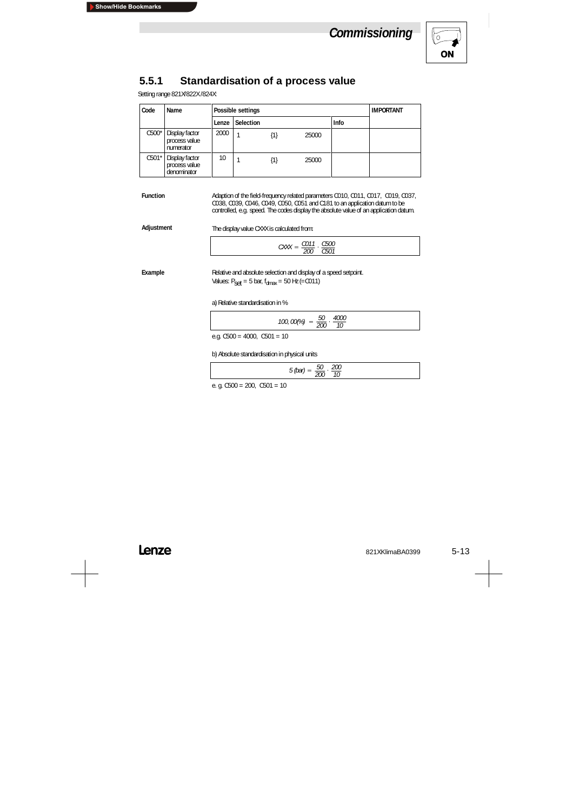

### **5.5.1 Standardisation of a process value**

Setting range 821X/822X /824X:

| Code    | Name                                           |       | Possible settings |     |       |      | <b>IMPORTANT</b> |
|---------|------------------------------------------------|-------|-------------------|-----|-------|------|------------------|
|         |                                                | Lenze | Selection         |     |       | Info |                  |
| $C500*$ | Display factor<br>process value<br>numerator   | 2000  |                   | {1} | 25000 |      |                  |
| $C501*$ | Display factor<br>process value<br>denominator | 10    |                   | {1} | 25000 |      |                  |

**Function** Adaption of the field-frequency related parameters C010, C011, C017, C019, C037, C038, C039, C046, C049, C050, C051 and C181 to an application datum to be controlled, e.g. speed. The codes display the absolute value of an application datum.

**Adjustment** The display value CXXX is calculated from:

| $CXX = \frac{CO11}{}$ . $\frac{C500}{}$ |          |  |
|-----------------------------------------|----------|--|
|                                         | 200 C501 |  |

**Example** Relative and absolute selection and display of a speed setpoint. Values:  $P_{\text{sef}} = 5$  bar,  $f_{\text{dmax}} = 50$  Hz (= C011)

a) Relative standardisation in %

$$
100,00(\%) = \frac{50}{200} \cdot \frac{4000}{10}
$$

e.g.  $C500 = 4000$ ,  $C501 = 10$ 

b) Absolute standardisation in physical units

e. g. C500 = 200, C501 = 10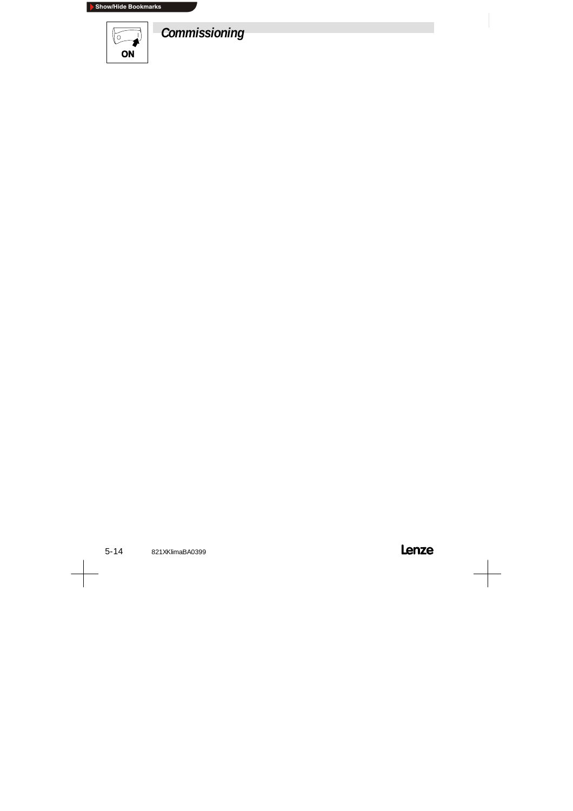

## Lenze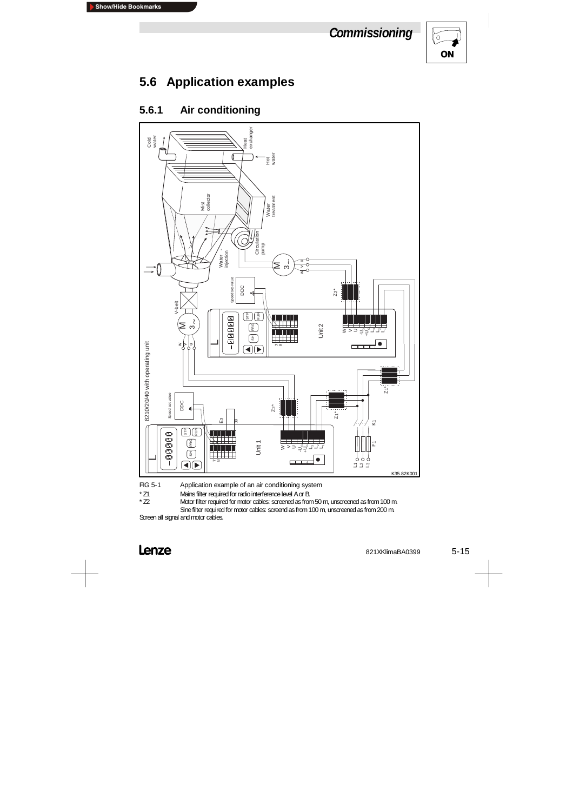

## **5.6 Application examples**

### **5.6.1 Air conditioning**



FIG 5-1 Application example of an air conditioning system

\*Z1 Mains filter required for radio interference level A or B.

Motor filter required for motor cables: screened as from 50 m, unscreened as from 100 m. Sine filter required for motor cables: screend as from 100 m, unscreened as from 200 m.

Screen all signal and motor cables.

## Lenze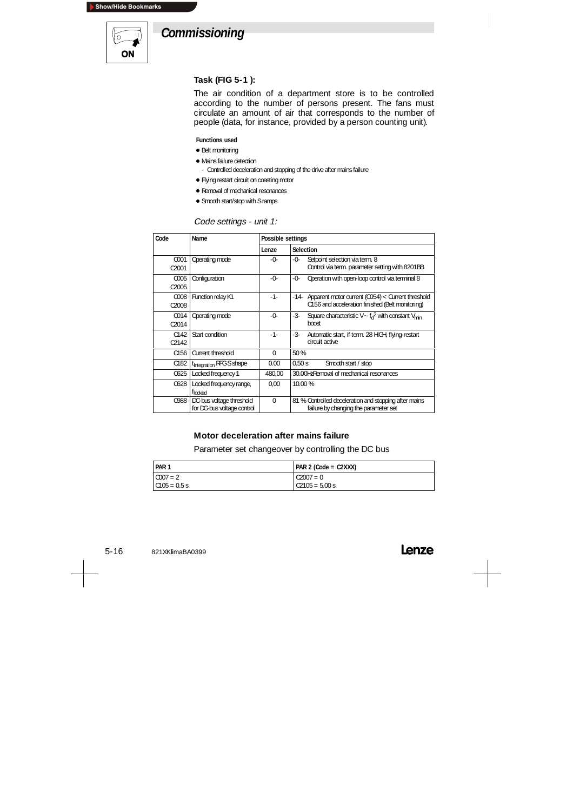

#### **Task (FIG 5-1 ):**

The air condition of a department store is to be controlled according to the number of persons present. The fans must circulate an amount of air that corresponds to the number of people (data, for instance, provided by a person counting unit).

**Functions used**

- Belt monitoring
- · Mains failure detection
- Controlled deceleration and stopping of the drive after mains failure
- Flying restart circuit on coasting motor
- Removal of mechanical resonances
- **•** Smooth start/stop with S ramps

| Code                      | Name                                                   | Possible settings |                                                                                                                 |  |
|---------------------------|--------------------------------------------------------|-------------------|-----------------------------------------------------------------------------------------------------------------|--|
|                           |                                                        | Lenze             | Selection                                                                                                       |  |
| C001<br>C2001             | Operating mode                                         | -0-               | Setpoint selection via term. 8<br>-0-<br>Control via term. parameter setting with 8201BB                        |  |
| C005<br>C2005             | Configuration                                          | -0-               | Operation with open-loop control via terminal 8<br>-0-                                                          |  |
| C008<br>C <sub>2008</sub> | Function relay K1                                      | $-1-$             | Apparent motor current (C054) < Current threshold<br>$-14-$<br>C156 and acceleration finished (Belt monitoring) |  |
| C014<br>C <sub>2014</sub> | Operating mode                                         | -0-               | Square characteristic $V \sim f_d^2$ with constant $V_{\text{min}}$<br>$-3-$<br>boost                           |  |
| C <sub>142</sub><br>C2142 | Start condition                                        | $-1-$             | $-3-$<br>Automatic start, if term. 28 HIGH, flying-restart<br>circuit active                                    |  |
| C <sub>156</sub>          | Current threshold                                      | $\Omega$          | 50%                                                                                                             |  |
| C182                      | t <sub>Integration</sub> RFG S shape                   | 0.00              | 0.50 s<br>Smooth start / stop                                                                                   |  |
| C625                      | Locked frequency 1                                     | 480,00            | 30.00HzRemoval of mechanical resonances                                                                         |  |
| C628                      | Locked frequency range,<br>flocked                     | 0,00              | 10.00 %                                                                                                         |  |
| C988                      | DC-bus voltage threshold<br>for DC-bus voltage control | $\Omega$          | 81 % Controlled deceleration and stopping after mains<br>failure by changing the parameter set                  |  |

#### Code settings - unit 1:

#### **Motor deceleration after mains failure**

Parameter set changeover by controlling the DC bus

| <b>PAR1</b>     | $PAR 2 (Code = C2XXX)$ |
|-----------------|------------------------|
| $COO7 = 2$      | $C2007 = 0$            |
| $ C105 = 0.5$ s | $C2105 = 5.00 s$       |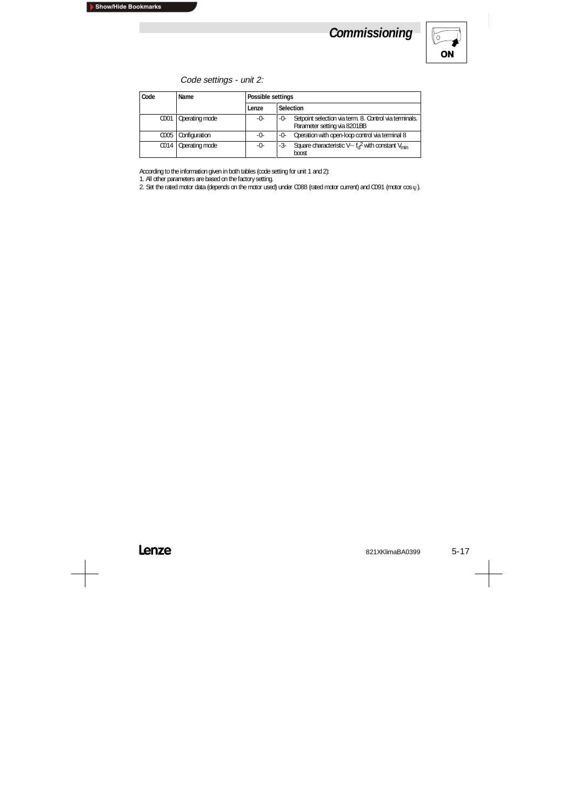

#### Code settings - unit 2:

| Code | Name           | Possible settings |           |                                                                                        |  |  |
|------|----------------|-------------------|-----------|----------------------------------------------------------------------------------------|--|--|
|      |                | Lenze             | Selection |                                                                                        |  |  |
| C001 | Operating mode | -0-               | -0-       | Setpoint selection via term. 8. Control via terminals.<br>Parameter setting via 8201BB |  |  |
| C005 | Configuration  | -0-               | -0-       | Operation with open-loop control via terminal 8                                        |  |  |
| C014 | Operating mode | -0-               | -3-       | Square characteristic $V \sim f_d^2$ with constant V <sub>min</sub><br>boost           |  |  |

According to the information given in both tables (code setting for unit 1 and 2):

1. All other parameters are based on the factory setting.

2. Set the rated motor data (depends on the motor used) under C088 (rated motor current) and C091 (motor cos  $\phi$ ).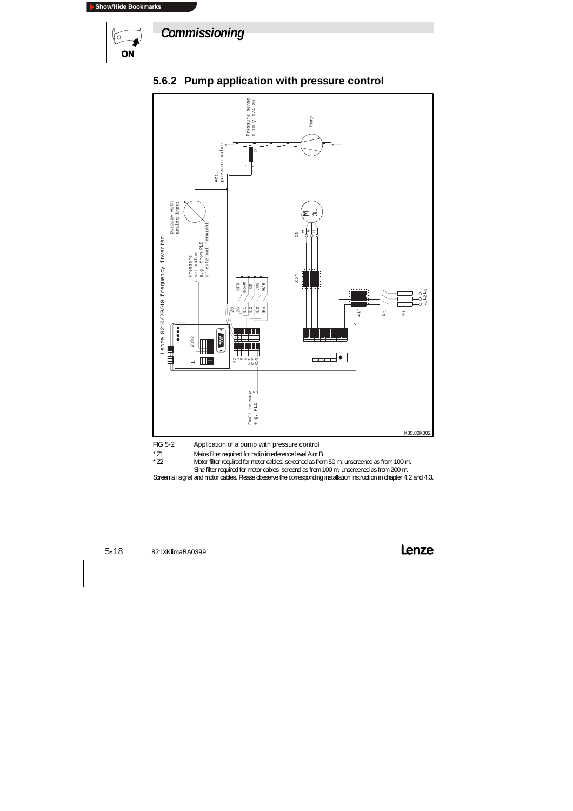



#### **5.6.2 Pump application with pressure control**

FIG 5-2 Application of a pump with pressure control

\*Z1 Mains filter required for radio interference level A or B.

Motor filter required for motor cables: screened as from 50 m, unscreened as from 100 m.

Sine filter required for motor cables: screend as from 100 m, unscreened as from 200 m. Screen all signal and motor cables. Please obeserve the corresponding installation instruction in chapter 4.2 and 4.3.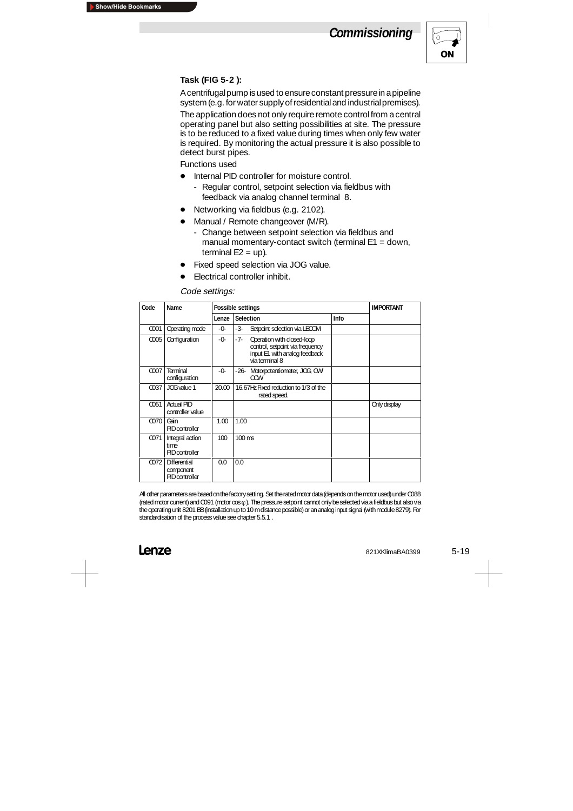

#### **Task (FIG 5-2 ):**

A centrifugal pump is used to ensure constant pressure in a pipeline system (e.g. for water supply of residential and industrial premises).

The application does not only require remote control from a central operating panel but also setting possibilities at site. The pressure is to be reduced to a fixed value during times when only few water is required. By monitoring the actual pressure it is also possible to detect burst pipes.

Functions used

- Internal PID controller for moisture control.
	- Regular control, setpoint selection via fieldbus with feedback via analog channel terminal 8.
- Networking via fieldbus (e.g. 2102).
- Manual / Remote changeover (M/R).
	- Change between setpoint selection via fieldbus and manual momentary-contact switch (terminal  $E1 =$  down, terminal  $E2 = up$ ).
- Fixed speed selection via JOG value.
- Electrical controller inhibit.

Code settings:

| Code             | Name                                        |         | Possible settings                                                                                                         |             | <b>IMPORTANT</b> |
|------------------|---------------------------------------------|---------|---------------------------------------------------------------------------------------------------------------------------|-------------|------------------|
|                  |                                             | Lenze   | Selection                                                                                                                 | <b>Info</b> |                  |
| C001             | Operating mode                              | -0-     | Setpoint selection via LECOM<br>-3-                                                                                       |             |                  |
| C <sub>005</sub> | Configuration                               | -0-     | $-7-$<br>Operation with closed-loop<br>control, setpoint via frequency<br>input E1 with analog feedback<br>via terminal 8 |             |                  |
| C <sub>007</sub> | Terminal<br>configuration                   | $-()$ - | -26- Motorpotentiometer, JOG, CW/<br><b>CCW</b>                                                                           |             |                  |
| C <sub>037</sub> | JOG value 1                                 | 20.00   | 16.67Hz Fixed reduction to 1/3 of the<br>rated speed.                                                                     |             |                  |
| C <sub>051</sub> | <b>Actual PID</b><br>controller value       |         |                                                                                                                           |             | Only display     |
| CO <sub>70</sub> | Gain<br>PID controller                      | 1.00    | 1.00                                                                                                                      |             |                  |
| C071             | Integral action<br>time<br>PID controller   | 100     | $100 \text{ ms}$                                                                                                          |             |                  |
| C <sub>072</sub> | Differential<br>component<br>PID controller | 0.0     | 0.0                                                                                                                       |             |                  |

All other parameters are based on the factorysetting. Set the rated motor data (depends on the motor used)under C088 (rated motor current) and C091 (motor cos  $\varphi$ ). The pressure setpoint cannot only be selected via a fieldbus but also via the operating unit 8201 BB (installation up to 10 m distance possible) or an analog input signal (with module 8279). For standardisation of the process value see chapter 5.5.1 .

### Lenze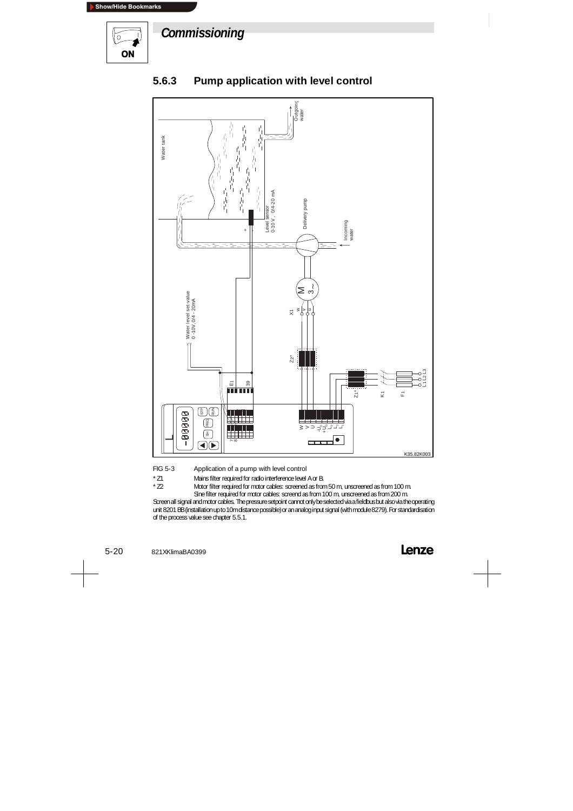



### **5.6.3 Pump application with level control**

FIG 5-3 Application of a pump with level control

\*Z1 Mains filter required for radio interference level A or B.

Motor filter required for motor cables: screened as from 50 m, unscreened as from 100 m.

Sine filter required for motor cables: screend as from 100 m, unscreened as from 200 m.

Screen all signal and motor cables. The pressure setpoint cannot only be selected via a fieldbus but also via the operating unit 8201 BB (installation up to 10m distance possible) or an analog input signal (with module 8279). For standardisation of the process value see chapter 5.5.1.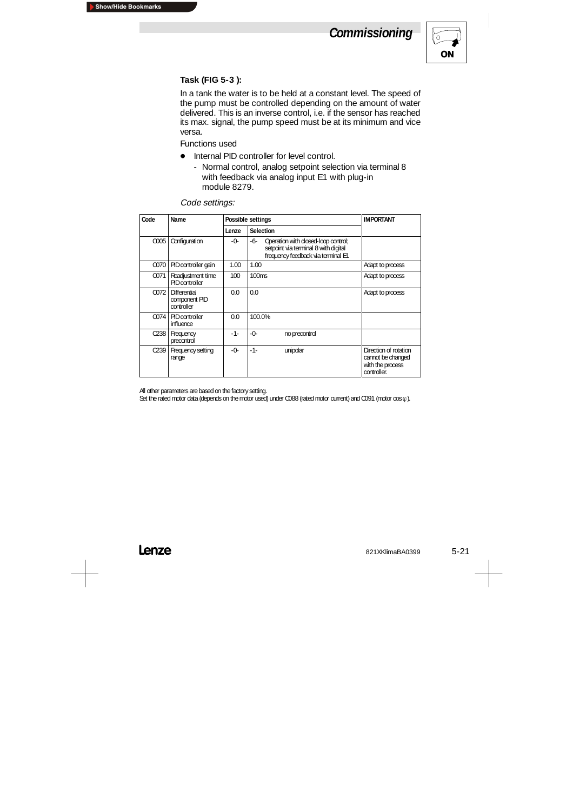

#### **Task (FIG 5-3 ):**

In a tank the water is to be held at a constant level. The speed of the pump must be controlled depending on the amount of water delivered. This is an inverse control, i.e. if the sensor has reached its max. signal, the pump speed must be at its minimum and vice versa.

Functions used

- Internal PID controller for level control.
	- Normal control, analog setpoint selection via terminal 8 with feedback via analog input E1 with plug-in module 8279.

Code settings:

| Code              | Name                                        |       | Possible settings                                                                                                        | <b>IMPORTANT</b>                                                              |
|-------------------|---------------------------------------------|-------|--------------------------------------------------------------------------------------------------------------------------|-------------------------------------------------------------------------------|
|                   |                                             | Lenze | Selection                                                                                                                |                                                                               |
| C005              | Configuration                               | -0-   | Operation with closed-loop control;<br>-6-<br>setpoint via terminal 8 with digital<br>frequency feedback via terminal E1 |                                                                               |
| C070              | PID controller gain                         | 1.00  | 1.00                                                                                                                     | Adapt to process                                                              |
| C071              | Readjustment time<br>PID controller         | 100   | 100ms                                                                                                                    | Adapt to process                                                              |
| C <sub>072</sub>  | Differential<br>component PID<br>controller | 0.0   | 0.0                                                                                                                      | Adapt to process                                                              |
| C <sub>0</sub> 74 | PID controller<br>influence                 | 0.0   | 100.0%                                                                                                                   |                                                                               |
| C <sub>238</sub>  | Frequency<br>precontrol                     | $-1-$ | no precontrol<br>-0-                                                                                                     |                                                                               |
| C <sub>239</sub>  | Frequency setting<br>range                  | -0-   | $-1-$<br>unipolar                                                                                                        | Direction of rotation<br>cannot be changed<br>with the process<br>controller. |

All other parameters are based on the factory setting.

Set the rated motor data (depends on the motor used) under C088 (rated motor current) and C091 (motor cos  $\omega$ ).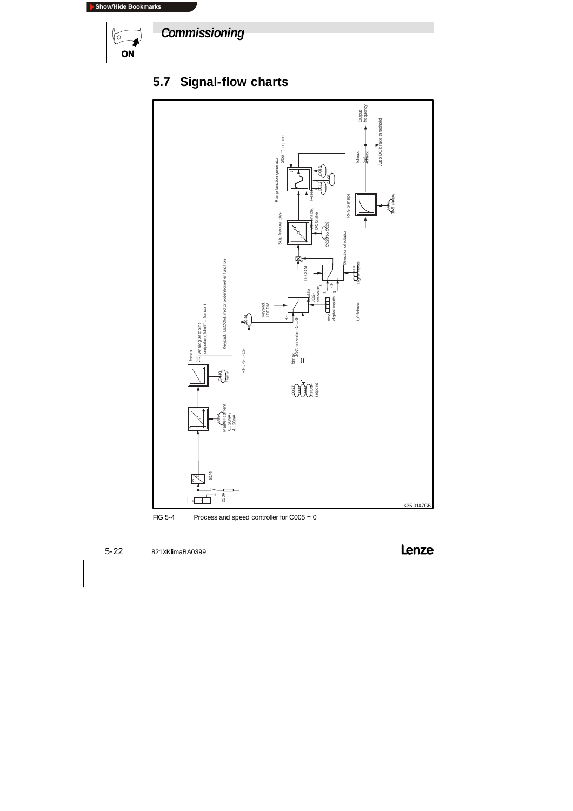

## **5.7 Signal-flow charts**





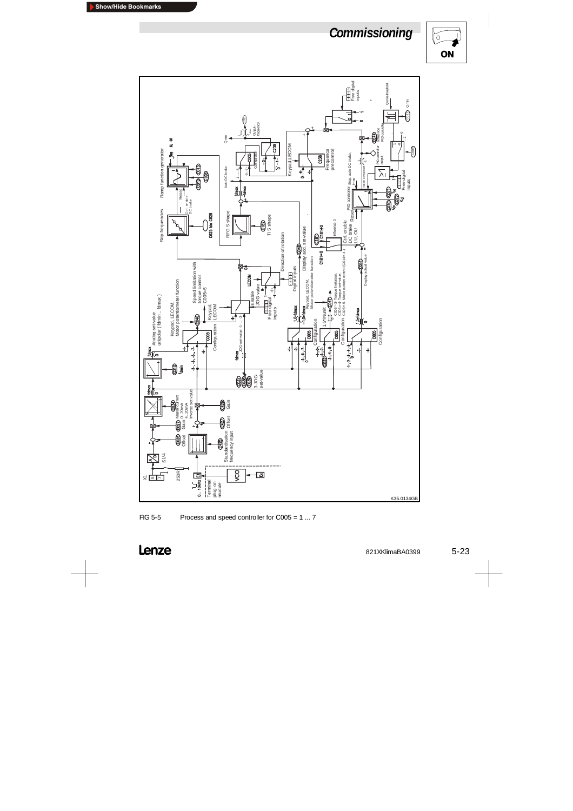



FIG 5-5 Process and speed controller for C005 = 1 ... 7

### Lenze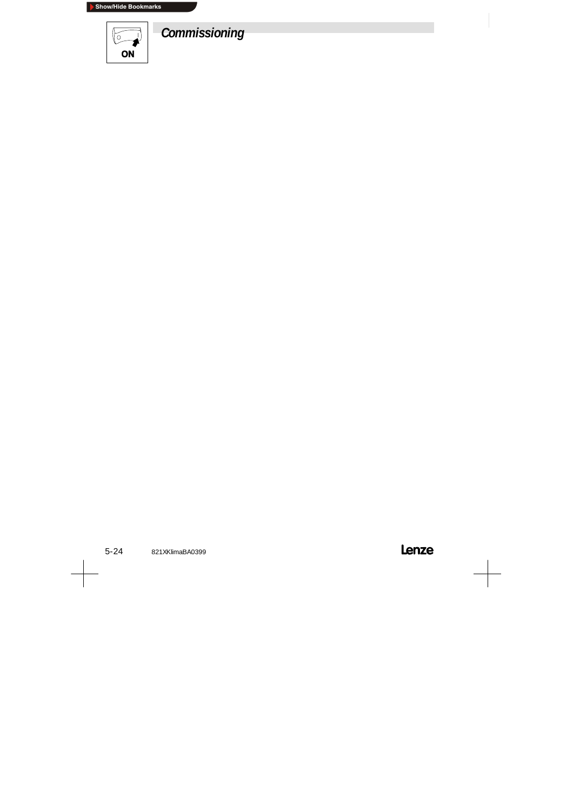

## Lenze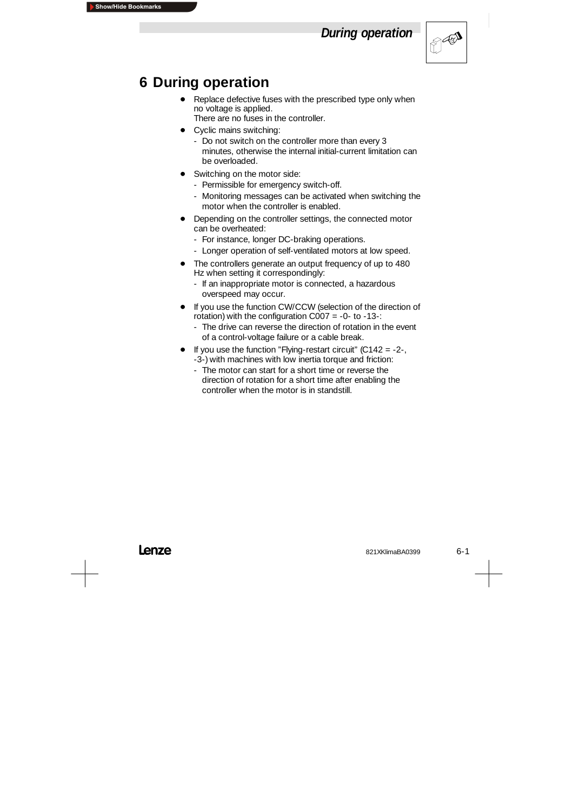## *During operation*

## **6 During operation**

- Replace defective fuses with the prescribed type only when no voltage is applied.
	- There are no fuses in the controller.
- **Cyclic mains switching:** 
	- Do not switch on the controller more than every 3 minutes, otherwise the internal initial-current limitation can be overloaded.
- Switching on the motor side:
	- Permissible for emergency switch-off.
	- Monitoring messages can be activated when switching the motor when the controller is enabled.
- Depending on the controller settings, the connected motor can be overheated:
	- For instance, longer DC-braking operations.
	- Longer operation of self-ventilated motors at low speed.
- The controllers generate an output frequency of up to 480 Hz when setting it correspondingly:
	- If an inappropriate motor is connected, a hazardous overspeed may occur.
- If you use the function CW/CCW (selection of the direction of rotation) with the configuration  $COO7 = -0$ - to -13-:
	- The drive can reverse the direction of rotation in the event of a control-voltage failure or a cable break.
- If you use the function "Flying-restart circuit" (C142 =  $-2-$ , -3-) with machines with low inertia torque and friction:
	- The motor can start for a short time or reverse the direction of rotation for a short time after enabling the controller when the motor is in standstill.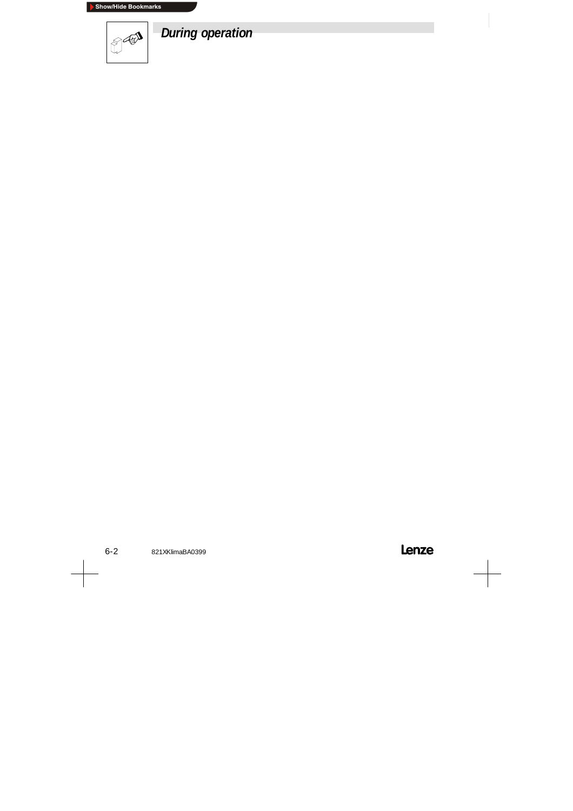

## *During operation*

## Lenze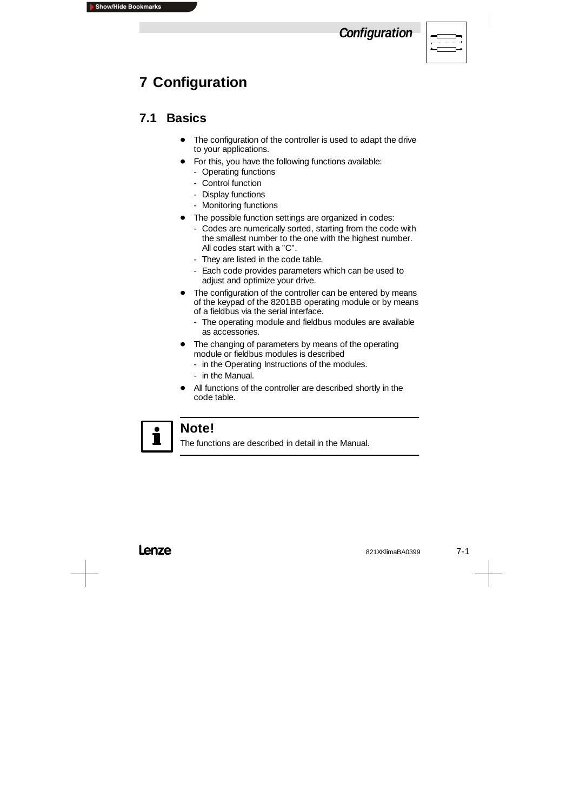

## **7 Configuration**

## **7.1 Basics**

- The configuration of the controller is used to adapt the drive to your applications.
- For this, you have the following functions available:
	- Operating functions
	- Control function
	- Display functions
	- Monitoring functions
- The possible function settings are organized in codes:
	- Codes are numerically sorted, starting from the code with the smallest number to the one with the highest number. All codes start with a "C".
	- They are listed in the code table.
	- Each code provides parameters which can be used to adjust and optimize your drive.
- The configuration of the controller can be entered by means of the keypad of the 8201BB operating module or by means of a fieldbus via the serial interface.
	- The operating module and fieldbus modules are available as accessories.
- The changing of parameters by means of the operating module or fieldbus modules is described
	- in the Operating Instructions of the modules.
	- in the Manual.
- All functions of the controller are described shortly in the code table.



### **Note!**

The functions are described in detail in the Manual.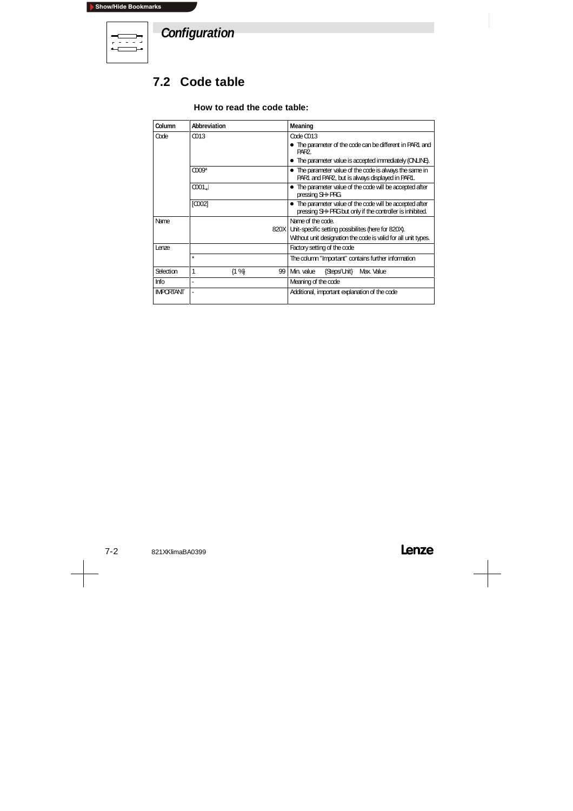

## **7.2 Code table**

#### **How to read the code table:**

| Column           | Abbreviation             | Meaning                                                                                                               |  |  |
|------------------|--------------------------|-----------------------------------------------------------------------------------------------------------------------|--|--|
| Code             | CO13                     | Code C013                                                                                                             |  |  |
|                  |                          | • The parameter of the code can be different in PAR1 and<br>PAR <sub>2</sub>                                          |  |  |
|                  |                          | • The parameter value is accepted immediately (ONLINE).                                                               |  |  |
|                  | $C009*$                  | • The parameter value of the code is always the same in<br>PAR1 and PAR2, but is always displayed in PAR1.            |  |  |
|                  | C001 <sub>4</sub>        | The parameter value of the code will be accepted after<br>pressing SH+ PRG.                                           |  |  |
|                  | [COO2]                   | • The parameter value of the code will be accepted after<br>pressing SH+ PRG but only if the controller is inhibited. |  |  |
| <b>Name</b>      |                          | Name of the code.                                                                                                     |  |  |
|                  | 820X                     | Unit-specific setting possibilites (here for 820X).                                                                   |  |  |
|                  |                          | Without unit designation the code is valid for all unit types.                                                        |  |  |
| Lenze            |                          | Factory setting of the code                                                                                           |  |  |
|                  | $\star$                  | The column "Important" contains further information                                                                   |  |  |
| Selection        | 1<br>${1%}$<br>99        | Min. value<br>{Steps/Unit}<br>Max. Value                                                                              |  |  |
| Info             | ÷,                       | Meaning of the code                                                                                                   |  |  |
| <b>IMPORTANT</b> | $\overline{\phantom{a}}$ | Additional, important explanation of the code                                                                         |  |  |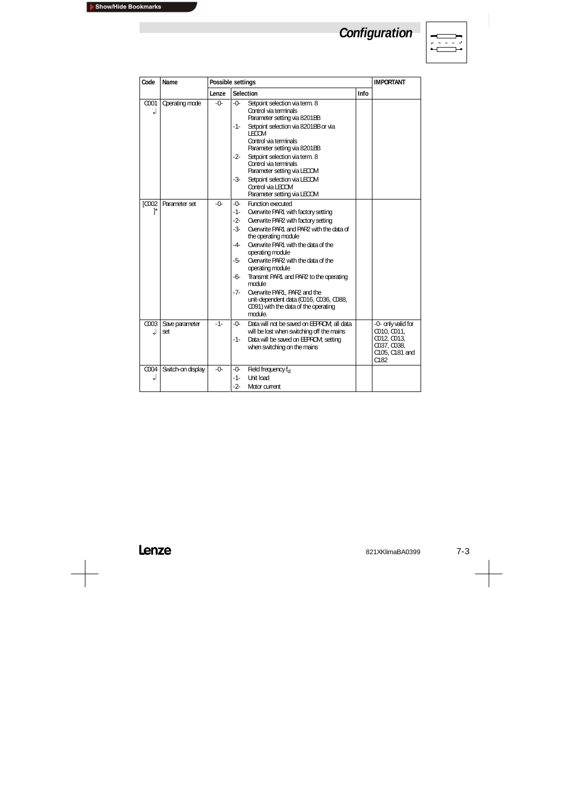| е |  |    |  |
|---|--|----|--|
|   |  | ÷, |  |
|   |  |    |  |

| Code                   | Name                  | Possible settings | <b>IMPORTANT</b>                                                                                                                                                                                                                                                                                                                                                                                                                                                                                                                                     |                                                                                           |
|------------------------|-----------------------|-------------------|------------------------------------------------------------------------------------------------------------------------------------------------------------------------------------------------------------------------------------------------------------------------------------------------------------------------------------------------------------------------------------------------------------------------------------------------------------------------------------------------------------------------------------------------------|-------------------------------------------------------------------------------------------|
|                        |                       | Lenze             | Selection<br>Info                                                                                                                                                                                                                                                                                                                                                                                                                                                                                                                                    |                                                                                           |
| C001<br>ار             | Operating mode        | -0-               | $-0-$<br>Setpoint selection via term. 8<br>Control via terminals<br>Parameter setting via 8201BB<br>Setpoint selection via 8201BB or via<br>$-1-$<br><b>LECOM</b><br>Control via terminals<br>Parameter setting via 8201BB<br>$-2-$<br>Setpoint selection via term. 8<br>Control via terminals<br>Parameter setting via LECOM<br>$-3-$<br>Setpoint selection via LECOM<br>Control via LECOM<br>Parameter setting via LECOM                                                                                                                           |                                                                                           |
| C002<br>$\mathsf{I}^*$ | Parameter set         | $-()$ -           | <b>Function executed</b><br>-0-<br>$-1-$<br>Overwrite PAR1 with factory setting<br>$-2-$<br>Overwrite PAR2 with factory setting<br>$-3-$<br>Overwrite PAR1 and PAR2 with the data of<br>the operating module<br>Overwrite PAR1 with the data of the<br>$-4-$<br>operating module<br>Overwrite PAR2 with the data of the<br>$-5-$<br>operating module<br>Transmit PAR1 and PAR2 to the operating<br>-6-<br>module<br>Overwrite PAR1, PAR2 and the<br>-7-<br>unit-dependent data (C016, C036, C088,<br>C091) with the data of the operating<br>module. |                                                                                           |
| CO <sub>0.3</sub><br>┙ | Save parameter<br>set | $-1-$             | Data will not be saved on EEPROM: all data<br>$-()$ -<br>will be lost when switching off the mains<br>Data will be saved on EEPROM; setting<br>$-1-$<br>when switching on the mains                                                                                                                                                                                                                                                                                                                                                                  | -0- only valid for<br>C010, C011,<br>C012, C013,<br>C037, C038,<br>C105, C181 and<br>C182 |
| C004<br>لے             | Switch-on display     | $-()$ -           | $-()$ -<br>Field frequency $f_{cl}$<br>$-1-$<br>Unit load<br>$-2-$<br>Motor current                                                                                                                                                                                                                                                                                                                                                                                                                                                                  |                                                                                           |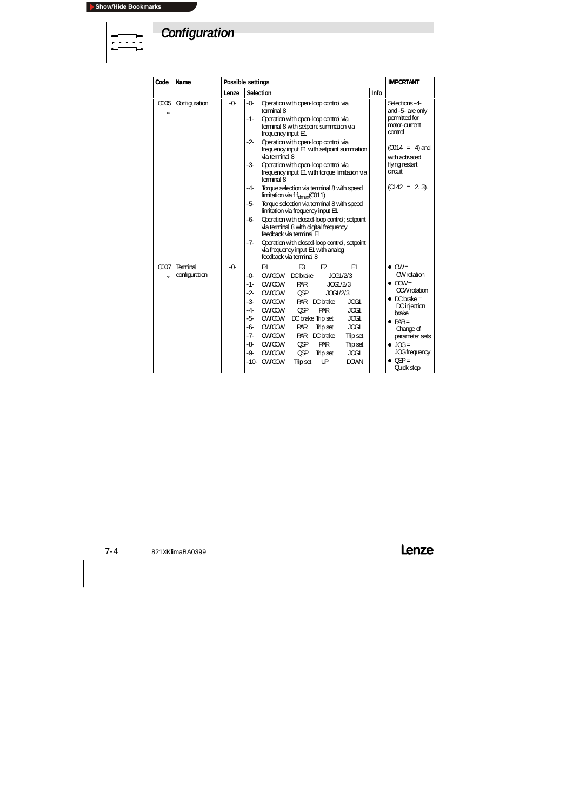#### **Show/Hide Bookmarks**



| Code       | Name                      |         | Possible settings                                                                                                                                                                                                                                                                                                                                                                                                                                                                                                                                                                                                                                                                                                                                                                                                                                              | <b>IMPORTANT</b>                                                                                                                                                                                                                         |
|------------|---------------------------|---------|----------------------------------------------------------------------------------------------------------------------------------------------------------------------------------------------------------------------------------------------------------------------------------------------------------------------------------------------------------------------------------------------------------------------------------------------------------------------------------------------------------------------------------------------------------------------------------------------------------------------------------------------------------------------------------------------------------------------------------------------------------------------------------------------------------------------------------------------------------------|------------------------------------------------------------------------------------------------------------------------------------------------------------------------------------------------------------------------------------------|
|            |                           | Lenze   | Selection<br>Info                                                                                                                                                                                                                                                                                                                                                                                                                                                                                                                                                                                                                                                                                                                                                                                                                                              |                                                                                                                                                                                                                                          |
| C005<br>ار | Configuration             | $-()$ - | $-()$ -<br>Operation with open-loop control via<br>terminal 8<br>$-1-$<br>Operation with open-loop control via<br>terminal 8 with setpoint summation via<br>frequency input E1<br>Operation with open-loop control via<br>$-2-$<br>frequency input E1 with setpoint summation<br>via terminal 8<br>$-3-$<br>Operation with open-loop control via<br>frequency input E1 with torque limitation via<br>terminal 8<br>Torque selection via terminal 8 with speed<br>-4-<br>limitation via $f_{\text{dmax}}(CO11)$<br>$-5-$<br>Torque selection via terminal 8 with speed<br>limitation via frequency input E1<br>Operation with closed-loop control; setpoint<br>-6-<br>via terminal 8 with digital frequency<br>feedback via terminal F1<br>Operation with closed-loop control, setpoint<br>-7-<br>via frequency input E1 with analog<br>feedback via terminal 8 | Selections - 4-<br>and -5- are only<br>permitted for<br>motor-current<br>control<br>$(C014 = 4)$ and<br>with activated<br>flying restart<br>circuit<br>$(C142 = 2.3)$ .                                                                  |
| C007<br>┙  | Terminal<br>configuration | $-()$ - | F4<br>F <sub>3</sub><br>F <sub>2</sub><br>F <sub>1</sub><br><b>CW/CCW</b><br>DC brake<br>JOG1/2/3<br>-0-<br>$-1-$<br><b>CW/CCW</b><br>PAR<br>JOG1/2/3<br>$-2-$<br><b>CW/CCW</b><br><b>QSP</b><br>JOG1/2/3<br>$-3-$<br><b>CW/CCW</b><br>PAR DC brake<br>JOG1<br><b>CW/CCW</b><br><b>OSP</b><br>$-4-$<br>PAR<br>JOG1<br>$-5-$<br><b>CW/CCW</b><br>DC brake Trip set<br>JOG1<br>JOG1<br><b>CW/CCW</b><br>PAR<br>$-6-$<br>Trip set<br><b>CW/CCW</b><br>PAR<br>$-7-$<br>DC brake<br>Trip set<br>-8-<br><b>CW/CCW</b><br><b>QSP</b><br>PAR<br>Trip set<br><b>CW/CCW</b><br><b>QSP</b><br>$-9-$<br>JOG1<br>Trip set<br>$\mathsf{LP}$<br>-10- CW/CCW<br>Trip set<br><b>DOWN</b>                                                                                                                                                                                        | $\bullet$ CW =<br>CW rotation<br>$\bullet$ CCW =<br>CCW rotation<br>$\bullet$ DC brake =<br>DC injection<br>brake<br>$\bullet$ PAR =<br>Change of<br>parameter sets<br>$\bullet$ JOG =<br>JOG frequency<br>$\bullet$ OSP =<br>Quick stop |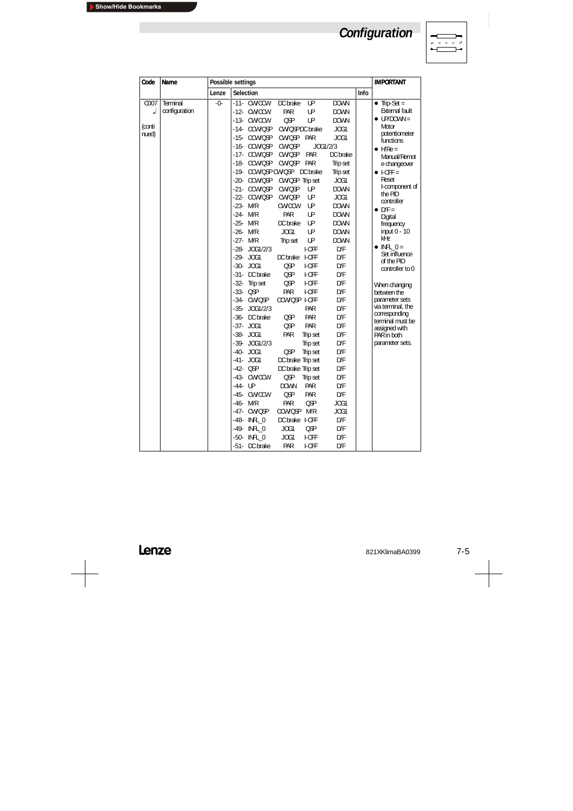

| Code   | Name            |       | Possible settings |                              |                   |            |             | <b>IMPORTANT</b> |                                   |
|--------|-----------------|-------|-------------------|------------------------------|-------------------|------------|-------------|------------------|-----------------------------------|
|        |                 | Lenze |                   | Selection                    |                   |            |             | Info             |                                   |
| C007   | <b>Terminal</b> | $-0-$ |                   | -11- CW/CCW                  | DC brake          | UP         | <b>DOWN</b> |                  | $\bullet$ Trip-Set =              |
| لے     | configuration   |       |                   | -12- CW/CCW                  | PAR               | UP         | <b>DOWN</b> |                  | <b>External fault</b>             |
|        |                 |       |                   | -13- CW/CCW                  | <b>QSP</b>        | UP         | <b>DOWN</b> |                  | $UP/DOMN =$                       |
| (conti |                 |       |                   | -14- CCW/QSP                 | CW/QSPDC brake    |            | JOG1        |                  | Motor                             |
| nued)  |                 |       |                   | -15- CCW/QSP                 | CW/QSP            | PAR        | JOG1        |                  | potentiometer<br>functions        |
|        |                 |       |                   | -16- CCW/QSP                 | CW/QSP            |            | JOG1/2/3    |                  | $\bullet$ H/Re =                  |
|        |                 |       |                   | -17- CCW/OSP                 | CW/QSP            | PAR        | DC brake    |                  | Manual/Remot                      |
|        |                 |       |                   | -18- CCW/QSP                 | CW/QSP            | PAR        | Trip set    |                  | e changeover                      |
|        |                 |       |                   | -19- CCW/QSP CW/QSP DC brake |                   |            | Trip set    |                  | $\bullet$ I-OFF =                 |
|        |                 |       |                   | -20- CCW/OSP                 | CW/QSP Trip set   |            | JOG1        |                  | Reset                             |
|        |                 |       |                   | -21- CCW/QSP                 | CW/QSP            | UP         | <b>DOWN</b> |                  | I-component of                    |
|        |                 |       |                   | -22- CCW/OSP                 | CW/OSP            | UP         | JOG1        |                  | the PID<br>controller             |
|        |                 |       |                   | $-23-$ M/R                   | <b>CW/CCW</b>     | UP         | <b>DOWN</b> |                  | $\bullet$ D/F =                   |
|        |                 |       |                   | $-24 - WR$                   | PAR               | UP         | <b>DOWN</b> |                  | Digital                           |
|        |                 |       |                   | $-25 - WR$                   | DC brake          | UP         | <b>DOWN</b> |                  | frequency                         |
|        |                 |       |                   | -26- M/R                     | JOG1              | UP         | <b>DOWN</b> |                  | input $0 - 10$                    |
|        |                 |       |                   | $-27-$ MR                    | Trip set          | UP         | <b>DOWN</b> |                  | kHz                               |
|        |                 |       |                   | $-28 - JOG1/2/3$             |                   | I-OFF      | D/F         |                  | $\bullet$ INFL_0 =                |
|        |                 |       |                   | $-29 - J$ OG1                | DC brake          | I-OFF      | D/F         |                  | Set influence<br>of the PID       |
|        |                 |       |                   | $-30 - J$ OG1                | QSP               | I-OFF      | D/F         |                  | controller to 0                   |
|        |                 |       |                   | -31- DC brake                | <b>QSP</b>        | I-OFF      | D/F         |                  |                                   |
|        |                 |       |                   | -32- Trip set                | <b>QSP</b>        | I-OFF      | D/F         |                  | When changing                     |
|        |                 |       |                   | $-33 -$ QSP                  | PAR               | I-OFF      | D/F         |                  | between the                       |
|        |                 |       |                   | -34- CW/QSP                  | CCW/QSP I-OFF     |            | D/F         |                  | parameter sets                    |
|        |                 |       |                   | $-35 - JOG1/2/3$             |                   | PAR        | D/F         |                  | via terminal, the                 |
|        |                 |       |                   | -36- DC brake                | <b>QSP</b>        | PAR        | D/F         |                  | corresponding<br>terminal must be |
|        |                 |       |                   | $-37 - JOG1$                 | <b>QSP</b>        | PAR        | D/F         |                  | assigned with                     |
|        |                 |       |                   | $-38 - J$ OG1                | PAR               | Trip set   | D/F         |                  | PAR in both                       |
|        |                 |       |                   | $-39 - JOG1/2/3$             |                   | Trip set   | D/F         |                  | parameter sets.                   |
|        |                 |       |                   | $-40 - J$ OG1                | <b>QSP</b>        | Trip set   | D/F         |                  |                                   |
|        |                 |       |                   | $-41 - JOG1$                 | DC brake Trip set |            | D/F         |                  |                                   |
|        |                 |       |                   | $-42 - QSP$                  | DC brake Trip set |            | D/F         |                  |                                   |
|        |                 |       |                   | -43- CW/CCW                  | <b>QSP</b>        | Trip set   | D/F         |                  |                                   |
|        |                 |       | $-44-UP$          |                              | <b>DOWN</b>       | PAR        | D/F         |                  |                                   |
|        |                 |       |                   | -45- CW/CCW                  | <b>QSP</b>        | PAR        | D/F         |                  |                                   |
|        |                 |       |                   | $-46-$ M/R                   | PAR               | QSP        | JOG1        |                  |                                   |
|        |                 |       |                   | -47- CW/QSP                  | CCW/QSP           | <b>MR</b>  | JOG1        |                  |                                   |
|        |                 |       |                   | -48- INFL 0                  | DC brake I-OFF    |            | D/F         |                  |                                   |
|        |                 |       |                   | -49- INFL 0                  | JOG1              | <b>QSP</b> | D/F         |                  |                                   |
|        |                 |       |                   | -50- INFL 0                  | JOG1              | I-OFF      | D/F         |                  |                                   |
|        |                 |       |                   | -51- DC brake                | PAR               | I-OFF      | D/F         |                  |                                   |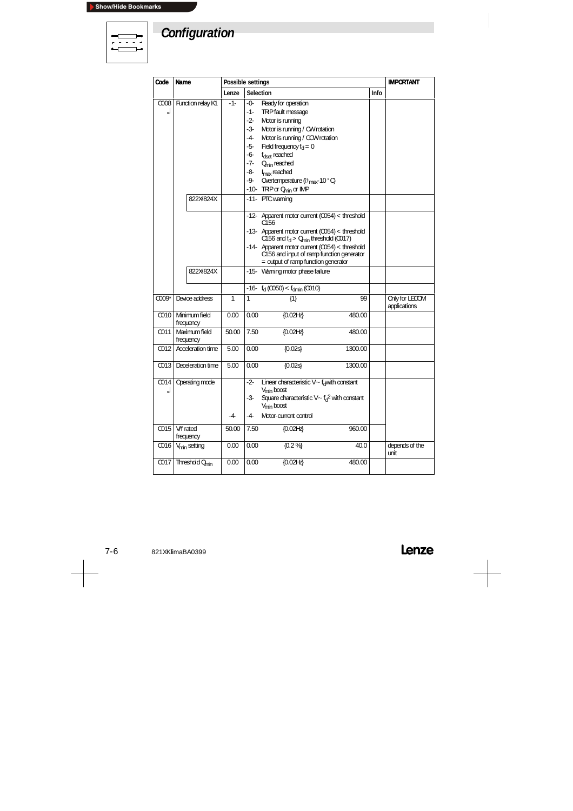

| Code       | Name                                                                                                                                                                                                                                                                                                                                                                                                                                                          | Possible settings |                       |                                                                                                                                                                                                                                                                                                         |             | <b>IMPORTANT</b>               |
|------------|---------------------------------------------------------------------------------------------------------------------------------------------------------------------------------------------------------------------------------------------------------------------------------------------------------------------------------------------------------------------------------------------------------------------------------------------------------------|-------------------|-----------------------|---------------------------------------------------------------------------------------------------------------------------------------------------------------------------------------------------------------------------------------------------------------------------------------------------------|-------------|--------------------------------|
|            |                                                                                                                                                                                                                                                                                                                                                                                                                                                               | Lenze             |                       | Selection                                                                                                                                                                                                                                                                                               | <b>Info</b> |                                |
| C008<br>ار | Function relay K1<br>$-1-$<br>$-()$ -<br>Ready for operation<br>$-1-$<br>TRIP fault message<br>$-2-$<br>Motor is running<br>-3-<br>Motor is running / CW rotation<br>$-4-$<br>Motor is running / CCW rotation<br>$-5-$<br>Field frequency $f_d = 0$<br>f <sub>dset</sub> reached<br>-6-<br>$-7-$<br>Q <sub>min</sub> reached<br>-8-<br>I <sub>max</sub> reached<br>$-9-$<br>Overtemperature (O <sub>max</sub> -10 °C)<br>-10- TRIP or Q <sub>min</sub> or IMP |                   |                       |                                                                                                                                                                                                                                                                                                         |             |                                |
|            | 822X/824X                                                                                                                                                                                                                                                                                                                                                                                                                                                     |                   |                       | -11- PTC warning                                                                                                                                                                                                                                                                                        |             |                                |
|            |                                                                                                                                                                                                                                                                                                                                                                                                                                                               |                   |                       | -12- Apparent motor current (C054) < threshold<br>C <sub>156</sub><br>-13- Apparent motor current (C054) < threshold<br>C156 and $f_d > Q_{min}$ threshold (C017)<br>-14- Apparent motor current (C054) < threshold<br>C156 and input of ramp function generator<br>= output of ramp function generator |             |                                |
|            | 822X/824X                                                                                                                                                                                                                                                                                                                                                                                                                                                     |                   |                       | -15- Warning motor phase failure                                                                                                                                                                                                                                                                        |             |                                |
|            |                                                                                                                                                                                                                                                                                                                                                                                                                                                               |                   |                       | $-16 - f_d$ (C050) < $f_{dmin}$ (C010)                                                                                                                                                                                                                                                                  |             |                                |
| $C009*$    | Device address                                                                                                                                                                                                                                                                                                                                                                                                                                                | $\mathbf{1}$      | 1                     | 99<br>${1}$                                                                                                                                                                                                                                                                                             |             | Only for LECOM<br>applications |
| C010       | Minimum field<br>frequency                                                                                                                                                                                                                                                                                                                                                                                                                                    | 0.00              | 0.00                  | ${0.02Hz}$<br>480.00                                                                                                                                                                                                                                                                                    |             |                                |
| C011       | Maximum field<br>frequency                                                                                                                                                                                                                                                                                                                                                                                                                                    | 50.00             | 7.50                  | ${0.02 Hz}$<br>480.00                                                                                                                                                                                                                                                                                   |             |                                |
| C012       | Acceleration time                                                                                                                                                                                                                                                                                                                                                                                                                                             | 5.00              | 0.00                  | ${0.02s}$<br>1300.00                                                                                                                                                                                                                                                                                    |             |                                |
| C013       | Deceleration time                                                                                                                                                                                                                                                                                                                                                                                                                                             | 5.00              | 0.00                  | 1300.00<br>${0.02s}$                                                                                                                                                                                                                                                                                    |             |                                |
| C014<br>اء | Operating mode                                                                                                                                                                                                                                                                                                                                                                                                                                                | -4-               | $-2-$<br>-3-<br>$-4-$ | Linear characteristic $V \sim f_d$ with constant<br>V <sub>min</sub> boost<br>Square characteristic $V \sim f_d^2$ with constant<br>V <sub>min</sub> boost<br>Motor-current control                                                                                                                     |             |                                |
| C015       | <b>Wf</b> rated<br>frequency                                                                                                                                                                                                                                                                                                                                                                                                                                  | 50.00             | 7.50                  | ${0.02Hz}$<br>960.00                                                                                                                                                                                                                                                                                    |             |                                |
| C016       | V <sub>min</sub> setting                                                                                                                                                                                                                                                                                                                                                                                                                                      | 0.00              | 0.00                  | ${0.2%}$<br>40.0                                                                                                                                                                                                                                                                                        |             | depends of the<br>unit         |
| C017       | Threshold O <sub>min</sub>                                                                                                                                                                                                                                                                                                                                                                                                                                    | 0.00              | 0.00                  | ${0.02Hz}$<br>480.00                                                                                                                                                                                                                                                                                    |             |                                |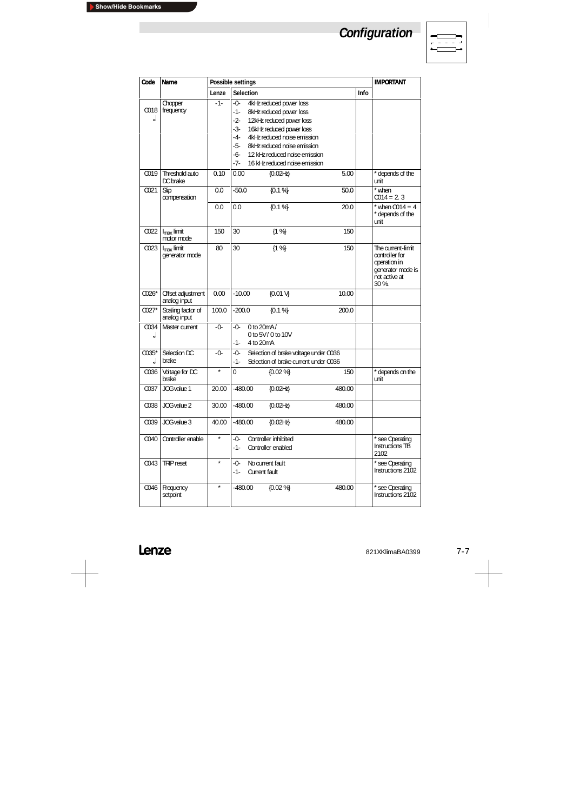| Code             | Name                                     |         | Possible settings                                                                                                                                                                                                                                                                                                    |      | <b>IMPORTANT</b>                                                                                   |
|------------------|------------------------------------------|---------|----------------------------------------------------------------------------------------------------------------------------------------------------------------------------------------------------------------------------------------------------------------------------------------------------------------------|------|----------------------------------------------------------------------------------------------------|
|                  |                                          | Lenze   | Selection                                                                                                                                                                                                                                                                                                            | Info |                                                                                                    |
| C018<br>لے       | Chopper<br>frequency                     | $-1-$   | $-()$ -<br>4kHz reduced power loss<br>$-1-$<br>8kHz reduced power loss<br>$-2-$<br>12kHz reduced power loss<br>$-3-$<br>16kHz reduced power loss<br>$-4-$<br>4kHz reduced noise emission<br>$-5-$<br>8kHz reduced noise emission<br>$-6-$<br>12 kHz reduced noise emission<br>$-7-$<br>16 kHz reduced noise emission |      |                                                                                                    |
| C <sub>019</sub> | Threshold auto<br>DC brake               | 0.10    | 0.00<br>${0.02Hz}$<br>5.00                                                                                                                                                                                                                                                                                           |      | * depends of the<br>unit                                                                           |
| C021             | Slip<br>compensation                     | 0.0     | $-50.0$<br>${0.1%}$<br>50.0                                                                                                                                                                                                                                                                                          |      | * when<br>$CO14 = 2.3$                                                                             |
|                  |                                          | 0.0     | ${0.1%}$<br>0.0<br>20.0                                                                                                                                                                                                                                                                                              |      | * when $CO14 = 4$<br>* depends of the<br>unit                                                      |
| C022             | I <sub>max</sub> limit<br>motor mode     | 150     | 30<br>${1%}$<br>150                                                                                                                                                                                                                                                                                                  |      |                                                                                                    |
| C023             | I <sub>max</sub> limit<br>generator mode | 80      | 30<br>${1%}$<br>150                                                                                                                                                                                                                                                                                                  |      | The current-limit<br>controller for<br>operation in<br>generator mode is<br>not active at<br>30 %. |
| $CO26*$          | Offset adjustment<br>analog input        | 0.00    | $-10.00$<br>${0.01 V}$<br>10.00                                                                                                                                                                                                                                                                                      |      |                                                                                                    |
| $C027*$          | Scaling factor of<br>analog input        | 100.0   | ${0.1%}$<br>$-200.0$<br>200.0                                                                                                                                                                                                                                                                                        |      |                                                                                                    |
| C034<br>ا ہے     | Master current                           | $-()$ - | 0 to 20mA /<br>$-()$ -<br>0 to 5V / 0 to 10V<br>$-1-$<br>4 to 20mA                                                                                                                                                                                                                                                   |      |                                                                                                    |
| $CO35*$<br>↲     | Selection DC<br>brake                    | $-()$ - | $-()$ -<br>Selection of brake voltage under C036<br>$-1-$<br>Selection of brake current under C036                                                                                                                                                                                                                   |      |                                                                                                    |
| C036             | Voltage for DC<br>brake                  | $\star$ | $\Omega$<br>${0.02 \%}$<br>150                                                                                                                                                                                                                                                                                       |      | * depends on the<br>unit                                                                           |
| C037             | JOG value 1                              | 20.00   | $-480.00$<br>${0.02 Hz}$<br>480.00                                                                                                                                                                                                                                                                                   |      |                                                                                                    |
| C038             | JOG value 2                              | 30.00   | $-480.00$<br>${0.02 Hz}$<br>480.00                                                                                                                                                                                                                                                                                   |      |                                                                                                    |
| C039             | JOG value 3                              | 40.00   | $-480.00$<br>${0.02 Hz}$<br>480.00                                                                                                                                                                                                                                                                                   |      |                                                                                                    |
| C040             | Controller enable                        | $\star$ | $-()$ -<br>Controller inhibited<br>$-1-$<br>Controller enabled                                                                                                                                                                                                                                                       |      | * see Operating<br>Instructions TB<br>2102                                                         |
| C043             | <b>TRIP</b> reset                        | $\star$ | No current fault<br>-0-<br>$-1-$<br>Current fault                                                                                                                                                                                                                                                                    |      | * see Operating<br>Instructions 2102                                                               |
| C046             | Frequency<br>setpoint                    | ×       | $-480.00$<br>${0.02 \%}$<br>480.00                                                                                                                                                                                                                                                                                   |      | * see Operating<br>Instructions 2102                                                               |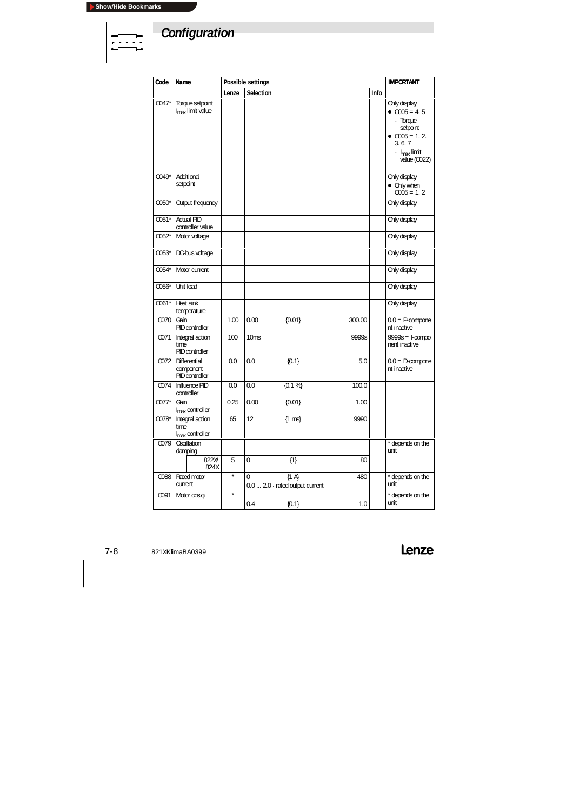

| Code    | Name                                                   | Possible settings | <b>IMPORTANT</b> |                                            |        |      |                                                                                                                                  |
|---------|--------------------------------------------------------|-------------------|------------------|--------------------------------------------|--------|------|----------------------------------------------------------------------------------------------------------------------------------|
|         |                                                        | Lenze             | Selection        |                                            |        | Info |                                                                                                                                  |
| $CO47*$ | Torque setpoint<br>I <sub>max</sub> limit value        |                   |                  |                                            |        |      | Only display<br>• $C005 = 4.5$<br>- Torque<br>setpoint<br>• $C005 = 1, 2$ .<br>3.6.7<br>- I <sub>max</sub> limit<br>value (C022) |
| $CO49*$ | Additional<br>setpoint                                 |                   |                  |                                            |        |      | Only display<br>• Only when<br>$C005 = 1.2$                                                                                      |
| C050*   | Output frequency                                       |                   |                  |                                            |        |      | Only display                                                                                                                     |
| $C051*$ | <b>Actual PID</b><br>controller value                  |                   |                  |                                            |        |      | Only display                                                                                                                     |
| $CO52*$ | Motor voltage                                          |                   |                  |                                            |        |      | Only display                                                                                                                     |
| $CO53*$ | DC-bus voltage                                         |                   |                  |                                            |        |      | Only display                                                                                                                     |
| C054*   | Motor current                                          |                   |                  |                                            |        |      | Only display                                                                                                                     |
| $C056*$ | Unit load                                              |                   |                  |                                            |        |      | Only display                                                                                                                     |
| $C061*$ | Heat sink<br>temperature                               |                   |                  |                                            |        |      | Only display                                                                                                                     |
| C070    | Gain<br>PID controller                                 | 1.00              | 0.00             | ${0.01}$                                   | 300.00 |      | $0.0 = P$ -compone<br>nt inactive                                                                                                |
| C071    | Integral action<br>time<br>PID controller              | 100               | 10 <sub>ms</sub> |                                            | 9999s  |      | $9999s = 1$ -compo<br>nent inactive                                                                                              |
| C072    | <b>Differential</b><br>component<br>PID controller     | 0.0               | 0.0              | ${0.1}$                                    | 5.0    |      | $0.0 = D$ -compone<br>nt inactive                                                                                                |
| C074    | Influence PID<br>controller                            | 0.0               | 0.0              | ${0.1%}$                                   | 100.0  |      |                                                                                                                                  |
| $C077*$ | Gain<br>I <sub>max</sub> controller                    | 0.25              | 0.00             | ${0.01}$                                   | 1.00   |      |                                                                                                                                  |
| C078*   | Integral action<br>time<br>I <sub>max</sub> controller | 65                | 12               | ${1 ms}$                                   | 9990   |      |                                                                                                                                  |
| C079    | Oscillation<br>damping                                 |                   |                  |                                            |        |      | * depends on the<br>unit                                                                                                         |
|         | 822X/<br>824X                                          | 5                 | 0                | ${1}$                                      | 80     |      |                                                                                                                                  |
| C088    | Rated motor<br>current                                 | $\star$           | 0                | ${1 A}$<br>0.0  2.0 · rated output current | 480    |      | * depends on the<br>unit                                                                                                         |
| C091    | Motor cos $\varphi$                                    | ×                 | 0.4              | ${0.1}$                                    | 1.0    |      | * depends on the<br>unit                                                                                                         |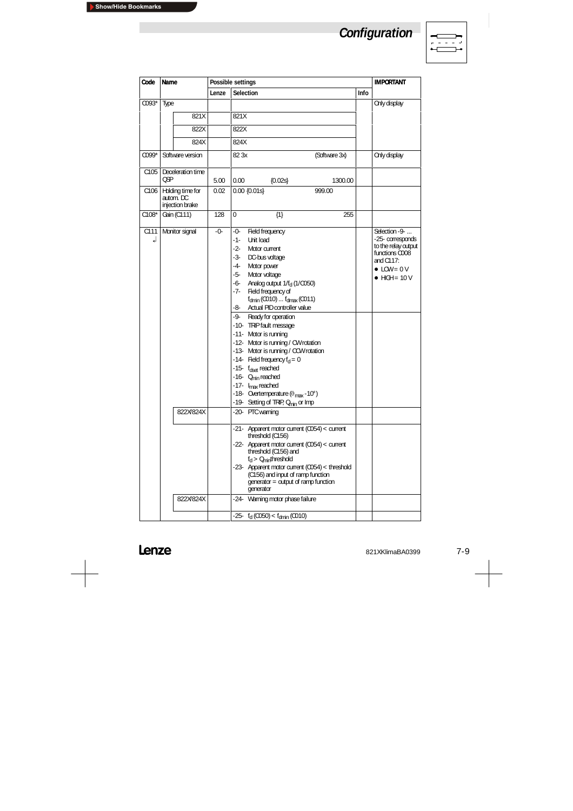

| Code    | Name                                             | Possible settings | <b>IMPORTANT</b> |                                                                                                                                         |      |                                       |
|---------|--------------------------------------------------|-------------------|------------------|-----------------------------------------------------------------------------------------------------------------------------------------|------|---------------------------------------|
|         |                                                  | Lenze             |                  | Selection                                                                                                                               | Info |                                       |
| $CO93*$ | Type                                             |                   |                  |                                                                                                                                         |      | Only display                          |
|         | 821X                                             |                   | 821X             |                                                                                                                                         |      |                                       |
|         |                                                  |                   |                  |                                                                                                                                         |      |                                       |
|         | 822X                                             |                   | 822X             |                                                                                                                                         |      |                                       |
|         | 824X                                             |                   | 824X             |                                                                                                                                         |      |                                       |
| C099*   | Software version                                 |                   | 82 3x            | (Software 3x)                                                                                                                           |      | Only display                          |
| C105    | Deceleration time                                |                   |                  |                                                                                                                                         |      |                                       |
|         | <b>QSP</b>                                       | 5.00              | 0.00             | ${0.02s}$<br>1300.00                                                                                                                    |      |                                       |
| C106    | Holding time for<br>autom. DC<br>injection brake | 0.02              |                  | 999.00<br>$0.00$ $(0.01s)$                                                                                                              |      |                                       |
| $C108*$ | Gain (C111)                                      | 128               | 0                | ${1}$<br>255                                                                                                                            |      |                                       |
| C111    | Monitor signal                                   | $-()$ -           | $-0-$            | Field frequency                                                                                                                         |      | Selection -9-                         |
| ا ہے    |                                                  |                   | $-1-$            | Unit load                                                                                                                               |      | -25- corresponds                      |
|         |                                                  |                   | -2-              | Motor current                                                                                                                           |      | to the relay output<br>functions C008 |
|         |                                                  |                   | $-3-$            | DC-bus voltage                                                                                                                          |      | and C117:                             |
|         |                                                  |                   | $-4-$            | Motor power                                                                                                                             |      | $\bullet$ LOW = 0 V                   |
|         |                                                  |                   | $-5-$            | Motor voltage                                                                                                                           |      | $\bullet$ HIGH = 10 V                 |
|         |                                                  |                   | -6-              | Analog output 1/f <sub>d</sub> (1/C050)                                                                                                 |      |                                       |
|         |                                                  |                   | $-7-$            | Field frequency of                                                                                                                      |      |                                       |
|         |                                                  |                   |                  | $f_{\text{dmin}}(0010)  f_{\text{dmax}}(0011)$                                                                                          |      |                                       |
|         |                                                  |                   | -8-              | Actual PID controller value                                                                                                             |      |                                       |
|         |                                                  |                   | -9-              | Ready for operation                                                                                                                     |      |                                       |
|         |                                                  |                   |                  | -10- TRIP fault message                                                                                                                 |      |                                       |
|         |                                                  |                   |                  | -11- Motor is running                                                                                                                   |      |                                       |
|         |                                                  |                   |                  | -12- Motor is running / CW rotation                                                                                                     |      |                                       |
|         |                                                  |                   |                  | -13- Motor is running / CCW rotation                                                                                                    |      |                                       |
|         |                                                  |                   |                  | -14- Field frequency $f_d = 0$<br>-15- f <sub>riset</sub> reached                                                                       |      |                                       |
|         |                                                  |                   |                  | -16- Q <sub>min</sub> reached                                                                                                           |      |                                       |
|         |                                                  |                   |                  | -17- I <sub>max</sub> reached                                                                                                           |      |                                       |
|         |                                                  |                   |                  | -18- Overtemperature ( $\theta_{\text{max}}$ -10°)                                                                                      |      |                                       |
|         |                                                  |                   |                  | -19- Setting of TRIP, Q <sub>min</sub> or Imp                                                                                           |      |                                       |
|         | 822X/824X                                        |                   |                  | -20- PTC warning                                                                                                                        |      |                                       |
|         |                                                  |                   |                  | -21- Apparent motor current (C054) < current<br>threshold (C156)                                                                        |      |                                       |
|         |                                                  |                   |                  | -22- Apparent motor current (C054) < current<br>threshold (C156) and<br>$f_d > Q_{min}$ threshold                                       |      |                                       |
|         |                                                  |                   |                  | -23- Apparent motor current (C054) < threshold<br>(C156) and input of ramp function<br>generator = output of ramp function<br>generator |      |                                       |
|         | 822X/824X                                        |                   |                  | -24- Warning motor phase failure                                                                                                        |      |                                       |
|         |                                                  |                   |                  | $-25 - f_d$ (CO50) < $f_{dmin}$ (CO10)                                                                                                  |      |                                       |
|         |                                                  |                   |                  |                                                                                                                                         |      |                                       |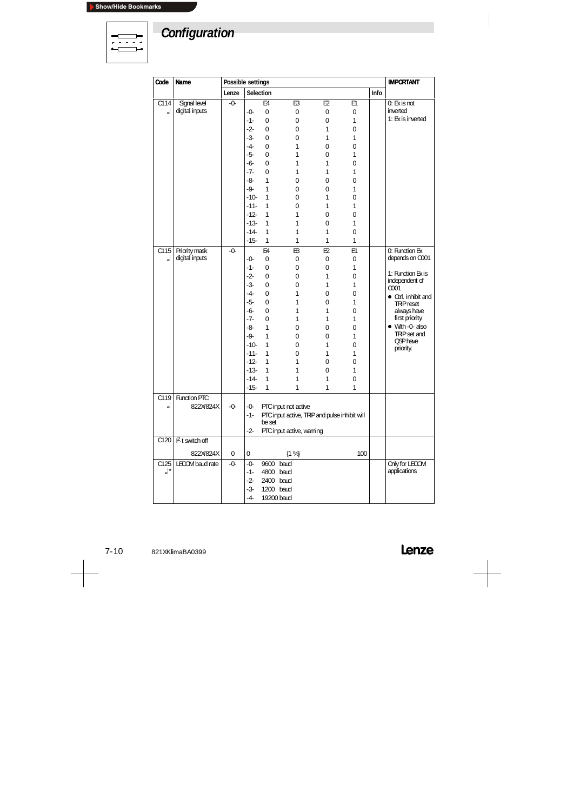

| Code           | Name                | Possible settings |                  |             |                                               |                |               | <b>IMPORTANT</b> |                                     |
|----------------|---------------------|-------------------|------------------|-------------|-----------------------------------------------|----------------|---------------|------------------|-------------------------------------|
|                |                     | Lenze             |                  | Selection   |                                               |                |               | Info             |                                     |
| C114           | Signal level        | $-0-$             |                  | E4          | E <sub>3</sub>                                | E <sub>2</sub> | E1            |                  | $0: Ex$ is not                      |
| ا ہے           | digital inputs      |                   | $-0-$            | $\mathbf 0$ | 0                                             | 0              | 0             |                  | inverted                            |
|                |                     |                   | $-1-$            | 0           | 0                                             | 0              | 1             |                  | 1: Ex is inverted                   |
|                |                     |                   | $-2-$            | 0           | 0                                             | 1              | 0             |                  |                                     |
|                |                     |                   | $-3-$            | 0           | 0                                             | 1              | 1             |                  |                                     |
|                |                     |                   | $-4-$            | 0           | 1                                             | 0              | $\Omega$      |                  |                                     |
|                |                     |                   | $-5-$            | 0           | 1                                             | 0              | 1             |                  |                                     |
|                |                     |                   | -6-              | 0           | 1                                             | 1              | 0             |                  |                                     |
|                |                     |                   | $-7-$            | 0           | 1                                             | 1              | 1             |                  |                                     |
|                |                     |                   | -8-<br>$-9-$     | 1<br>1      | 0<br>0                                        | 0<br>0         | 0<br>1        |                  |                                     |
|                |                     |                   | $-10-$           | 1           | 0                                             | 1              | 0             |                  |                                     |
|                |                     |                   | $-11-$           | 1           | 0                                             | 1              | 1             |                  |                                     |
|                |                     |                   | $-12-$           | 1           | 1                                             | 0              | 0             |                  |                                     |
|                |                     |                   | $-13-$           | 1           | 1                                             | $\mathbf 0$    | 1             |                  |                                     |
|                |                     |                   | $-14-$           | 1           | 1                                             | 1              | $\Omega$      |                  |                                     |
|                |                     |                   | $-15-$           | 1           | 1                                             | 1              | $\mathbf{1}$  |                  |                                     |
| C115           | Priority mask       | $-0-$             |                  | E4          | E <sub>3</sub>                                | E <sub>2</sub> | E1            |                  | 0: Function Ex                      |
| ار             | digital inputs      |                   | -0-              | 0           | 0                                             | 0              | 0             |                  | depends on C001                     |
|                |                     |                   | $-1-$            | 0           | 0                                             | 0              | 1             |                  |                                     |
|                |                     |                   | $-2-$            | 0           | 0                                             | 1              | 0             |                  | 1: Function Ex is<br>independent of |
|                |                     |                   | $-3-$            | 0           | 0                                             | 1              | 1             |                  | C001                                |
|                |                     |                   | $-4-$            | $\Omega$    | 1                                             | $\Omega$       | $\Omega$      |                  | • Ctrl. inhibit and                 |
|                |                     |                   | $-5-$            | $\Omega$    | 1                                             | $\Omega$       | 1             |                  | <b>TRIP</b> reset                   |
|                |                     |                   | $-6-$            | $\Omega$    | 1                                             | 1              | $\Omega$      |                  | always have                         |
|                |                     |                   | $-7-$            | $\Omega$    | 1                                             | 1              | 1             |                  | first priority.                     |
|                |                     |                   | -8-              | 1           | 0                                             | 0              | 0             |                  | • With -0- also<br>TRIP set and     |
|                |                     |                   | $-9-$            | 1           | 0                                             | 0              | 1             |                  | QSP have                            |
|                |                     |                   | $-10-$           | 1           | 0                                             | 1              | 0             |                  | priority.                           |
|                |                     |                   | $-11-$<br>$-12-$ | 1<br>1      | 0<br>1                                        | 1<br>0         | 1<br>$\Omega$ |                  |                                     |
|                |                     |                   | $-13-$           | 1           | 1                                             | 0              | 1             |                  |                                     |
|                |                     |                   | $-14-$           | 1           | 1                                             | 1              | 0             |                  |                                     |
|                |                     |                   | $-15-$           | 1           | 1                                             | 1              | 1             |                  |                                     |
| C119           | <b>Function PTC</b> |                   |                  |             |                                               |                |               |                  |                                     |
| لج             | 822X/824X           | $-0-$             | -0-              |             | PTC input not active                          |                |               |                  |                                     |
|                |                     |                   | $-1-$            |             | PTC input active, TRIP and pulse inhibit will |                |               |                  |                                     |
|                |                     |                   |                  | be set      |                                               |                |               |                  |                                     |
|                |                     |                   | $-2-$            |             | PTC input active, warning                     |                |               |                  |                                     |
| C120           | $I2$ t switch off   |                   |                  |             |                                               |                |               |                  |                                     |
|                | 822X/824X           | 0                 | 0                |             | ${1%}$                                        |                | 100           |                  |                                     |
| C125           | LECOM baud rate     | $-0-$             | $-0-$            | 9600        | baud                                          |                |               |                  | Only for LECOM                      |
| $\downarrow^*$ |                     |                   | $-1-$            |             | 4800 baud                                     |                |               |                  | applications                        |
|                |                     |                   | $-2-$            |             | 2400 baud                                     |                |               |                  |                                     |
|                |                     |                   | -3-              |             | 1200 baud                                     |                |               |                  |                                     |
|                |                     |                   | $-4-$            |             | 19200 baud                                    |                |               |                  |                                     |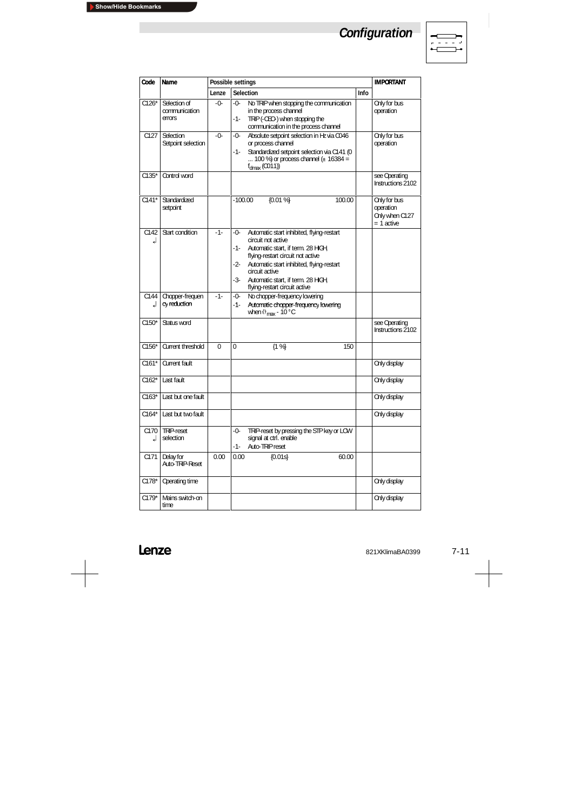

| Code             | Possible settings<br>Name               |          |                                                                                                                                                                                                                                                                                                                        |  | <b>IMPORTANT</b>                                            |
|------------------|-----------------------------------------|----------|------------------------------------------------------------------------------------------------------------------------------------------------------------------------------------------------------------------------------------------------------------------------------------------------------------------------|--|-------------------------------------------------------------|
|                  |                                         | Lenze    | Selection                                                                                                                                                                                                                                                                                                              |  |                                                             |
| $C126*$          | Selection of<br>communication<br>errors | $-()$ -  | $-()$ -<br>No TRIP when stopping the communication<br>in the process channel<br>TRIP (-CEO-) when stopping the<br>$-1-$<br>communication in the process channel                                                                                                                                                        |  | Only for bus<br>operation                                   |
| C127             | Selection<br>Setpoint selection         | $-0-$    | Absolute setpoint selection in Hz via C046<br>-0-<br>or process channel<br>$-1-$<br>Standardized setpoint selection via C141 (0<br>100 %) or process channel $(\pm 16384 =$<br>$f_{\text{dmax}}(CO11)$                                                                                                                 |  | Only for bus<br>operation                                   |
| $C135*$          | Control word                            |          |                                                                                                                                                                                                                                                                                                                        |  | see Operating<br>Instructions 2102                          |
| $C141*$          | Standardized<br>setpoint                |          | $-100.00$<br>${0.01 \%}$<br>100.00                                                                                                                                                                                                                                                                                     |  | Only for bus<br>operation<br>Only when C127<br>$= 1$ active |
| C142<br>┙        | Start condition                         | $-1-$    | $-()$ -<br>Automatic start inhibited, flying-restart<br>circuit not active<br>$-1-$<br>Automatic start, if term. 28 HIGH,<br>flying-restart circuit not active<br>Automatic start inhibited, flying-restart<br>$-2-$<br>circuit active<br>$-3-$<br>Automatic start, if term. 28 HIGH,<br>flying-restart circuit active |  |                                                             |
| C144<br>ار       | Chopper-frequen<br>cy reduction         | $-1-$    | $-0-$<br>No chopper-frequency lowering<br>Automatic chopper-frequency lowering<br>$-1-$<br>when $\vartheta_{\text{max}}$ - 10 °C                                                                                                                                                                                       |  |                                                             |
| $C150*$          | Status word                             |          |                                                                                                                                                                                                                                                                                                                        |  | see Operating<br>Instructions 2102                          |
| $C156*$          | Current threshold                       | $\Omega$ | $\Omega$<br>${1%}$<br>150                                                                                                                                                                                                                                                                                              |  |                                                             |
| $C161*$          | Current fault                           |          |                                                                                                                                                                                                                                                                                                                        |  | Only display                                                |
| $C162*$          | Last fault                              |          |                                                                                                                                                                                                                                                                                                                        |  | Only display                                                |
| $C163*$          | Last but one fault                      |          |                                                                                                                                                                                                                                                                                                                        |  | Only display                                                |
| $C164*$          | Last but two fault                      |          |                                                                                                                                                                                                                                                                                                                        |  | Only display                                                |
| C170<br>الے      | <b>TRIP-reset</b><br>selection          |          | $-()$ -<br>TRIP-reset by pressing the STP key or LOW<br>signal at ctrl. enable<br>$-1-$<br>Auto-TRIP reset                                                                                                                                                                                                             |  |                                                             |
| C <sub>171</sub> | Delay for<br>Auto-TRIP-Reset            | 0.00     | 0.00<br>${0.01s}$<br>60.00                                                                                                                                                                                                                                                                                             |  |                                                             |
| $C178*$          | Operating time                          |          |                                                                                                                                                                                                                                                                                                                        |  | Only display                                                |
| $C179*$          | Mains switch-on<br>time                 |          |                                                                                                                                                                                                                                                                                                                        |  | Only display                                                |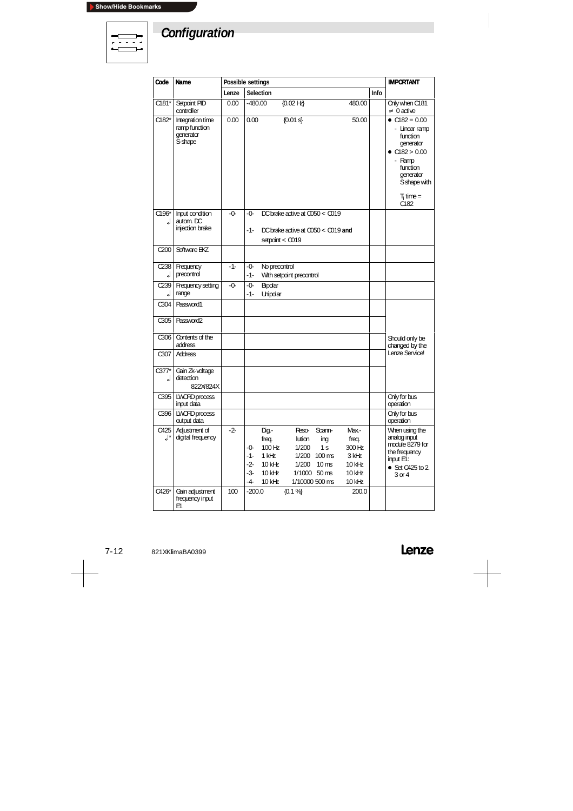$\overline{2}$   $\overline{2}$   $\overline{2}$ 

| Code                    | Name                                                      | Possible settings |                                                                                                                                                                                                                                                                                                                                                     | <b>IMPORTANT</b> |                                                                                                                                                         |
|-------------------------|-----------------------------------------------------------|-------------------|-----------------------------------------------------------------------------------------------------------------------------------------------------------------------------------------------------------------------------------------------------------------------------------------------------------------------------------------------------|------------------|---------------------------------------------------------------------------------------------------------------------------------------------------------|
|                         |                                                           | Lenze             | Selection                                                                                                                                                                                                                                                                                                                                           | Info             |                                                                                                                                                         |
| $C181*$                 | Setpoint PID<br>controller                                | 0.00              | ${0.02 \text{ Hz}}$<br>$-480.00$<br>480.00                                                                                                                                                                                                                                                                                                          |                  | Only when C181<br>$\neq 0$ active                                                                                                                       |
| $C182*$                 | Integration time<br>ramp function<br>generator<br>S-shape | 0.00              | ${0.01 s}$<br>0.00<br>50.00                                                                                                                                                                                                                                                                                                                         |                  | • $C182 = 0.00$<br>- Linear ramp<br>function<br>generator<br>• $C182 > 0.00$<br>- Ramp<br>function<br>generator<br>S shape with<br>$T_i$ time =<br>C182 |
| $C196*$<br>↲            | Input condition<br>autom. DC<br>injection brake           | $-()$ -           | DC brake active at $C050 < C019$<br>$-()$ -<br>$-1-$<br>DC brake active at C050 < C019 and<br>setpoint < C019                                                                                                                                                                                                                                       |                  |                                                                                                                                                         |
| C200                    | Software EKZ                                              |                   |                                                                                                                                                                                                                                                                                                                                                     |                  |                                                                                                                                                         |
| C <sub>238</sub><br>الے | Frequency<br>precontrol                                   | $-1-$             | No precontrol<br>-0-<br>$-1-$<br>With setpoint precontrol                                                                                                                                                                                                                                                                                           |                  |                                                                                                                                                         |
| C239<br>J               | Frequency setting<br>range                                | $-()$ -           | $-()$ -<br>Bipolar<br>$-1-$<br>Unipolar                                                                                                                                                                                                                                                                                                             |                  |                                                                                                                                                         |
| C304                    | Password1                                                 |                   |                                                                                                                                                                                                                                                                                                                                                     |                  |                                                                                                                                                         |
| C305                    | Password2                                                 |                   |                                                                                                                                                                                                                                                                                                                                                     |                  |                                                                                                                                                         |
| C306                    | Contents of the<br>address                                |                   |                                                                                                                                                                                                                                                                                                                                                     |                  | Should only be<br>changed by the                                                                                                                        |
| C307                    | <b>Address</b>                                            |                   |                                                                                                                                                                                                                                                                                                                                                     |                  | Lenze Service!                                                                                                                                          |
| $C377*$<br>J            | Gain Zk-voltage<br>detection<br>822X/824X                 |                   |                                                                                                                                                                                                                                                                                                                                                     |                  |                                                                                                                                                         |
| C <sub>395</sub>        | <b>LWORD</b> process<br>input data                        |                   |                                                                                                                                                                                                                                                                                                                                                     |                  | Only for bus<br>operation                                                                                                                               |
| C396                    | <b>LWORD</b> process<br>output data                       |                   |                                                                                                                                                                                                                                                                                                                                                     |                  | Only for bus<br>operation                                                                                                                               |
| C425<br>* ل             | Adjustment of<br>digital frequency                        | $-2-$             | Max.-<br>Dig.-<br>Reso-<br>Scann-<br>freq.<br>lution<br>ing<br>freq.<br>100 H <sub>z</sub><br>$-()$ -<br>1/200<br>1 <sub>S</sub><br>300 Hz<br>$-1-$<br>$1$ kHz<br>1/200 100 ms<br>3 kHz<br>$-2-$<br>10 kHz<br>1/200<br>$10 \text{ ms}$<br><b>10 kHz</b><br>$-3-$<br>10 kHz<br>1/1000 50 ms<br>10 kHz<br>$-4-$<br>10 kHz<br>1/10000 500 ms<br>10 kHz |                  | When using the<br>analog input<br>module 8279 for<br>the frequency<br>input E1:<br>$\bullet$ Set C425 to 2.<br>3 or 4                                   |
| $C426*$                 | Gain adjustment<br>frequency input<br>E1                  | 100               | $-200.0$<br>${0.1%}$<br>200.0                                                                                                                                                                                                                                                                                                                       |                  |                                                                                                                                                         |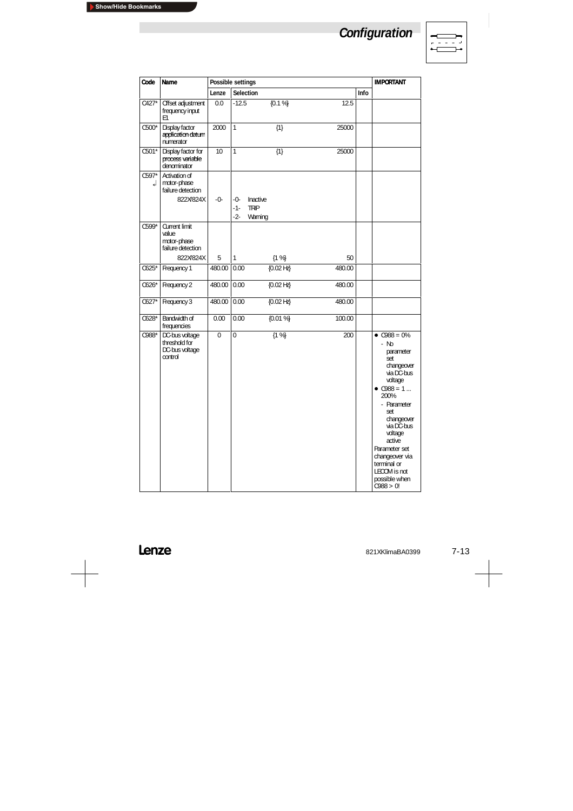

| Code         | Name                                                              | Possible settings |                         |                                    | <b>IMPORTANT</b> |      |                                                                                                                                                                                                                                                                                        |
|--------------|-------------------------------------------------------------------|-------------------|-------------------------|------------------------------------|------------------|------|----------------------------------------------------------------------------------------------------------------------------------------------------------------------------------------------------------------------------------------------------------------------------------------|
|              |                                                                   | Lenze             |                         | Selection                          |                  | Info |                                                                                                                                                                                                                                                                                        |
| $C427*$      | Offset adjustment<br>frequency input<br>E1                        | 0.0               | $-12.5$                 | ${0.1%}$                           | 12.5             |      |                                                                                                                                                                                                                                                                                        |
| C500*        | Display factor<br>application datum<br>numerator                  | 2000              | 1                       | ${1}$                              | 25000            |      |                                                                                                                                                                                                                                                                                        |
| C501*        | Display factor for<br>process variable<br>denominator             | 10                | $\mathbf{1}$            | ${1}$                              | 25000            |      |                                                                                                                                                                                                                                                                                        |
| $C597*$<br>J | Activation of<br>motor-phase<br>failure detection<br>822X/824X    | $-0-$             | $-0-$<br>$-1-$<br>$-2-$ | Inactive<br><b>TRIP</b><br>Warning |                  |      |                                                                                                                                                                                                                                                                                        |
| C599*        | <b>Current limit</b><br>value<br>motor-phase<br>failure detection |                   |                         |                                    |                  |      |                                                                                                                                                                                                                                                                                        |
|              | 822X/824X                                                         | 5                 | 1                       | ${1%}$                             | 50               |      |                                                                                                                                                                                                                                                                                        |
| $C625*$      | Frequency 1                                                       | 480.00            | 0.00                    | ${0.02 \text{ Hz}}$                | 480.00           |      |                                                                                                                                                                                                                                                                                        |
| $C626*$      | Frequency 2                                                       | 480.00            | 0.00                    | ${0.02 Hz}$                        | 480.00           |      |                                                                                                                                                                                                                                                                                        |
| $C627*$      | Frequency 3                                                       | 480.00            | 0.00                    | ${0.02 Hz}$                        | 480.00           |      |                                                                                                                                                                                                                                                                                        |
| $C628*$      | Bandwidth of<br>frequencies                                       | 0.00              | 0.00                    | ${0.01 %}$                         | 100.00           |      |                                                                                                                                                                                                                                                                                        |
| C988*        | DC-bus voltage<br>threshold for<br>DC-bus voltage<br>control      | $\Omega$          | 0                       | ${1%}$                             | 200              |      | $\bullet$ C988 = 0%<br>- No<br>parameter<br>set<br>changeover<br>via DC-bus<br>voltage<br>• $C988 = 1 $<br>200%<br>- Parameter<br>set<br>changeover<br>via DC-bus<br>voltage<br>active<br>Parameter set<br>changeover via<br>terminal or<br>LECOM is not<br>possible when<br>C988 > 0! |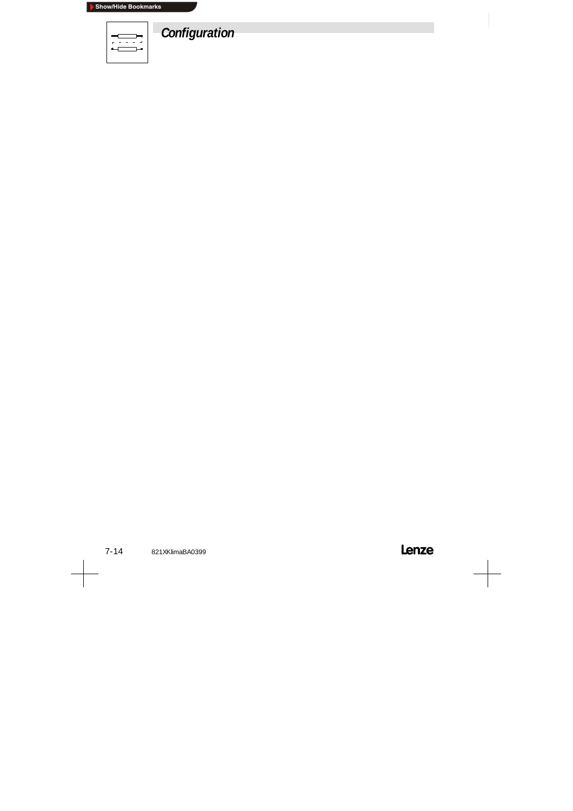| Show/Hide Bookmarks |  |
|---------------------|--|
|                     |  |
|                     |  |

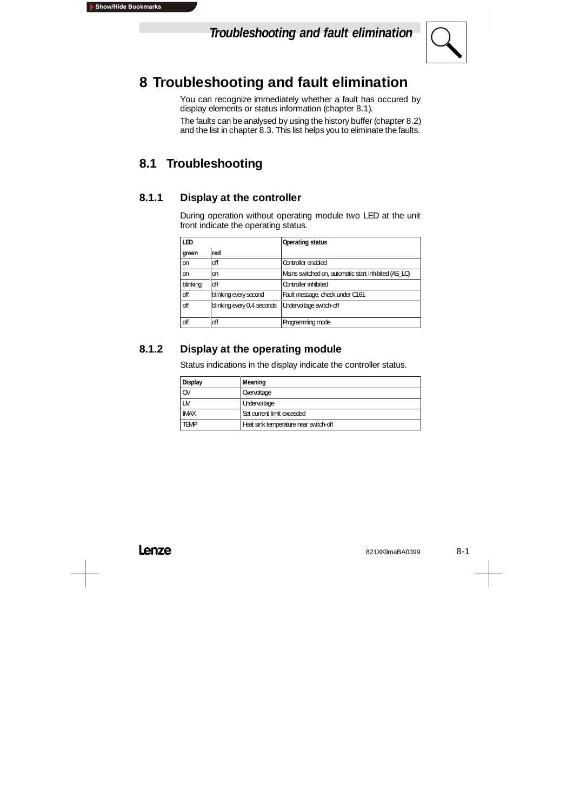

# **8 Troubleshooting and fault elimination**

You can recognize immediately whether a fault has occured by display elements or status information (chapter 8.1).

The faults can be analysed by using the history buffer (chapter 8.2) and the list in chapter 8.3. This list helps you to eliminate the faults.

## **8.1 Troubleshooting**

### **8.1.1 Display at the controller**

During operation without operating module two LED at the unit front indicate the operating status.

| LED           |                            | Operating status                                     |
|---------------|----------------------------|------------------------------------------------------|
| green         | red                        |                                                      |
| <sub>on</sub> | off                        | Controller enabled                                   |
| <sub>on</sub> | <sub>on</sub>              | Mains switched on, automatic start inhibited (AS LC) |
| blinking      | off                        | Controller inhibited                                 |
| off           | blinking every second      | Fault message, check under C161                      |
| off           | blinking every 0.4 seconds | Undervoltage switch-off                              |
|               |                            |                                                      |
| off           | off                        | Programming mode                                     |

### **8.1.2 Display at the operating module**

Status indications in the display indicate the controller status.

| <b>Display</b> | Meaning                               |
|----------------|---------------------------------------|
| <b>OV</b>      | Overvoltage                           |
| UV             | Undervoltage                          |
| <b>IMAX</b>    | Set current limit exceeded            |
| <b>TFMP</b>    | Heat sink temperature near switch-off |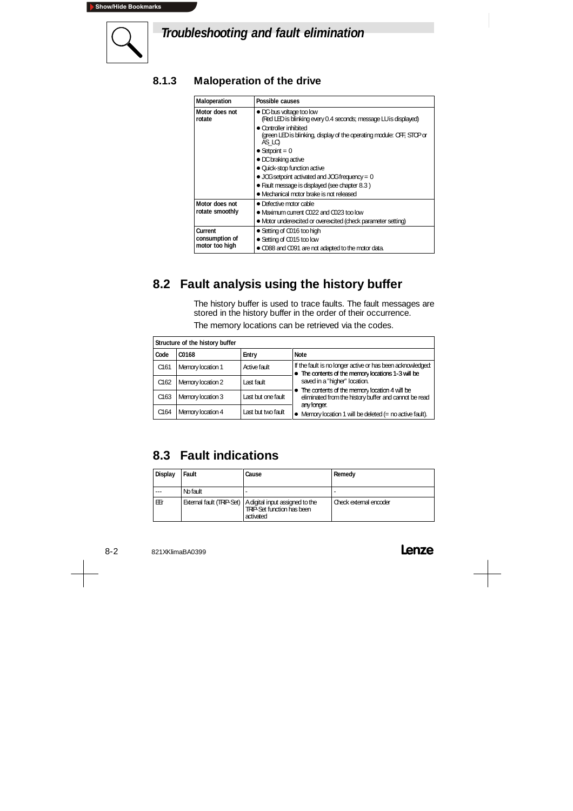

### **8.1.3 Maloperation of the drive**

| Maloperation                                | Possible causes                                                                                                                                                                                                                                                                                                                                                                                                                            |
|---------------------------------------------|--------------------------------------------------------------------------------------------------------------------------------------------------------------------------------------------------------------------------------------------------------------------------------------------------------------------------------------------------------------------------------------------------------------------------------------------|
| Motor does not<br>rotate                    | • DC-bus voltage too low<br>(Red LED is blinking every 0.4 seconds; message LU is displayed)<br>• Controller inhibited<br>(green LED is blinking, display of the operating module: OFF, STOP or<br>AS LC)<br>$\bullet$ Setpoint = 0<br>• DC braking active<br>• Quick-stop function active<br>• JOG setpoint activated and JOG frequency = 0<br>• Fault message is displayed (see chapter 8.3)<br>• Mechanical motor brake is not released |
| Motor does not<br>rotate smoothly           | • Defective motor cable<br>• Maximum current C022 and C023 too low<br>• Motor underexcited or overexcited (check parameter setting)                                                                                                                                                                                                                                                                                                        |
| Current<br>consumption of<br>motor too high | • Setting of C016 too high<br>• Setting of C015 too low<br>• C088 and C091 are not adapted to the motor data.                                                                                                                                                                                                                                                                                                                              |

# **8.2 Fault analysis using the history buffer**

The history buffer is used to trace faults. The fault messages are stored in the history buffer in the order of their occurrence.

The memory locations can be retrieved via the codes.

|                  | Structure of the history buffer |                    |                                                                                                                  |  |  |  |  |
|------------------|---------------------------------|--------------------|------------------------------------------------------------------------------------------------------------------|--|--|--|--|
| Code             | C0168                           | Entry              | <b>Note</b>                                                                                                      |  |  |  |  |
| C <sub>161</sub> | Memory location 1               | Active fault       | If the fault is no longer active or has been acknowledged:<br>• The contents of the memory locations 1-3 will be |  |  |  |  |
| C <sub>162</sub> | Memory location 2               | Last fault         | saved in a "higher" location.<br>• The contents of the memory location 4 will be                                 |  |  |  |  |
| C <sub>163</sub> | Memory location 3               | Last but one fault | eliminated from the history buffer and cannot be read                                                            |  |  |  |  |
| C <sub>164</sub> | Memory location 4               | Last but two fault | any longer.<br>• Memory location 1 will be deleted (= no active fault).                                          |  |  |  |  |

## **8.3 Fault indications**

| <b>Display</b> | Fault    | Cause                                                                                                  | Remedy                 |
|----------------|----------|--------------------------------------------------------------------------------------------------------|------------------------|
|                | No fault |                                                                                                        |                        |
| FFr            |          | External fault (TRIP-Set)   A digital input assigned to the<br>TRIP-Set function has been<br>activated | Check external encoder |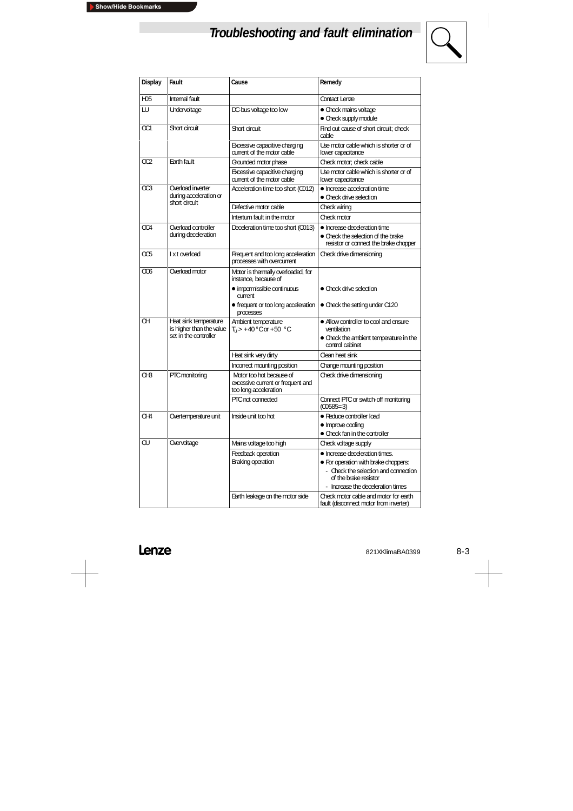

| <b>Display</b>  | Fault                                                                      | Cause                                                                                  | Remedy                                                                                                                                                                       |
|-----------------|----------------------------------------------------------------------------|----------------------------------------------------------------------------------------|------------------------------------------------------------------------------------------------------------------------------------------------------------------------------|
| H <sub>05</sub> | Internal fault                                                             |                                                                                        | <b>Contact Lenze</b>                                                                                                                                                         |
| LU              | Undervoltage                                                               | DC-bus voltage too low                                                                 | • Check mains voltage<br>• Check supply module                                                                                                                               |
| OC <sub>1</sub> | Short circuit                                                              | Short circuit                                                                          | Find out cause of short circuit; check<br>cable                                                                                                                              |
|                 |                                                                            | Excessive capacitive charging<br>current of the motor cable                            | Use motor cable which is shorter or of<br>lower capacitance                                                                                                                  |
| OC <sub>2</sub> | Farth fault                                                                | Grounded motor phase                                                                   | Check motor: check cable                                                                                                                                                     |
|                 |                                                                            | Excessive capacitive charging<br>current of the motor cable                            | Use motor cable which is shorter or of<br>lower capacitance                                                                                                                  |
| OC <sub>3</sub> | Overload inverter<br>during acceleration or                                | Acceleration time too short (C012)                                                     | • Increase acceleration time<br>• Check drive selection                                                                                                                      |
|                 | short circuit                                                              | Defective motor cable                                                                  | Check wiring                                                                                                                                                                 |
|                 |                                                                            | Interturn fault in the motor                                                           | Check motor                                                                                                                                                                  |
| OC4             | Overload controller<br>during deceleration                                 | Deceleration time too short (C013)                                                     | • Increase deceleration time<br>• Check the selection of the brake<br>resistor or connect the brake chopper                                                                  |
| OC5             | I x t overload                                                             | Frequent and too long acceleration<br>processes with overcurrent                       | Check drive dimensioning                                                                                                                                                     |
| OC6             | Overload motor                                                             | Motor is thermally overloaded, for<br>instance, because of                             |                                                                                                                                                                              |
|                 |                                                                            | · impermissible continuous<br>current                                                  | • Check drive selection                                                                                                                                                      |
|                 |                                                                            | • frequent or too long acceleration<br>processes                                       | • Check the setting under C120                                                                                                                                               |
| OH              | Heat sink temperature<br>is higher than the value<br>set in the controller | Ambient temperature<br>$T_{\text{U}}$ > +40 °C or +50 °C                               | • Allow controller to cool and ensure<br>ventilation<br>• Check the ambient temperature in the<br>control cabinet                                                            |
|                 |                                                                            | Heat sink very dirty                                                                   | Clean heat sink                                                                                                                                                              |
|                 |                                                                            | Incorrect mounting position                                                            | Change mounting position                                                                                                                                                     |
| OH <sub>3</sub> | PTC monitoring                                                             | Motor too hot because of<br>excessive current or frequent and<br>too long acceleration | Check drive dimensioning                                                                                                                                                     |
|                 |                                                                            | PTC not connected                                                                      | Connect PTC or switch-off monitoring<br>$(C0585=3)$                                                                                                                          |
| OH4             | Overtemperature unit                                                       | Inside unit too hot                                                                    | · Reduce controller load<br>• Improve cooling<br>• Check fan in the controller                                                                                               |
| OU              | Overvoltage                                                                | Mains voltage too high                                                                 | Check voltage supply                                                                                                                                                         |
|                 |                                                                            | Feedback operation<br>Braking operation                                                | . Increase deceleration times.<br>. For operation with brake choppers:<br>- Check the selection and connection<br>of the brake resistor<br>- Increase the deceleration times |
|                 |                                                                            | Earth leakage on the motor side                                                        | Check motor cable and motor for earth<br>fault (disconnect motor from inverter)                                                                                              |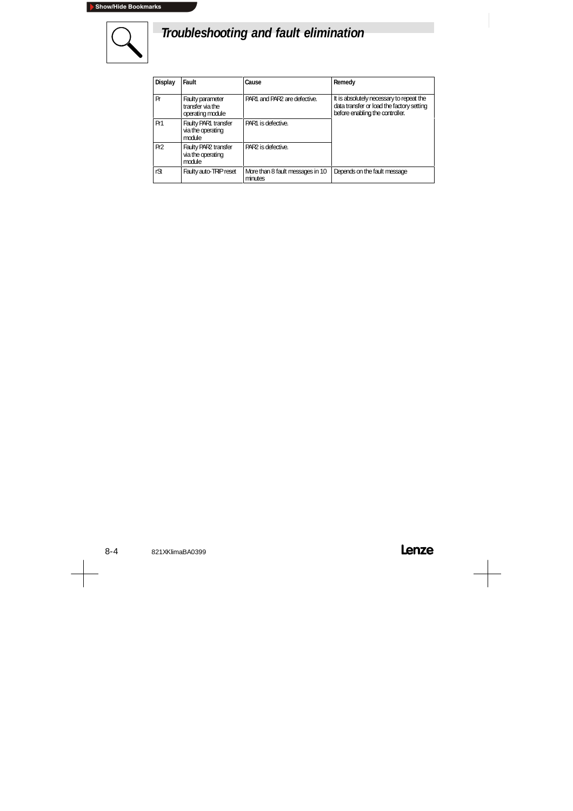

| Display         | Fault                                                           | Cause                                       | Remedy                                                                                                                   |
|-----------------|-----------------------------------------------------------------|---------------------------------------------|--------------------------------------------------------------------------------------------------------------------------|
| Pr              | <b>Faulty parameter</b><br>transfer via the<br>operating module | PAR1 and PAR2 are defective.                | It is absolutely necessary to repeat the<br>data transfer or load the factory setting<br>before enabling the controller. |
| Pr1             | Faulty PAR1 transfer<br>via the operating<br>module             | PAR1 is defective.                          |                                                                                                                          |
| Pr <sub>2</sub> | Faulty PAR2 transfer<br>via the operating<br>module             | PAR2 is defective.                          |                                                                                                                          |
| rSt             | Faulty auto-TRIP reset                                          | More than 8 fault messages in 10<br>minutes | Depends on the fault message                                                                                             |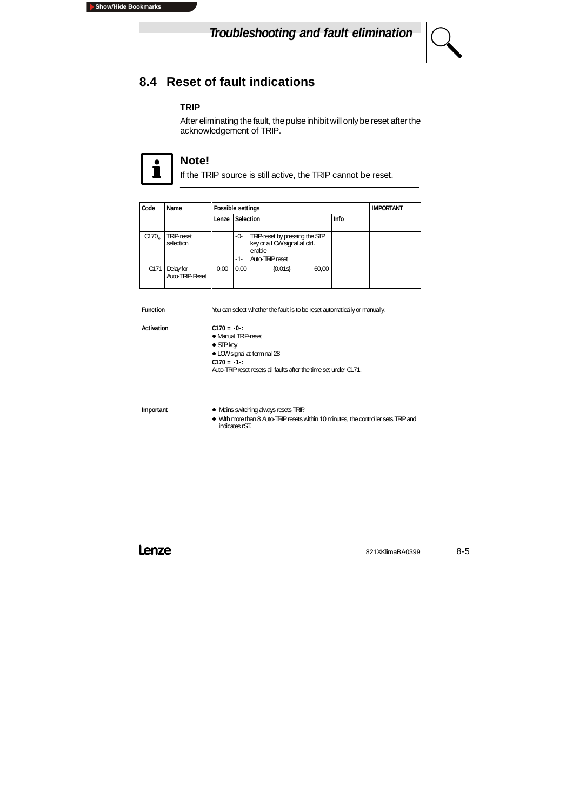

## **8.4 Reset of fault indications**

#### **TRIP**

After eliminating the fault, the pulse inhibit will only be reset after the acknowledgement of TRIP.



### **Note!**

If the TRIP source is still active, the TRIP cannot be reset.

| Code  | Name                           | Possible settings |                                                                                                             |       |      | <b>IMPORTANT</b> |
|-------|--------------------------------|-------------------|-------------------------------------------------------------------------------------------------------------|-------|------|------------------|
|       |                                | Lenze             | Selection                                                                                                   |       | Info |                  |
| C170J | <b>TRIP-reset</b><br>selection |                   | TRIP-reset by pressing the STP<br>-0-<br>key or a LOW signal at ctrl.<br>enable<br>Auto-TRIP reset<br>$-1-$ |       |      |                  |
| C171  | Delay for<br>Auto-TRIP-Reset   | 0.00              | 0.00<br>${0.01s}$                                                                                           | 60,00 |      |                  |

**Function** You can select whether the fault is to be reset automatically or manually.

**Activation C170 = -0-:**

- Manual TRIP-reset

- STP key
- LOW signal at terminal 28
- **C170 = -1-:**

Auto-TRIP reset resets all faults after the time set under C171.

- **Important**  $\bullet$  Mains switching always resets TRIP.
	- With more than 8 Auto-TRIP resets within 10 minutes, the controller sets TRIP and indicates rST.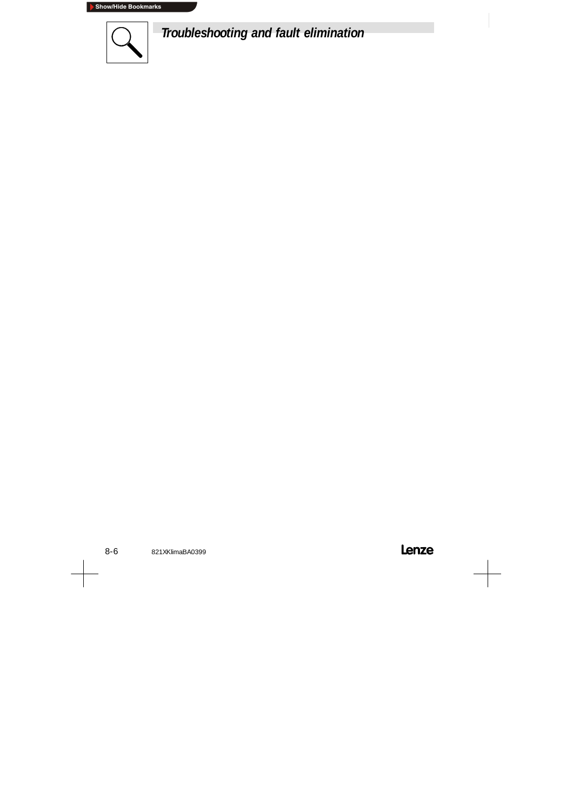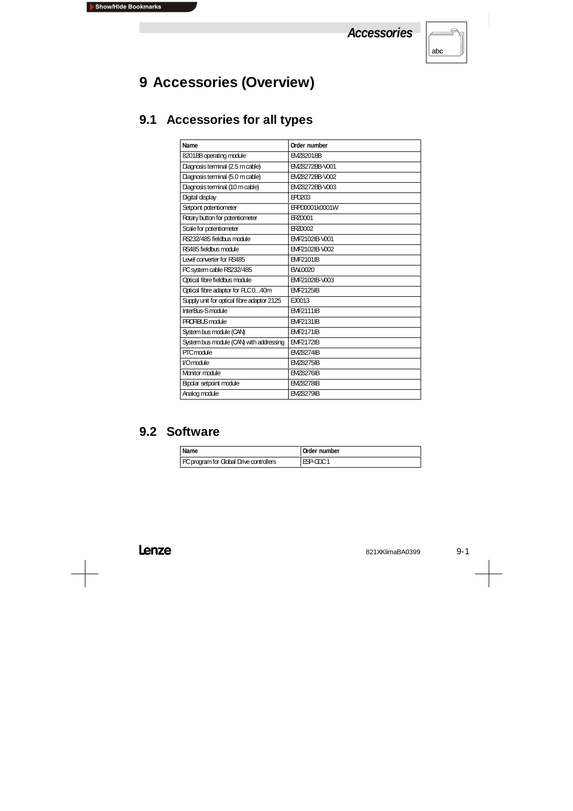

# **9 Accessories (Overview)**

# **9.1 Accessories for all types**

| Name                                       | Order number     |
|--------------------------------------------|------------------|
| 8201BB operating module                    | <b>EMZ8201BB</b> |
| Diagnosis terminal (2.5 m cable)           | EMZ8272BB-V001   |
| Diagnosis terminal (5.0 m cable)           | FM78272BB-V002   |
| Diagnosis terminal (10 m cable)            | FM78272BB-V003   |
| Digital display                            | FPD203           |
| Setpoint potentiometer                     | FRPD0001k0001W   |
| Rotary button for potentiometer            | FR70001          |
| Scale for potentiometer                    | FR70002          |
| RS232/485 fieldbus module                  | FMF2102IB-V001   |
| RS485 fieldbus module                      | FMF2102IB-V002   |
| Level converter for RS485                  | <b>FMF2101IB</b> |
| PC system cable RS232/485                  | FWL0020          |
| Optical fibre fieldbus module              | FMF2102IB-V003   |
| Optical fibre adaptor for PLC 040m         | <b>FMF2125IB</b> |
| Supply unit for optical fibre adaptor 2125 | F.J0013          |
| InterBus-S module                          | <b>FMF2111IB</b> |
| PROFIBUS module                            | <b>FMF2131IB</b> |
| System bus module (CAN)                    | <b>FMF2171IB</b> |
| System bus module (CAN) with addressing    | <b>FMF2172IB</b> |
| PTC module                                 | <b>FM78274IB</b> |
| I/O module                                 | <b>FM78275IB</b> |
| Monitor module                             | <b>FM78276IB</b> |
| Bipolar setpoint module                    | <b>FM78278IB</b> |
| Analog module                              | <b>FM78279IB</b> |

# **9.2 Software**

| Name                                    | Order number |
|-----------------------------------------|--------------|
| PC program for Global Drive controllers | ESP-GDC 1    |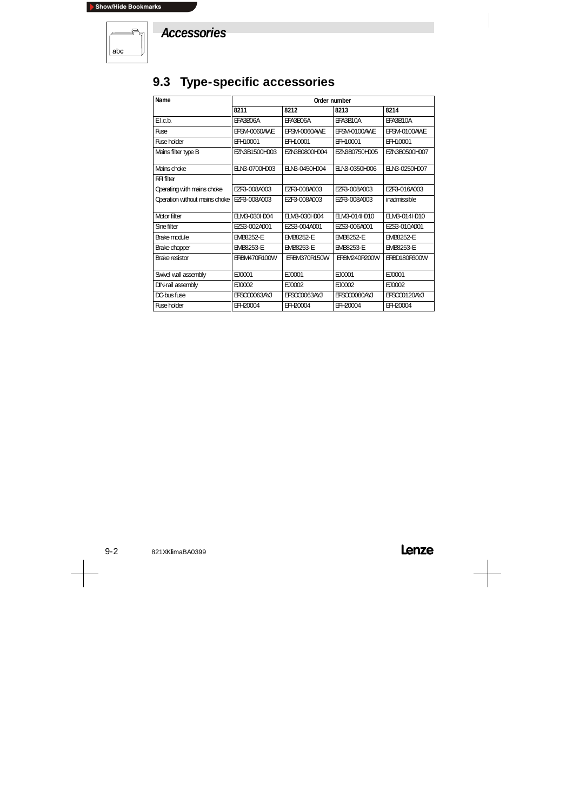

# **9.3 Type-specific accessories**

| Name                          | Order number     |                  |                  |                  |  |
|-------------------------------|------------------|------------------|------------------|------------------|--|
|                               | 8211             | 8212             | 8213             | 8214             |  |
| E.I.c.b.                      | FFA3B06A         | FFA3B06A         | FFA3B10A         | EFA3B10A         |  |
| Fuse                          | FFSM-0060AWF     | FFSM-0060AWF     | FFSM-0100AWF     | FFSM-0100AWF     |  |
| Fuse holder                   | FFH10001         | FFH10001         | FFH10001         | FFH10001         |  |
| Mains filter type B           | F7N3B1500H003    | F7N3B0800H004    | F7N3B0750H005    | F7N3B0500H007    |  |
| Mains choke                   | FLN3-0700H003    | FLN3-0450H004    | FLN3-0350H006    | FLN3-0250H007    |  |
| RFI filter                    |                  |                  |                  |                  |  |
| Operating with mains choke    | F7F3-008A003     | F7F3-008A003     | F7F3-008A003     | F7F3-016A003     |  |
| Operation without mains choke | F7F3-008A003     | F7F3-008A003     | F7F3-008A003     | inadmissible     |  |
| Motor filter                  | FLM3-030H004     | FLM3-030H004     | FLM3-014H010     | FLM3-014H010     |  |
| Sine filter                   | F7S3-002A001     | F7S3-004A001     | F7S3-006A001     | F7S3-010A001     |  |
| Brake module                  | <b>FMB8252-F</b> | <b>FMB8252-F</b> | <b>FMB8252-F</b> | <b>FMB8252-F</b> |  |
| Brake chopper                 | FMB8253-F        | FMB8253-F        | FMB8253-F        | <b>FMB8253-F</b> |  |
| <b>Brake resistor</b>         | FRBM470R100W     | FRBM370R150W     | ERBM240R200W     | FRBD180R300W     |  |
| Swivel wall assembly          | EJ0001           | F.J0001          | EJ0001           | F.J0001          |  |
| DIN-rail assembly             | F.J0002          | F.J0002          | F.J0002          | F.J0002          |  |
| DC-bus fuse                   | EFSCC0063AYJ     | EFSCC0063AYJ     | EFSCC0080AYJ     | EFSCC0120AYJ     |  |
| Fuse holder                   | FFH20004         | FFH20004         | FFH20004         | FFH20004         |  |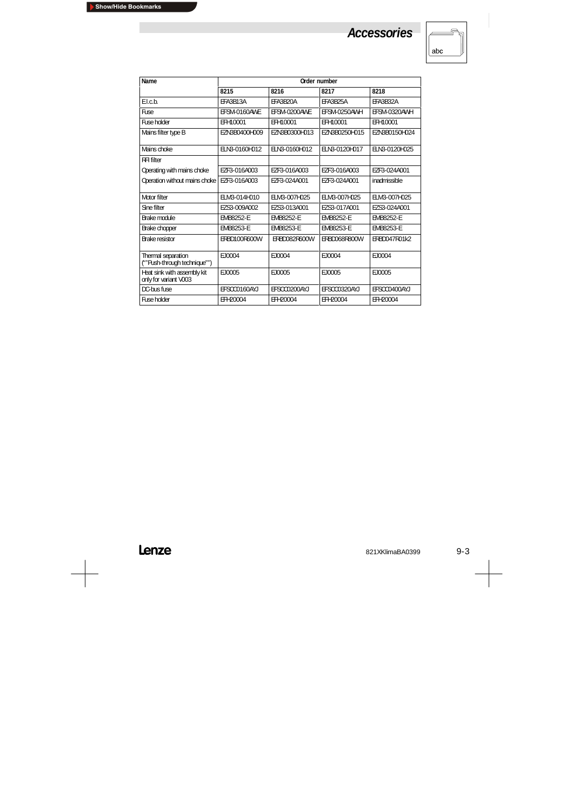

| Name                                                 | Order number     |                  |                  |                  |  |  |
|------------------------------------------------------|------------------|------------------|------------------|------------------|--|--|
|                                                      | 8215             | 8216             | 8217             | 8218             |  |  |
| $F c$ <sub>b</sub>                                   | FFA3B13A         | FFA3B20A         | FFA3B25A         | FFA3B32A         |  |  |
| Fuse                                                 | FFSM-0160AWF     | FFSM-0200AWF     | FFSM-0250AWH     | FFSM-0320AWH     |  |  |
| Fuse holder                                          | FFH10001         | FFH10001         | FFH10001         | FFH10001         |  |  |
| Mains filter type B                                  | F7N3B0400H009    | F7N3B0300H013    | F7N3B0250H015    | F7N3B0150H024    |  |  |
| Mains choke                                          | FLN3-0160H012    | FLN3-0160H012    | FLN3-0120H017    | FI N3-0120H025   |  |  |
| <b>RFI</b> filter                                    |                  |                  |                  |                  |  |  |
| Operating with mains choke                           | F7F3-016A003     | F7F3-016A003     | F7F3-016A003     | F7F3-024A001     |  |  |
| Operation without mains choke                        | F7F3-016A003     | F7F3-024A001     | F7F3-024A001     | inadmissible     |  |  |
| Motor filter                                         | FLM3-014H010     | FLM3-007H025     | FLM3-007H025     | FLM3-007H025     |  |  |
| Sine filter                                          | F7S3-009A002     | F7S3-013A001     | F7S3-017A001     | F7S3-024A001     |  |  |
| Brake module                                         | <b>FMB8252-F</b> | <b>FMB8252-F</b> | <b>FMB8252-F</b> | <b>FMB8252-F</b> |  |  |
| Brake chopper                                        | FMB8253-F        | FMB8253-F        | FMB8253-F        | FMB8253-F        |  |  |
| <b>Brake resistor</b>                                | FRBD100R600W     | FRBD082R600W     | FRBD068R800W     | FRBD047R01k2     |  |  |
| Thermal separation<br>(""Push-through technique"")   | EJ0004           | F.J0004          | F.J0004          | EJ0004           |  |  |
| Heat sink with assembly kit<br>only for variant V003 | F.J0005          | F.J0005          | F.J0005          | F.J0005          |  |  |
| DC-bus fuse                                          | FFSCC0160AYJ     | FFSCC0200AYJ     | FFSCC0320AYJ     | FFSCC0400AYJ     |  |  |
| Fuse holder                                          | FFH20004         | FFH20004         | FFH20004         | FFH20004         |  |  |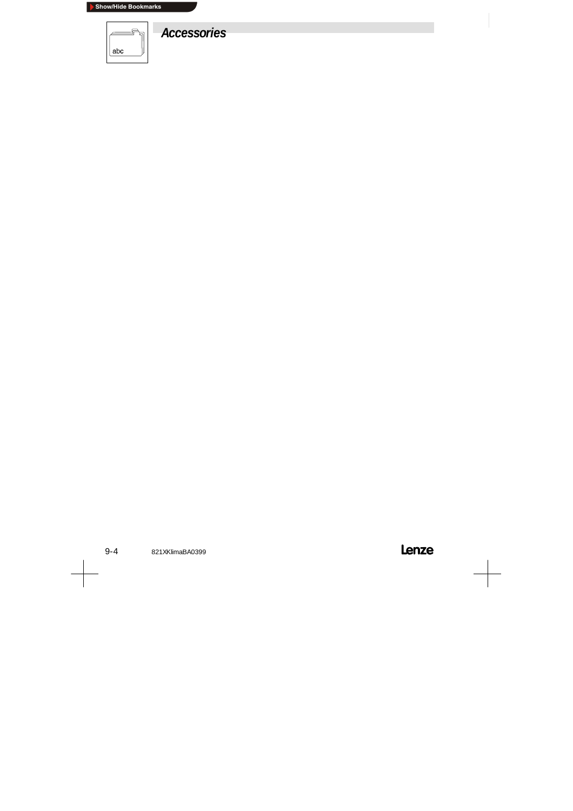

## Lenze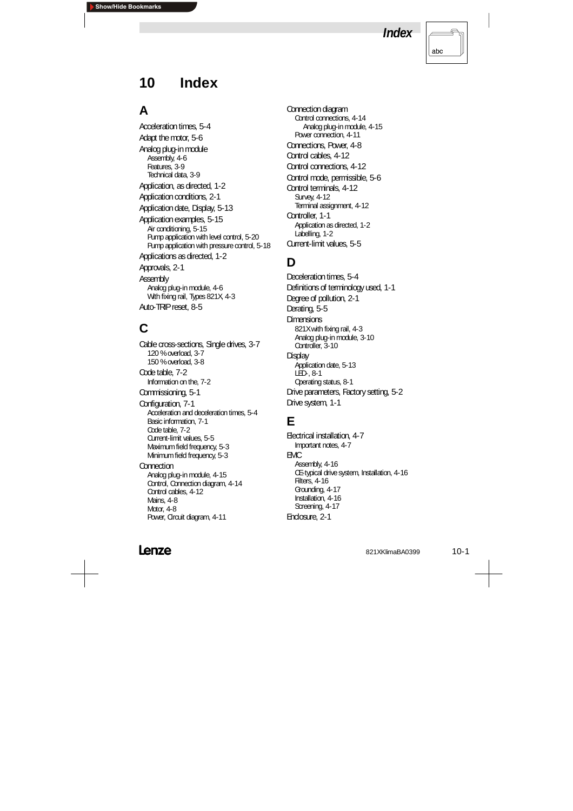#### *Index*



# **10 Index**

# **A**

Acceleration times, 5-4 Adapt the motor, 5-6 Analog plug-in module Assembly, 4-6 Features, 3-9 Technical data, 3-9 Application, as directed, 1-2 Application conditions, 2-1 Application date, Display, 5-13 Application examples, 5-15 Air conditioning, 5-15 Pump application with level control, 5-20 Pump application with pressure control, 5-18 Applications as directed, 1-2 Approvals, 2-1 Assembly Analog plug-in module, 4-6 With fixing rail, Types 821X, 4-3 Auto-TRIP reset, 8-5

## **C**

Cable cross-sections, Single drives, 3-7 120 % overload, 3-7 150 % overload, 3-8 Code table, 7-2 Information on the, 7-2 Commissioning, 5-1 Configuration, 7-1 Acceleration and deceleration times, 5-4 Basic information, 7-1 Code table, 7-2 Current-limit values, 5-5 Maximum field frequency, 5-3 Minimum field frequency, 5-3 Connection Analog plug-in module, 4-15 Control, Connection diagram, 4-14 Control cables, 4-12 Mains, 4-8 Motor, 4-8 Power, Circuit diagram, 4-11

Connection diagram Control connections, 4-14 Analog plug-in module, 4-15 Power connection, 4-11 Connections, Power, 4-8 Control cables, 4-12 Control connections, 4-12 Control mode, permissible, 5-6 Control terminals, 4-12 Survey, 4-12 Terminal assignment, 4-12 Controller, 1-1 Application as directed, 1-2 Labelling, 1-2 Current-limit values, 5-5

### **D**

Deceleration times, 5-4 Definitions of terminology used, 1-1 Degree of pollution, 2-1 Derating, 5-5 **Dimensions** 821X with fixing rail, 4-3 Analog plug-in module, 3-10 Controller, 3-10 **Display** Application date, 5-13 LED-, 8-1 Operating status, 8-1 Drive parameters, Factory setting, 5-2 Drive system, 1-1

### **E**

Electrical installation, 4-7 Important notes, 4-7 EMC Assembly, 4-16 CE-typical drive system, Installation, 4-16 Filters, 4-16 Grounding, 4-17 Installation, 4-16 Screening, 4-17 Enclosure, 2-1

### Lenze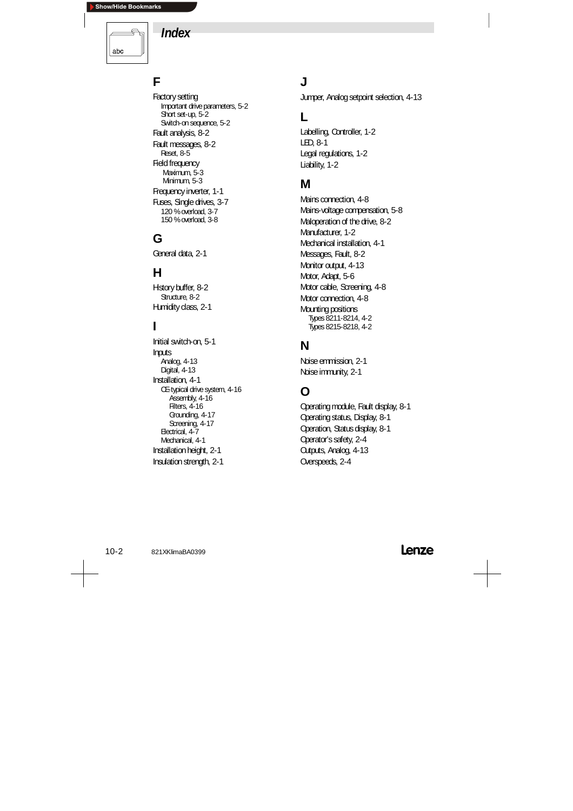

#### *Index*

### **F**

Factory setting Important drive parameters, 5-2 Short set-up, 5-2 Switch-on sequence, 5-2 Fault analysis, 8-2 Fault messages, 8-2 Reset, 8-5 Field frequency Maximum, 5-3 Minimum, 5-3 Frequency inverter, 1-1 Fuses, Single drives, 3-7 120 % overload, 3-7 150 % overload, 3-8

## **G**

General data, 2-1

### **H**

History buffer, 8-2 Structure, 8-2 Humidity class, 2-1

## **I**

Initial switch-on, 5-1 **Inputs** Analog, 4-13 Digital, 4-13 Installation, 4-1 CE-typical drive system, 4-16 Assembly, 4-16 Filters, 4-16 Grounding, 4-17 Screening, 4-17 Electrical, 4-7 Mechanical, 4-1 Installation height, 2-1 Insulation strength, 2-1

# **J**

Jumper, Analog setpoint selection, 4-13

### **L**

Labelling, Controller, 1-2 LED, 8-1 Legal regulations, 1-2 Liability, 1-2

### **M**

Mains connection, 4-8 Mains-voltage compensation, 5-8 Maloperation of the drive, 8-2 Manufacturer, 1-2 Mechanical installation, 4-1 Messages, Fault, 8-2 Monitor output, 4-13 Motor, Adapt, 5-6 Motor cable, Screening, 4-8 Motor connection, 4-8 Mounting positions Types 8211-8214, 4-2 Types 8215-8218, 4-2

### **N**

Noise emmission, 2-1 Noise immunity, 2-1

### **O**

Operating module, Fault display, 8-1 Operating status, Display, 8-1 Operation, Status display, 8-1 Operator's safety, 2-4 Outputs, Analog, 4-13 Overspeeds, 2-4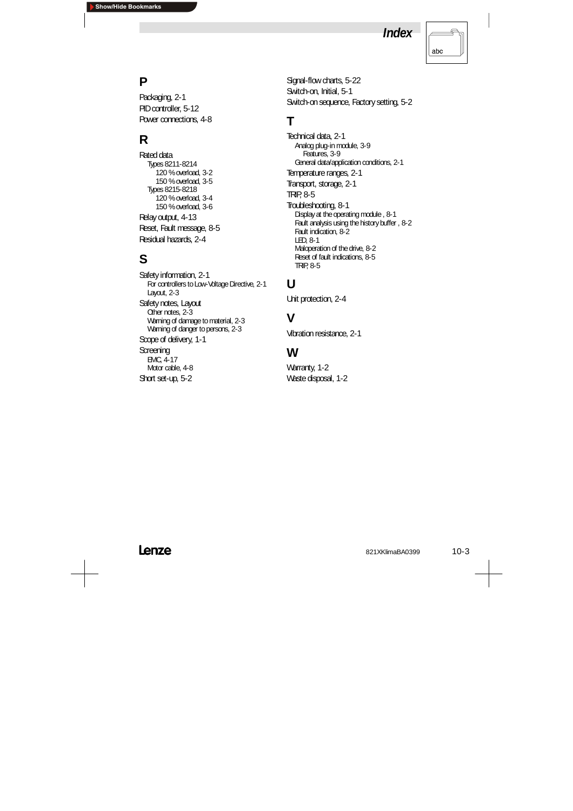#### *Index*



### **P**

Packaging, 2-1 PID controller, 5-12 Power connections, 4-8

# **R**

Rated data Types 8211-8214 120 % overload, 3-2 150 % overload, 3-5 Types 8215-8218 120 % overload, 3-4 150 % overload, 3-6 Relay output, 4-13 Reset, Fault message, 8-5 Residual hazards, 2-4

## **S**

Safety information, 2-1 For controllers to Low-Voltage Directive, 2-1 Layout, 2-3 Safety notes, Layout Other notes, 2-3 Warning of damage to material, 2-3 Warning of danger to persons, 2-3 Scope of delivery, 1-1 **Screening** EMC, 4-17 Motor cable, 4-8 Short set-up, 5-2

Signal-flow charts, 5-22 Switch-on, Initial, 5-1 Switch-on sequence, Factory setting, 5-2

# **T**

Technical data, 2-1 Analog plug-in module, 3-9 Features, 3-9 General data/application conditions, 2-1 Temperature ranges, 2-1 Transport, storage, 2-1 TRIP, 8-5 Troubleshooting, 8-1 Display at the operating module , 8-1 Fault analysis using the history buffer , 8-2 Fault indication, 8-2 LED, 8-1 Maloperation of the drive, 8-2 Reset of fault indications, 8-5 TRIP, 8-5

### **U**

Unit protection, 2-4

### **V**

Vibration resistance, 2-1

### **W**

Warranty, 1-2 Waste disposal, 1-2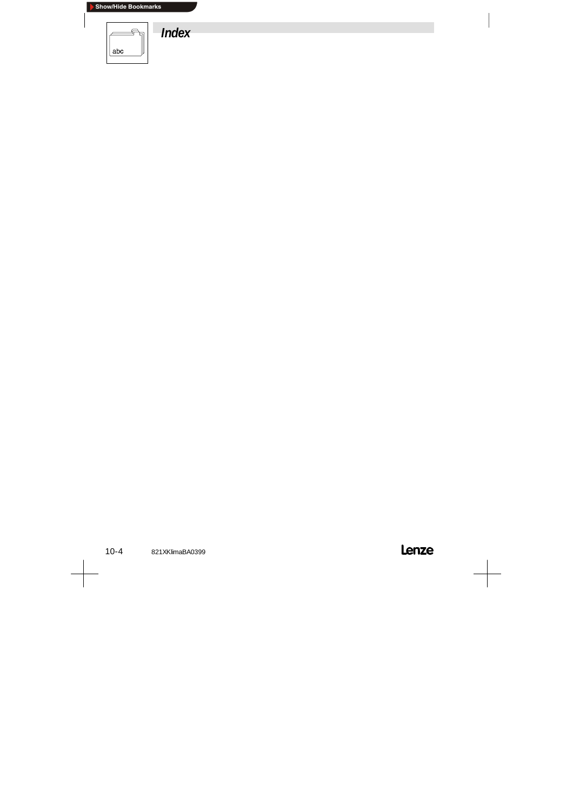| Show/Hide Bookmarks |
|---------------------|
|                     |

|           | <b>Index</b> |  |  |
|-----------|--------------|--|--|
| ь         |              |  |  |
| abc<br>ΙU |              |  |  |

j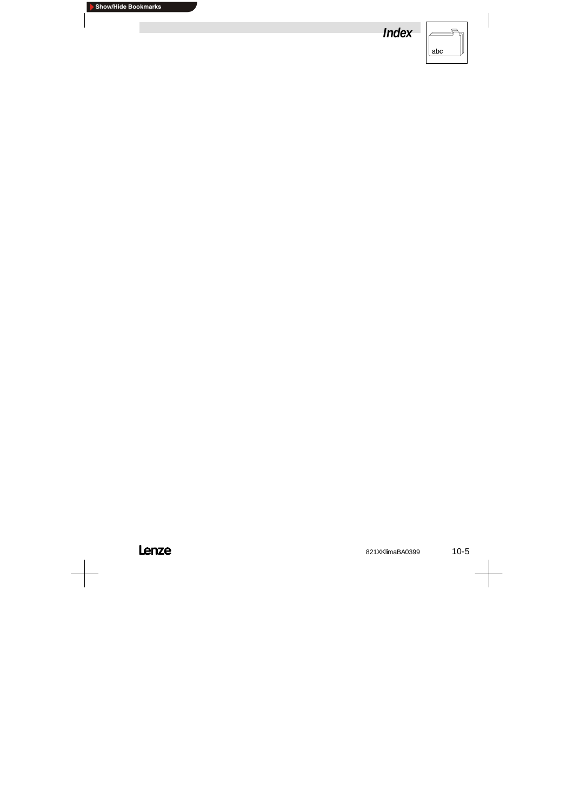

Lenze